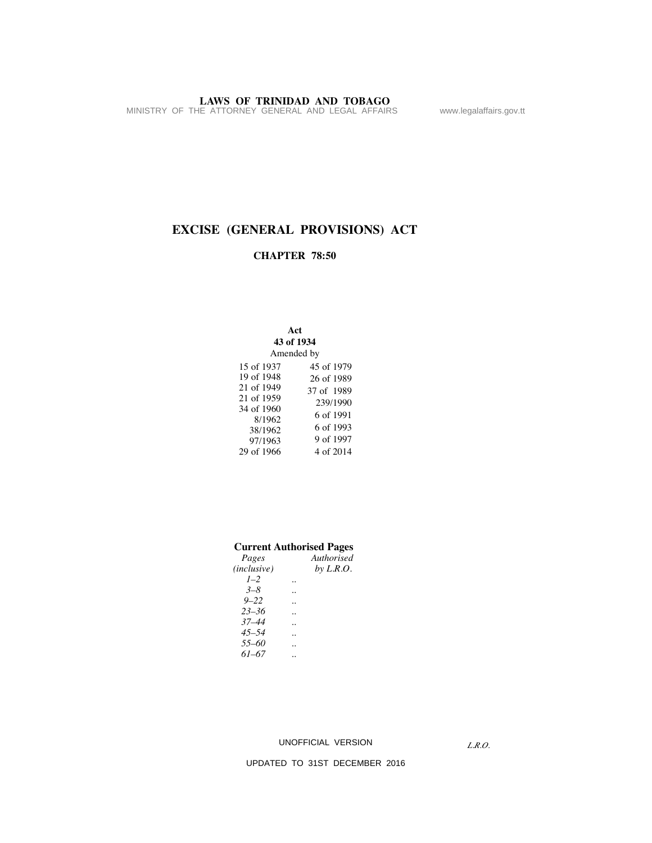**LAWS OF TRINIDAD AND TOBAGO**<br>MINISTRY OF THE ATTORNEY GENERAL AND LEGAL AFFAIRS www.legalaffairs.gov.tt

# **EXCISE (GENERAL PROVISIONS) ACT**

### **CHAPTER 78:50**

### **Act**

| 43 of 1934 |            |  |  |  |  |
|------------|------------|--|--|--|--|
| Amended by |            |  |  |  |  |
| 15 of 1937 | 45 of 1979 |  |  |  |  |
| 19 of 1948 | 26 of 1989 |  |  |  |  |
| 21 of 1949 | 37 of 1989 |  |  |  |  |
| 21 of 1959 | 239/1990   |  |  |  |  |
| 34 of 1960 | 6 of 1991  |  |  |  |  |
| 8/1962     | 6 of 1993  |  |  |  |  |
| 38/1962    | 9 of 1997  |  |  |  |  |
| 97/1963    |            |  |  |  |  |
| 29 of 1966 | 4 of 2014  |  |  |  |  |

# **Current Authorised Pages**

| Pages                | Authorised  |
|----------------------|-------------|
| ( <i>inclusive</i> ) | by $L.R.O.$ |
| $1 - 2$              |             |
| $3 - 8$              |             |
| $9 - 22$             |             |
| $23 - 36$            |             |
| $37 - 44$            |             |
| $45 - 54$            |             |
| 55-60                |             |
| $61 - 67$            |             |
|                      |             |

### UNOFFICIAL VERSION

*L.R.O.*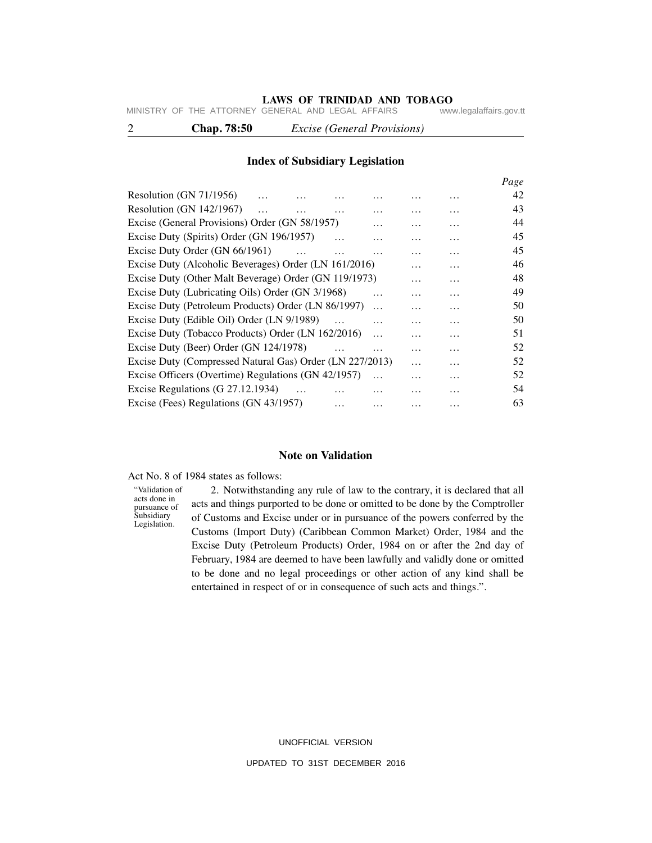# **LAWS OF TRINIDAD AND TOBAGO**<br>GENERAL AND LEGAL AFFAIRS www.legalaffairs.gov.tt

MINISTRY OF THE ATTORNEY GENERAL AND LEGAL AFFAIRS

2 **Chap. 78:50** *Excise (General Provisions)*

### **Index of Subsidiary Legislation**

|                                                          |          |           |   | Page |
|----------------------------------------------------------|----------|-----------|---|------|
| Resolution (GN 71/1956)                                  |          |           |   | 42   |
| Resolution (GN $142/1967$ )                              |          | .         | . | 43   |
| Excise (General Provisions) Order (GN 58/1957)           |          | .         | . | 44   |
| Excise Duty (Spirits) Order (GN 196/1957)                |          | .         | . | 45   |
| Excise Duty Order (GN 66/1961)<br>$\cdots$               |          | .         | . | 45   |
| Excise Duty (Alcoholic Beverages) Order (LN 161/2016)    |          | .         | . | 46   |
| Excise Duty (Other Malt Beverage) Order (GN 119/1973)    |          | $\ddotsc$ | . | 48   |
| Excise Duty (Lubricating Oils) Order (GN 3/1968)         |          | .         | . | 49   |
| Excise Duty (Petroleum Products) Order (LN 86/1997)      |          | .         | . | 50   |
| Excise Duty (Edible Oil) Order (LN 9/1989)               |          | .         | . | 50   |
| Excise Duty (Tobacco Products) Order (LN 162/2016)       | $\cdots$ | .         | . | 51   |
| Excise Duty (Beer) Order (GN 124/1978)                   |          | .         | . | 52   |
| Excise Duty (Compressed Natural Gas) Order (LN 227/2013) |          | $\cdots$  | . | 52   |
| Excise Officers (Overtime) Regulations (GN 42/1957)      |          |           | . | 52   |
| Excise Regulations (G 27.12.1934)                        |          |           | . | 54   |
| Excise (Fees) Regulations (GN 43/1957)                   |          |           |   | 63   |
|                                                          |          |           |   |      |

### **Note on Validation**

Act No. 8 of 1984 states as follows:

"Validation of acts done in pursuance of Subsidiary Legislation.

 2. Notwithstanding any rule of law to the contrary, it is declared that all acts and things purported to be done or omitted to be done by the Comptroller of Customs and Excise under or in pursuance of the powers conferred by the Customs (Import Duty) (Caribbean Common Market) Order, 1984 and the Excise Duty (Petroleum Products) Order, 1984 on or after the 2nd day of February, 1984 are deemed to have been lawfully and validly done or omitted to be done and no legal proceedings or other action of any kind shall be entertained in respect of or in consequence of such acts and things.".

> UNOFFICIAL VERSION UPDATED TO 31ST DECEMBER 2016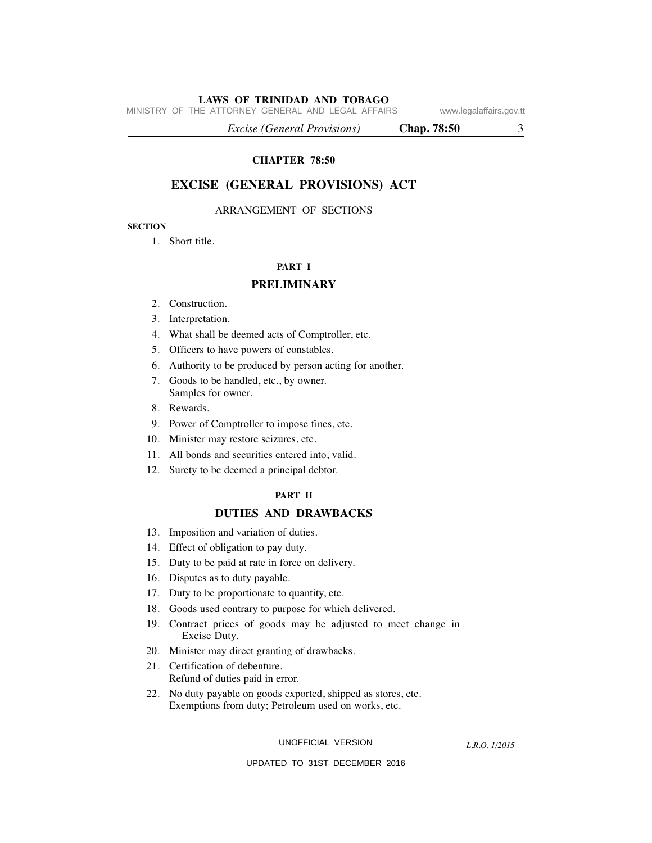MINISTRY OF THE ATTORNEY GENERAL AND LEGAL AFFAIRS www.legalaffairs.gov.tt

 *Excise (General Provisions)* **Chap. 78:50** 3

**CHAPTER 78:50**

### **EXCISE (GENERAL PROVISIONS) ACT**

### ARRANGEMENT OF SECTIONS

### **SECTION**

1. Short title.

## **PART I**

### **PRELIMINARY**

- 2. Construction.
- 3. Interpretation.
- 4. What shall be deemed acts of Comptroller, etc.
- 5. Officers to have powers of constables.
- 6. Authority to be produced by person acting for another.
- 7. Goods to be handled, etc., by owner. Samples for owner.
- 8. Rewards.
- 9. Power of Comptroller to impose fines, etc.
- 10. Minister may restore seizures, etc.
- 11. All bonds and securities entered into, valid.
- 12. Surety to be deemed a principal debtor.

### **PART II**

### **DUTIES AND DRAWBACKS**

- 13. Imposition and variation of duties.
- 14. Effect of obligation to pay duty.
- 15. Duty to be paid at rate in force on delivery.
- 16. Disputes as to duty payable.
- 17. Duty to be proportionate to quantity, etc.
- 18. Goods used contrary to purpose for which delivered.
- 19. Contract prices of goods may be adjusted to meet change in Excise Duty.
- 20. Minister may direct granting of drawbacks.
- 21. Certification of debenture. Refund of duties paid in error.
- 22. No duty payable on goods exported, shipped as stores, etc. Exemptions from duty; Petroleum used on works, etc.

UNOFFICIAL VERSION

*L.R.O. 1/2015*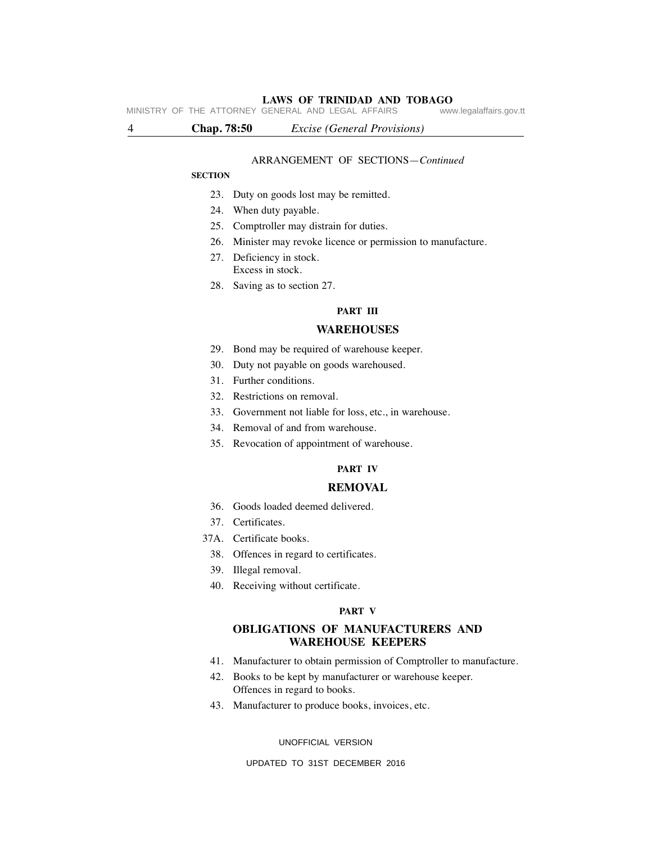# **LAWS OF TRINIDAD AND TOBAGO**<br>GENERAL AND LEGAL AFFAIRS www.legalaffairs.gov.tt

MINISTRY OF THE ATTORNEY GENERAL AND LEGAL AFFAIRS

4 **Chap. 78:50** *Excise (General Provisions)*

### ARRANGEMENT OF SECTIONS—*Continued*

### **SECTION**

- 23. Duty on goods lost may be remitted.
- 24. When duty payable.
- 25. Comptroller may distrain for duties.
- 26. Minister may revoke licence or permission to manufacture.
- 27. Deficiency in stock. Excess in stock.
- 28. Saving as to section 27.

### **PART III**

### **WAREHOUSES**

- 29. Bond may be required of warehouse keeper.
- 30. Duty not payable on goods warehoused.
- 31. Further conditions.
- 32. Restrictions on removal.
- 33. Government not liable for loss, etc., in warehouse.
- 34. Removal of and from warehouse.
- 35. Revocation of appointment of warehouse.

### **PART IV**

### **REMOVAL**

- 36. Goods loaded deemed delivered.
- 37. Certificates.
- 37A. Certificate books.
	- 38. Offences in regard to certificates.
	- 39. Illegal removal.
	- 40. Receiving without certificate.

### **PART V**

### **OBLIGATIONS OF MANUFACTURERS AND WAREHOUSE KEEPERS**

- 41. Manufacturer to obtain permission of Comptroller to manufacture.
- 42. Books to be kept by manufacturer or warehouse keeper. Offences in regard to books.
- 43. Manufacturer to produce books, invoices, etc.

UNOFFICIAL VERSION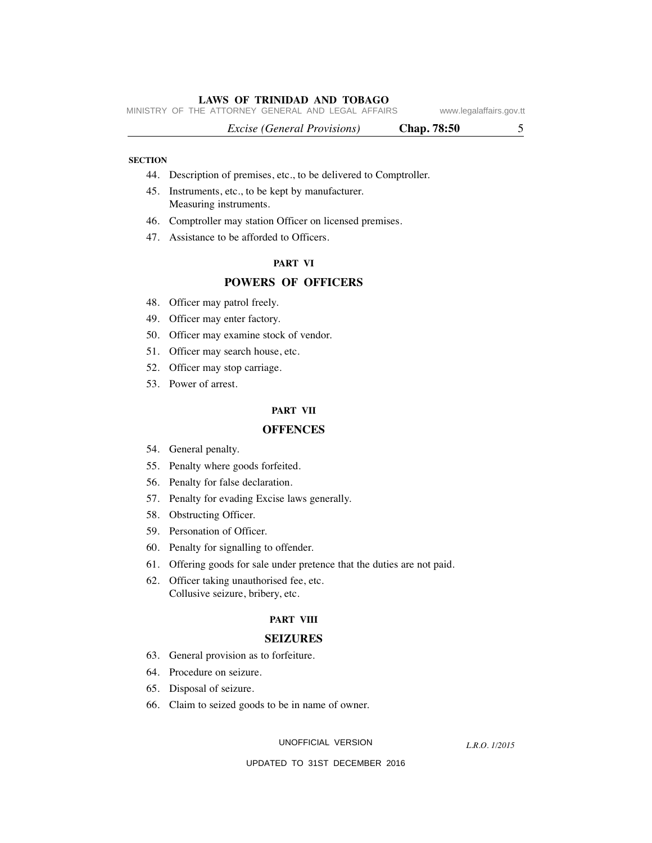MINISTRY OF THE ATTORNEY GENERAL AND LEGAL AFFAIRS www.legalaffairs.gov.tt

*Excise (General Provisions)* **Chap. 78:50** 5

### **SECTION**

- 44. Description of premises, etc., to be delivered to Comptroller.
- 45. Instruments, etc., to be kept by manufacturer. Measuring instruments.
- 46. Comptroller may station Officer on licensed premises.
- 47. Assistance to be afforded to Officers.

### **PART VI**

### **POWERS OF OFFICERS**

- 48. Officer may patrol freely.
- 49. Officer may enter factory.
- 50. Officer may examine stock of vendor.
- 51. Officer may search house, etc.
- 52. Officer may stop carriage.
- 53. Power of arrest.

### **PART VII**

### **OFFENCES**

- 54. General penalty.
- 55. Penalty where goods forfeited.
- 56. Penalty for false declaration.
- 57. Penalty for evading Excise laws generally.
- 58. Obstructing Officer.
- 59. Personation of Officer.
- 60. Penalty for signalling to offender.
- 61. Offering goods for sale under pretence that the duties are not paid.
- 62. Officer taking unauthorised fee, etc. Collusive seizure, bribery, etc.

#### **PART VIII**

### **SEIZURES**

- 63. General provision as to forfeiture.
- 64. Procedure on seizure.
- 65. Disposal of seizure.
- 66. Claim to seized goods to be in name of owner.

UNOFFICIAL VERSION

*L.R.O. 1/2015*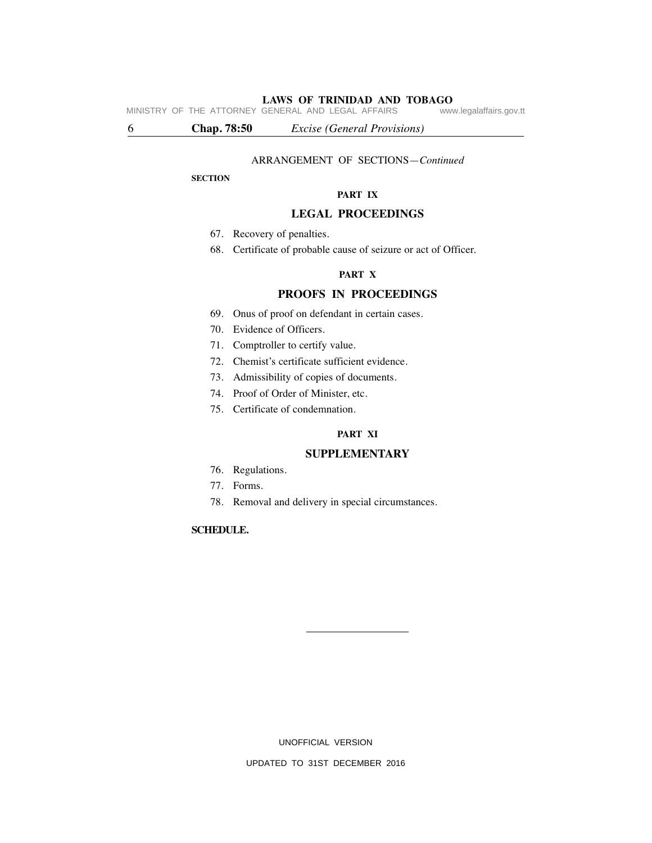**LAWS OF TRINIDAD AND TOBAGO**<br>GENERAL AND LEGAL AFFAIRS www.legalaffairs.gov.tt MINISTRY OF THE ATTORNEY GENERAL AND LEGAL AFFAIRS

6 **Chap. 78:50** *Excise (General Provisions)*

### ARRANGEMENT OF SECTIONS—*Continued*

### **SECTION**

### **PART IX**

### **LEGAL PROCEEDINGS**

- 67. Recovery of penalties.
- 68. Certificate of probable cause of seizure or act of Officer.

### **PART X**

# **PROOFS IN PROCEEDINGS**

- 69. Onus of proof on defendant in certain cases.
- 70. Evidence of Officers.
- 71. Comptroller to certify value.
- 72. Chemist's certificate sufficient evidence.
- 73. Admissibility of copies of documents.
- 74. Proof of Order of Minister, etc.
- 75. Certificate of condemnation.

### **PART XI**

### **SUPPLEMENTARY**

- 76. Regulations.
- 77. Forms.
- 78. Removal and delivery in special circumstances.

### **SCHEDULE.**

UNOFFICIAL VERSION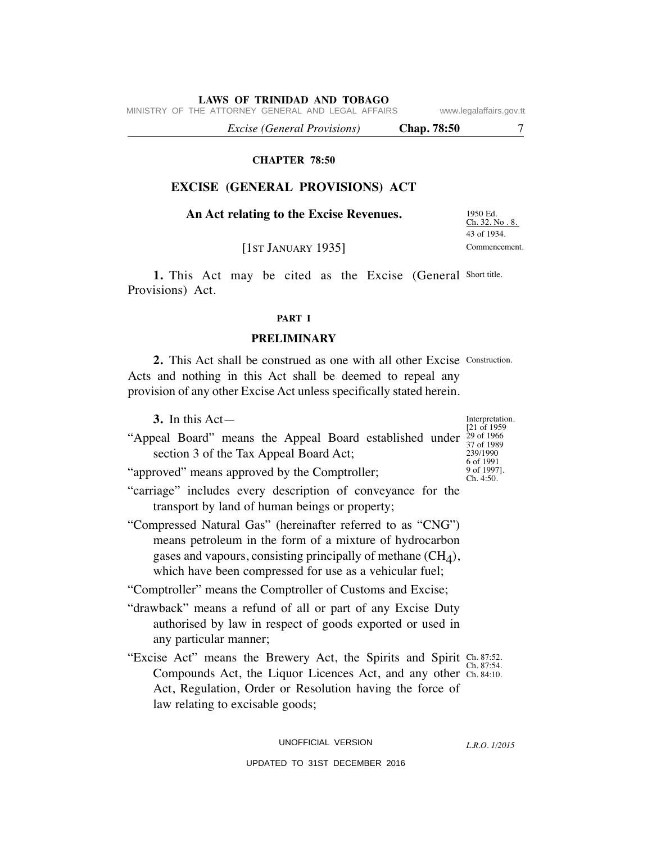MINISTRY OF THE ATTORNEY GENERAL AND LEGAL AFFAIRS www.legalaffairs.gov.tt

 *Excise (General Provisions)* **Chap. 78:50** 7

### **CHAPTER 78:50**

# **EXCISE (GENERAL PROVISIONS) ACT**

## **An Act relating to the Excise Revenues.**

1950 Ed. Ch. 32. No . 8. 43 of 1934. Commencement.

[1ST JANUARY 1935]

1. This Act may be cited as the Excise (General Short title. Provisions) Act.

### **PART I**

### **PRELIMINARY**

2. This Act shall be construed as one with all other Excise Construction. Acts and nothing in this Act shall be deemed to repeal any provision of any other Excise Act unless specifically stated herein.

| 3. In this $Act-$                                                                                                                                                                                                                                   | Interpretation.<br>[21 of 1959]                   |
|-----------------------------------------------------------------------------------------------------------------------------------------------------------------------------------------------------------------------------------------------------|---------------------------------------------------|
| "Appeal Board" means the Appeal Board established under<br>section 3 of the Tax Appeal Board Act;                                                                                                                                                   | 29 of 1966<br>37 of 1989<br>239/1990<br>6 of 1991 |
| "approved" means approved by the Comptroller;                                                                                                                                                                                                       | 9 of 1997].<br>Ch. 4:50.                          |
| "carriage" includes every description of conveyance for the<br>transport by land of human beings or property;                                                                                                                                       |                                                   |
| "Compressed Natural Gas" (hereinafter referred to as "CNG")<br>means petroleum in the form of a mixture of hydrocarbon<br>gases and vapours, consisting principally of methane $(CH4)$ ,<br>which have been compressed for use as a vehicular fuel; |                                                   |
| "Comptroller" means the Comptroller of Customs and Excise;                                                                                                                                                                                          |                                                   |
| "drawback" means a refund of all or part of any Excise Duty<br>authorised by law in respect of goods exported or used in<br>any particular manner;                                                                                                  |                                                   |
| "Excise Act" means the Brewery Act, the Spirits and Spirit Ch. 87:52.<br>Compounds Act, the Liquor Licences Act, and any other Ch. 84:10.<br>Act, Regulation, Order or Resolution having the force of                                               | Ch. 87:54                                         |

law relating to excisable goods;

UNOFFICIAL VERSION

*L.R.O. 1/2015*

UPDATED TO 31ST DECEMBER 2016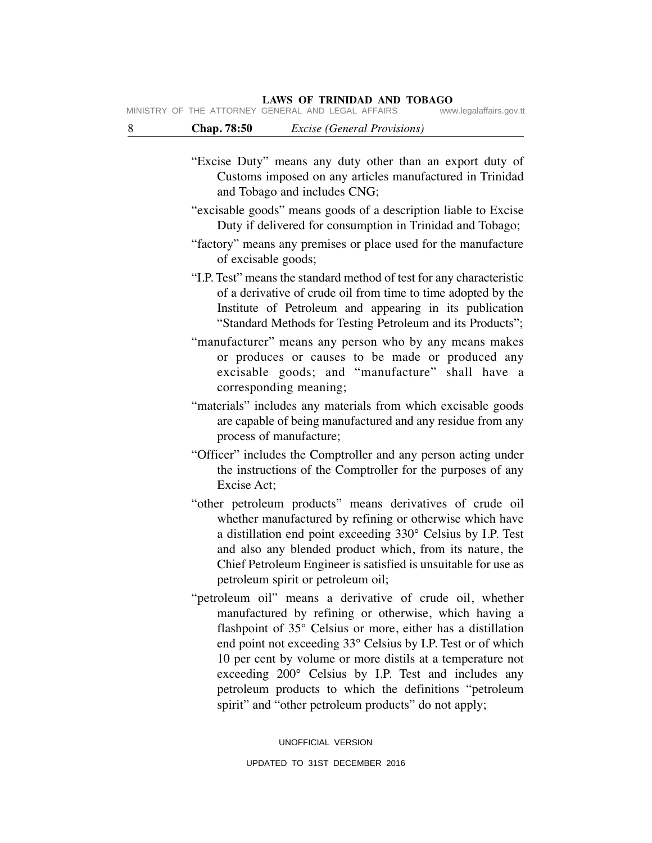MINISTRY OF THE ATTORNEY GENERAL AND LEGAL AFFAIRS

| 8<br>Chap. 78:50 | <i>Excise (General Provisions)</i> |
|------------------|------------------------------------|
|------------------|------------------------------------|

- "Excise Duty" means any duty other than an export duty of Customs imposed on any articles manufactured in Trinidad and Tobago and includes CNG;
- "excisable goods" means goods of a description liable to Excise Duty if delivered for consumption in Trinidad and Tobago;
- "factory" means any premises or place used for the manufacture of excisable goods;
- "I.P. Test" means the standard method of test for any characteristic of a derivative of crude oil from time to time adopted by the Institute of Petroleum and appearing in its publication "Standard Methods for Testing Petroleum and its Products";
- "manufacturer" means any person who by any means makes or produces or causes to be made or produced any excisable goods; and "manufacture" shall have a corresponding meaning;
- "materials" includes any materials from which excisable goods are capable of being manufactured and any residue from any process of manufacture;
- "Officer" includes the Comptroller and any person acting under the instructions of the Comptroller for the purposes of any Excise Act;
- "other petroleum products" means derivatives of crude oil whether manufactured by refining or otherwise which have a distillation end point exceeding 330° Celsius by I.P. Test and also any blended product which, from its nature, the Chief Petroleum Engineer is satisfied is unsuitable for use as petroleum spirit or petroleum oil;
- "petroleum oil" means a derivative of crude oil, whether manufactured by refining or otherwise, which having a flashpoint of 35° Celsius or more, either has a distillation end point not exceeding 33° Celsius by I.P. Test or of which 10 per cent by volume or more distils at a temperature not exceeding 200° Celsius by I.P. Test and includes any petroleum products to which the definitions "petroleum spirit" and "other petroleum products" do not apply;

UNOFFICIAL VERSION UPDATED TO 31ST DECEMBER 2016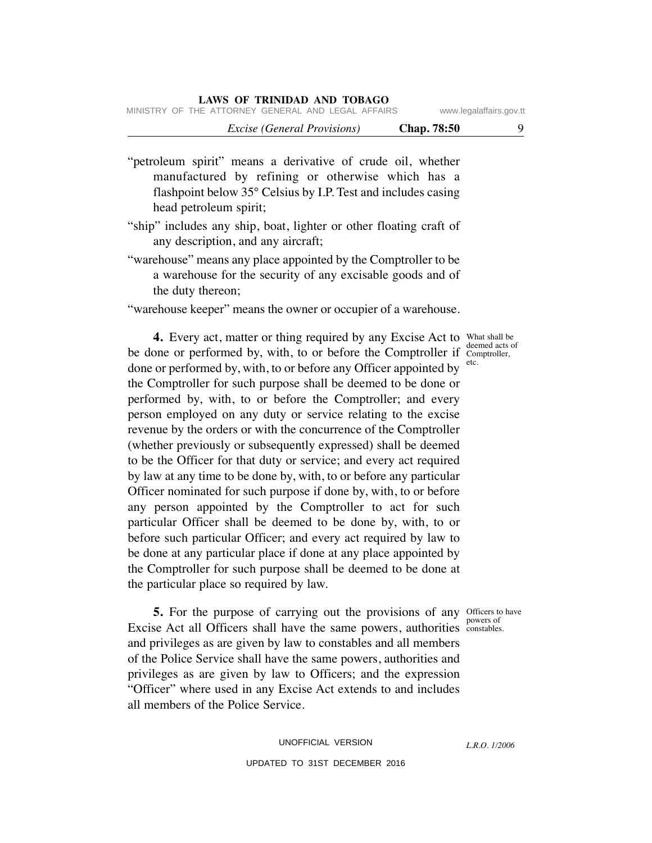|  |                                                    | <i>Excise (General Provisions)</i> |  |  | <b>Chap.</b> 78:50 |                         |
|--|----------------------------------------------------|------------------------------------|--|--|--------------------|-------------------------|
|  | MINISTRY OF THE ATTORNEY GENERAL AND LEGAL AFFAIRS |                                    |  |  |                    | www.legalaffairs.gov.tt |

"petroleum spirit" means a derivative of crude oil, whether manufactured by refining or otherwise which has a flashpoint below 35° Celsius by I.P. Test and includes casing head petroleum spirit;

- "ship" includes any ship, boat, lighter or other floating craft of any description, and any aircraft;
- "warehouse" means any place appointed by the Comptroller to be a warehouse for the security of any excisable goods and of the duty thereon;
- "warehouse keeper" means the owner or occupier of a warehouse.

**4.** Every act, matter or thing required by any Excise Act to What shall be be done or performed by, with, to or before the Comptroller if  $\frac{c_{\text{tot}}}{\text{etc.}}$ done or performed by, with, to or before any Officer appointed by the Comptroller for such purpose shall be deemed to be done or performed by, with, to or before the Comptroller; and every person employed on any duty or service relating to the excise revenue by the orders or with the concurrence of the Comptroller (whether previously or subsequently expressed) shall be deemed to be the Officer for that duty or service; and every act required by law at any time to be done by, with, to or before any particular Officer nominated for such purpose if done by, with, to or before any person appointed by the Comptroller to act for such particular Officer shall be deemed to be done by, with, to or before such particular Officer; and every act required by law to be done at any particular place if done at any place appointed by the Comptroller for such purpose shall be deemed to be done at the particular place so required by law.

powers of

*L.R.O. 1/2006*

**5.** For the purpose of carrying out the provisions of any officers to have Excise Act all Officers shall have the same powers, authorities constables. and privileges as are given by law to constables and all members of the Police Service shall have the same powers, authorities and privileges as are given by law to Officers; and the expression "Officer" where used in any Excise Act extends to and includes all members of the Police Service.

deemed acts of Comptroller,

UNOFFICIAL VERSION UPDATED TO 31ST DECEMBER 2016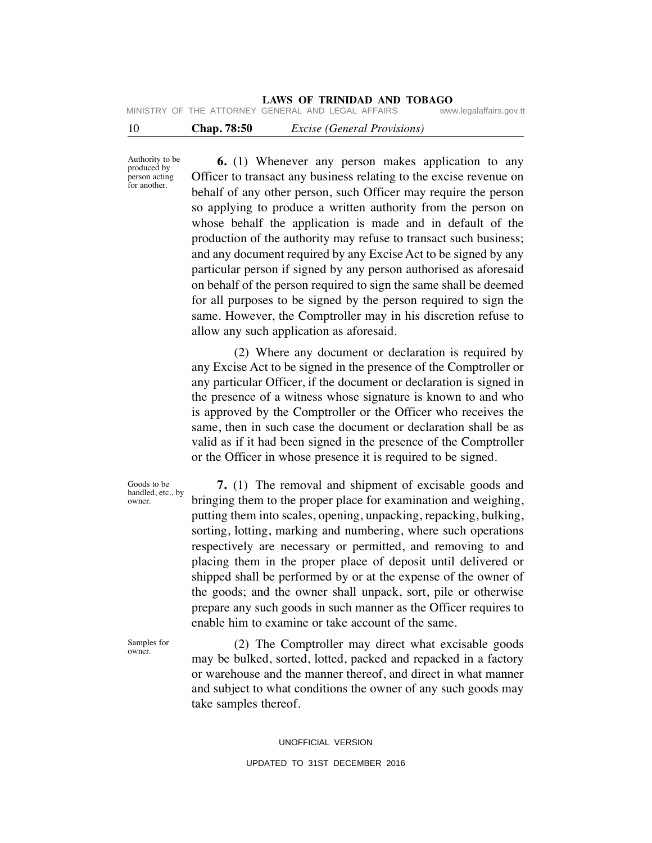# **LAWS OF TRINIDAD AND TOBAGO**<br>GENERAL AND LEGAL AFFAIRS www.legalaffairs.gov.tt

10 **Chap. 78:50** *Excise (General Provisions)* MINISTRY OF THE ATTORNEY GENERAL AND LEGAL AFFAIRS

Authority to be produced by person acting for another.

 **6.** (1) Whenever any person makes application to any Officer to transact any business relating to the excise revenue on behalf of any other person, such Officer may require the person so applying to produce a written authority from the person on whose behalf the application is made and in default of the production of the authority may refuse to transact such business; and any document required by any Excise Act to be signed by any particular person if signed by any person authorised as aforesaid on behalf of the person required to sign the same shall be deemed for all purposes to be signed by the person required to sign the same. However, the Comptroller may in his discretion refuse to allow any such application as aforesaid.

 (2) Where any document or declaration is required by any Excise Act to be signed in the presence of the Comptroller or any particular Officer, if the document or declaration is signed in the presence of a witness whose signature is known to and who is approved by the Comptroller or the Officer who receives the same, then in such case the document or declaration shall be as valid as if it had been signed in the presence of the Comptroller or the Officer in whose presence it is required to be signed.

Goods to be handled, etc., by owner.

 **7.** (1) The removal and shipment of excisable goods and bringing them to the proper place for examination and weighing, putting them into scales, opening, unpacking, repacking, bulking, sorting, lotting, marking and numbering, where such operations respectively are necessary or permitted, and removing to and placing them in the proper place of deposit until delivered or shipped shall be performed by or at the expense of the owner of the goods; and the owner shall unpack, sort, pile or otherwise prepare any such goods in such manner as the Officer requires to enable him to examine or take account of the same.

Samples for owner.

 (2) The Comptroller may direct what excisable goods may be bulked, sorted, lotted, packed and repacked in a factory or warehouse and the manner thereof, and direct in what manner and subject to what conditions the owner of any such goods may take samples thereof.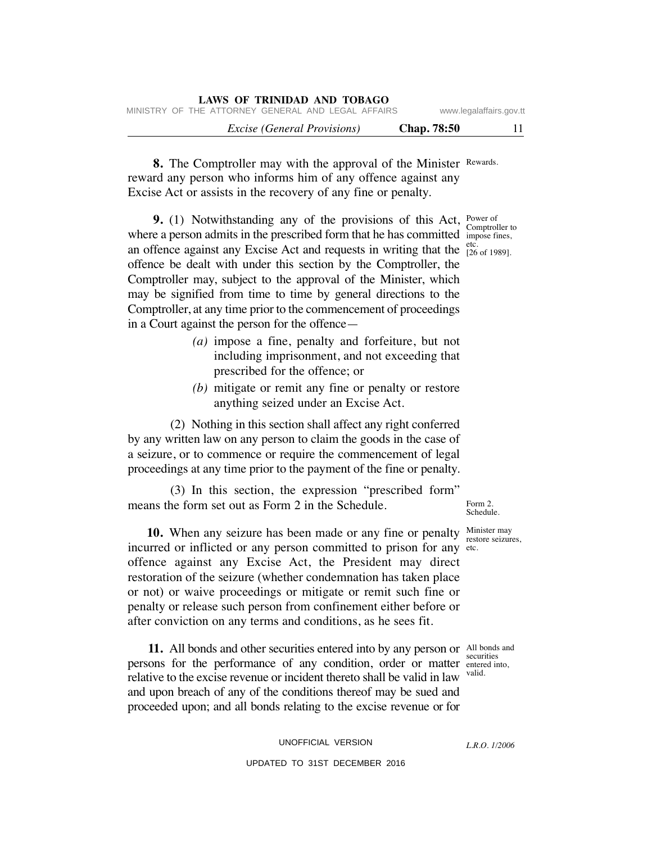| LAWS OF TRINIDAD AND TOBAGO                        |                         |
|----------------------------------------------------|-------------------------|
| MINISTRY OF THE ATTORNEY GENERAL AND LEGAL AFFAIRS | www.legalaffairs.gov.tt |
| <i>Excise</i> ( <i>General Provisions</i> )        | <b>Chap.</b> 78:50      |

8. The Comptroller may with the approval of the Minister Rewards. reward any person who informs him of any offence against any Excise Act or assists in the recovery of any fine or penalty.

**9.** (1) Notwithstanding any of the provisions of this Act, Power of where a person admits in the prescribed form that he has committed impose fines, etc. an offence against any Excise Act and requests in writing that the  $\frac{\text{etc.}}{26 \text{ of } 1989}$ . offence be dealt with under this section by the Comptroller, the Comptroller may, subject to the approval of the Minister, which may be signified from time to time by general directions to the Comptroller, at any time prior to the commencement of proceedings in a Court against the person for the offence—

- *(a)* impose a fine, penalty and forfeiture, but not including imprisonment, and not exceeding that prescribed for the offence; or
- *(b)* mitigate or remit any fine or penalty or restore anything seized under an Excise Act.

 (2) Nothing in this section shall affect any right conferred by any written law on any person to claim the goods in the case of a seizure, or to commence or require the commencement of legal proceedings at any time prior to the payment of the fine or penalty.

 (3) In this section, the expression "prescribed form" means the form set out as Form 2 in the Schedule.

**10.** When any seizure has been made or any fine or penalty Minister may incurred or inflicted or any person committed to prison for any etc. offence against any Excise Act, the President may direct restoration of the seizure (whether condemnation has taken place or not) or waive proceedings or mitigate or remit such fine or penalty or release such person from confinement either before or after conviction on any terms and conditions, as he sees fit.

11. All bonds and other securities entered into by any person or All bonds and persons for the performance of any condition, order or matter entered into, valid. relative to the excise revenue or incident thereto shall be valid in law and upon breach of any of the conditions thereof may be sued and proceeded upon; and all bonds relating to the excise revenue or for

> UNOFFICIAL VERSION UPDATED TO 31ST DECEMBER 2016

Form 2. Schedule.

restore seizures,

securities

Comptroller to

*L.R.O. 1/2006*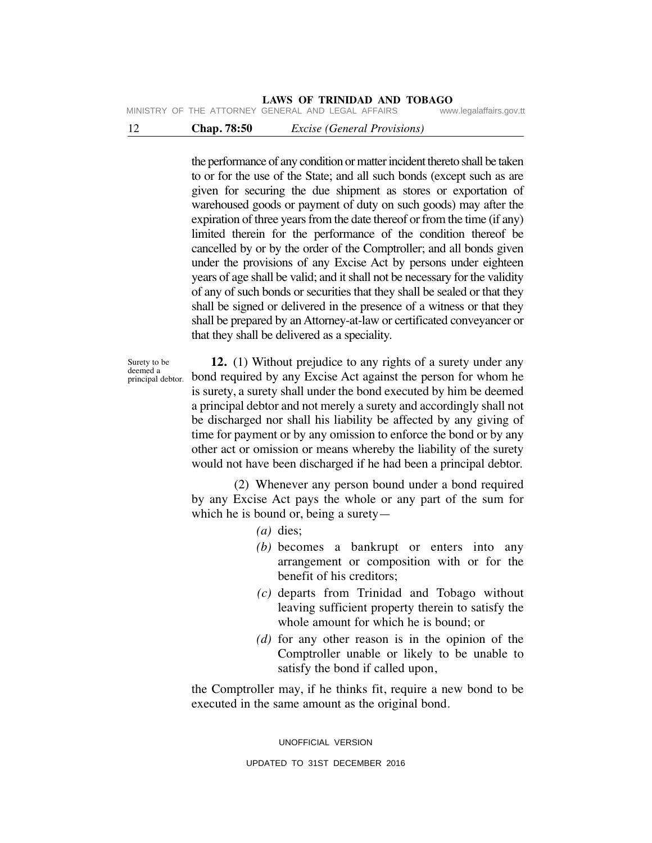MINISTRY OF THE ATTORNEY GENERAL AND LEGAL AFFAIRS

## 12 **Chap. 78:50** *Excise (General Provisions)*

the performance of any condition or matter incident thereto shall be taken to or for the use of the State; and all such bonds (except such as are given for securing the due shipment as stores or exportation of warehoused goods or payment of duty on such goods) may after the expiration of three years from the date thereof or from the time (if any) limited therein for the performance of the condition thereof be cancelled by or by the order of the Comptroller; and all bonds given under the provisions of any Excise Act by persons under eighteen years of age shall be valid; and it shall not be necessary for the validity of any of such bonds or securities that they shall be sealed or that they shall be signed or delivered in the presence of a witness or that they shall be prepared by an Attorney-at-law or certificated conveyancer or that they shall be delivered as a speciality.

Surety to be deemed a principal debtor.

 **12.** (1) Without prejudice to any rights of a surety under any bond required by any Excise Act against the person for whom he is surety, a surety shall under the bond executed by him be deemed a principal debtor and not merely a surety and accordingly shall not be discharged nor shall his liability be affected by any giving of time for payment or by any omission to enforce the bond or by any other act or omission or means whereby the liability of the surety would not have been discharged if he had been a principal debtor.

 (2) Whenever any person bound under a bond required by any Excise Act pays the whole or any part of the sum for which he is bound or, being a surety—

- *(a)* dies;
- *(b)* becomes a bankrupt or enters into any arrangement or composition with or for the benefit of his creditors;
- *(c)* departs from Trinidad and Tobago without leaving sufficient property therein to satisfy the whole amount for which he is bound; or
- *(d)* for any other reason is in the opinion of the Comptroller unable or likely to be unable to satisfy the bond if called upon,

the Comptroller may, if he thinks fit, require a new bond to be executed in the same amount as the original bond.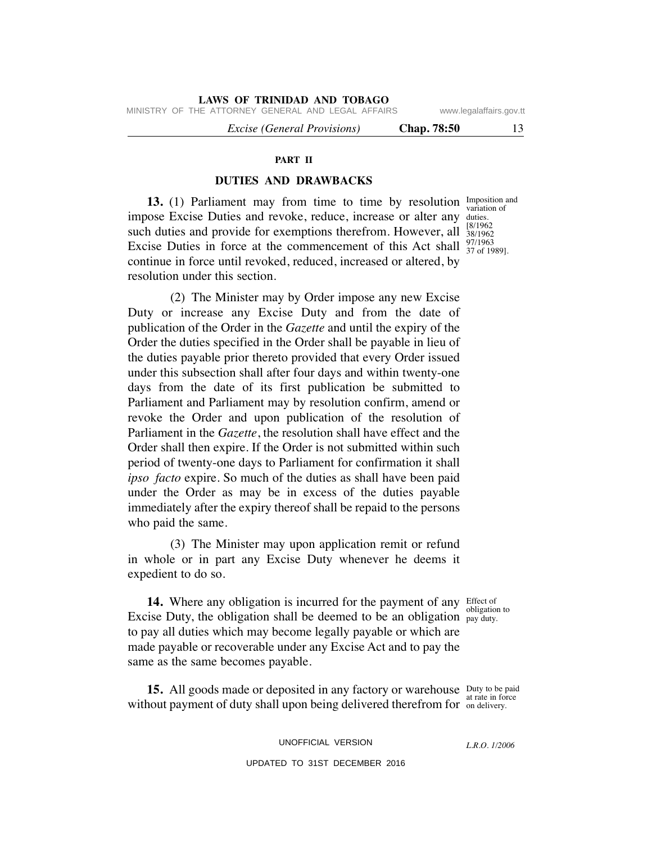MINISTRY OF THE ATTORNEY GENERAL AND LEGAL AFFAIRS www.legalaffairs.gov.tt

 *Excise (General Provisions)* **Chap. 78:50** 13

#### **PART II**

### **DUTIES AND DRAWBACKS**

**13.** (1) Parliament may from time to time by resolution Imposition and impose Excise Duties and revoke, reduce, increase or alter any duties. such duties and provide for exemptions therefrom. However, all  $\frac{1001302}{38/1962}$ Excise Duties in force at the commencement of this Act shall  $\frac{97}{37}$  of 1989]. continue in force until revoked, reduced, increased or altered, by resolution under this section.

 (2) The Minister may by Order impose any new Excise Duty or increase any Excise Duty and from the date of publication of the Order in the *Gazette* and until the expiry of the Order the duties specified in the Order shall be payable in lieu of the duties payable prior thereto provided that every Order issued under this subsection shall after four days and within twenty-one days from the date of its first publication be submitted to Parliament and Parliament may by resolution confirm, amend or revoke the Order and upon publication of the resolution of Parliament in the *Gazette*, the resolution shall have effect and the Order shall then expire. If the Order is not submitted within such period of twenty-one days to Parliament for confirmation it shall *ipso facto* expire. So much of the duties as shall have been paid under the Order as may be in excess of the duties payable immediately after the expiry thereof shall be repaid to the persons who paid the same.

 (3) The Minister may upon application remit or refund in whole or in part any Excise Duty whenever he deems it expedient to do so.

14. Where any obligation is incurred for the payment of any Effect of Excise Duty, the obligation shall be deemed to be an obligation  $_{\text{pay duty.}}$ to pay all duties which may become legally payable or which are made payable or recoverable under any Excise Act and to pay the same as the same becomes payable.

**15.** All goods made or deposited in any factory or warehouse Duty to be paid at rate in force without payment of duty shall upon being delivered therefrom for on delivery.

> UNOFFICIAL VERSION UPDATED TO 31ST DECEMBER 2016

*L.R.O. 1/2006*

obligation to

variation of [8/1962 97/1963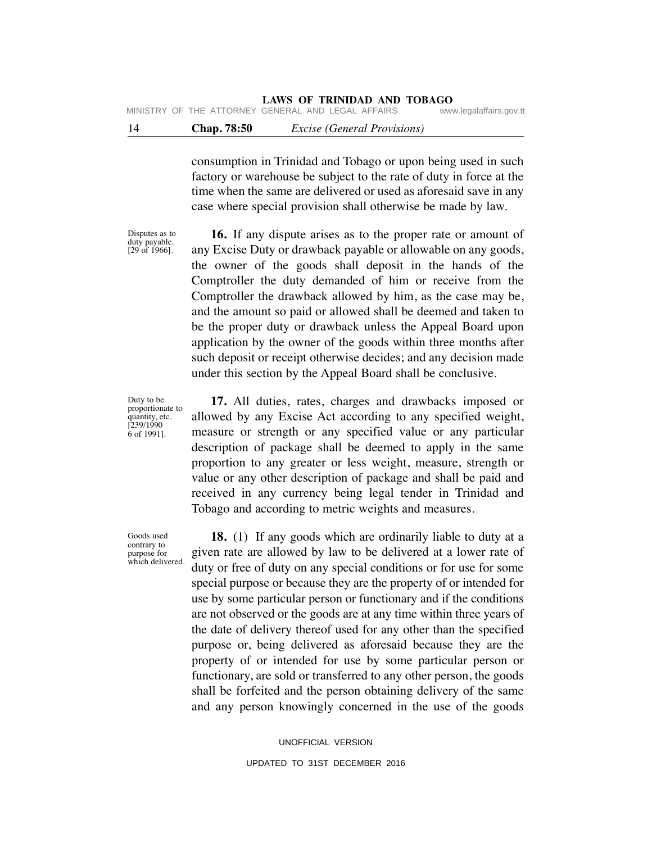consumption in Trinidad and Tobago or upon being used in such factory or warehouse be subject to the rate of duty in force at the time when the same are delivered or used as aforesaid save in any case where special provision shall otherwise be made by law.

Disputes as to duty payable. [29 of 1966].

 **16.** If any dispute arises as to the proper rate or amount of any Excise Duty or drawback payable or allowable on any goods, the owner of the goods shall deposit in the hands of the Comptroller the duty demanded of him or receive from the Comptroller the drawback allowed by him, as the case may be, and the amount so paid or allowed shall be deemed and taken to be the proper duty or drawback unless the Appeal Board upon application by the owner of the goods within three months after such deposit or receipt otherwise decides; and any decision made under this section by the Appeal Board shall be conclusive.

Duty to be proportionate to quantity, etc. [239/1990 6 of 1991].

Goods used contrary to purpose for

 **17.** All duties, rates, charges and drawbacks imposed or allowed by any Excise Act according to any specified weight, measure or strength or any specified value or any particular description of package shall be deemed to apply in the same proportion to any greater or less weight, measure, strength or value or any other description of package and shall be paid and received in any currency being legal tender in Trinidad and Tobago and according to metric weights and measures.

which delivered.  **18.** (1) If any goods which are ordinarily liable to duty at a given rate are allowed by law to be delivered at a lower rate of duty or free of duty on any special conditions or for use for some special purpose or because they are the property of or intended for use by some particular person or functionary and if the conditions are not observed or the goods are at any time within three years of the date of delivery thereof used for any other than the specified purpose or, being delivered as aforesaid because they are the property of or intended for use by some particular person or functionary, are sold or transferred to any other person, the goods shall be forfeited and the person obtaining delivery of the same and any person knowingly concerned in the use of the goods

> UNOFFICIAL VERSION UPDATED TO 31ST DECEMBER 2016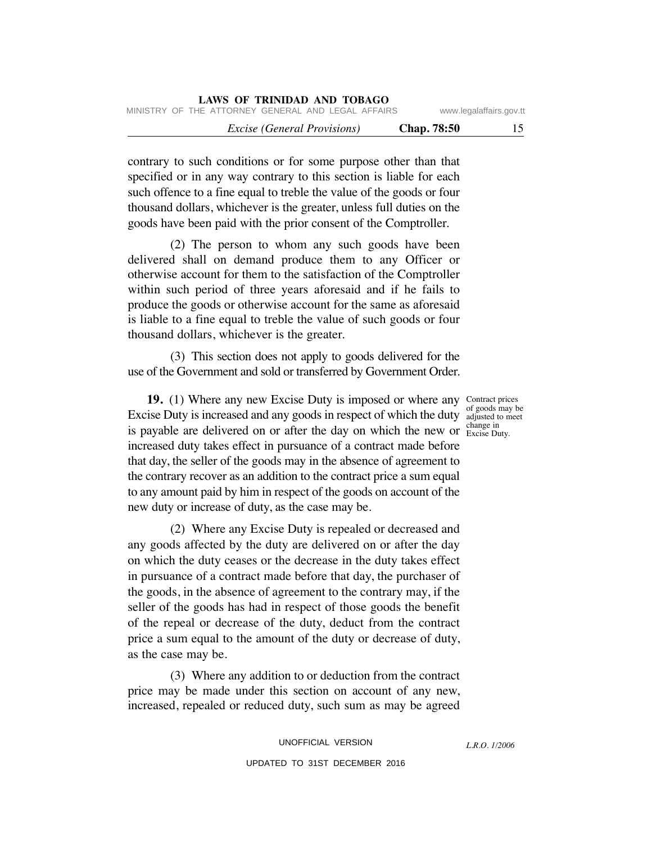|                         |                    |  |                                    | LAWS OF IRINIDAD AND TOBAGO                        |  |  |
|-------------------------|--------------------|--|------------------------------------|----------------------------------------------------|--|--|
| www.legalaffairs.gov.tt |                    |  |                                    | MINISTRY OF THE ATTORNEY GENERAL AND LEGAL AFFAIRS |  |  |
| 15                      | <b>Chap.</b> 78:50 |  | <i>Excise (General Provisions)</i> |                                                    |  |  |

contrary to such conditions or for some purpose other than that specified or in any way contrary to this section is liable for each such offence to a fine equal to treble the value of the goods or four thousand dollars, whichever is the greater, unless full duties on the goods have been paid with the prior consent of the Comptroller.

**LAWS OF TRINIDAD AND TOBAGO**

 (2) The person to whom any such goods have been delivered shall on demand produce them to any Officer or otherwise account for them to the satisfaction of the Comptroller within such period of three years aforesaid and if he fails to produce the goods or otherwise account for the same as aforesaid is liable to a fine equal to treble the value of such goods or four thousand dollars, whichever is the greater.

 (3) This section does not apply to goods delivered for the use of the Government and sold or transferred by Government Order.

**19.** (1) Where any new Excise Duty is imposed or where any Contract prices Excise Duty is increased and any goods in respect of which the duty adjusted to meet is payable are delivered on or after the day on which the new or  $\frac{\text{change in}}{\text{Excise Dury}}$ increased duty takes effect in pursuance of a contract made before that day, the seller of the goods may in the absence of agreement to the contrary recover as an addition to the contract price a sum equal to any amount paid by him in respect of the goods on account of the new duty or increase of duty, as the case may be.

 (2) Where any Excise Duty is repealed or decreased and any goods affected by the duty are delivered on or after the day on which the duty ceases or the decrease in the duty takes effect in pursuance of a contract made before that day, the purchaser of the goods, in the absence of agreement to the contrary may, if the seller of the goods has had in respect of those goods the benefit of the repeal or decrease of the duty, deduct from the contract price a sum equal to the amount of the duty or decrease of duty, as the case may be.

 (3) Where any addition to or deduction from the contract price may be made under this section on account of any new, increased, repealed or reduced duty, such sum as may be agreed

> UNOFFICIAL VERSION UPDATED TO 31ST DECEMBER 2016

of goods may be change in

*L.R.O. 1/2006*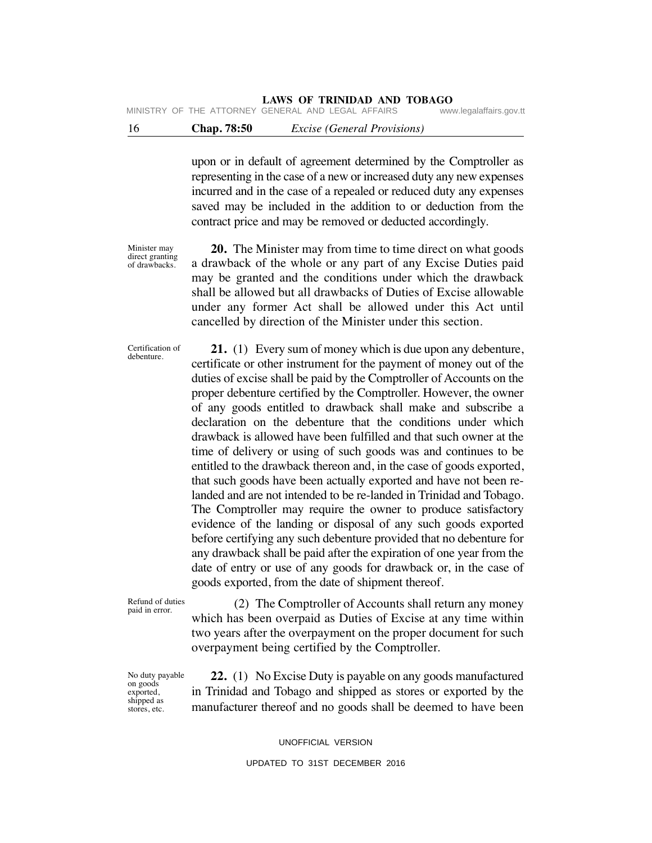MINISTRY OF THE ATTORNEY GENERAL AND LEGAL AFFAIRS

# 16 **Chap. 78:50** *Excise (General Provisions)*

upon or in default of agreement determined by the Comptroller as representing in the case of a new or increased duty any new expenses incurred and in the case of a repealed or reduced duty any expenses saved may be included in the addition to or deduction from the contract price and may be removed or deducted accordingly.

Minister may direct granting of drawbacks.

 **20.** The Minister may from time to time direct on what goods a drawback of the whole or any part of any Excise Duties paid may be granted and the conditions under which the drawback shall be allowed but all drawbacks of Duties of Excise allowable under any former Act shall be allowed under this Act until cancelled by direction of the Minister under this section.

Certification of debenture.

 **21.** (1) Every sum of money which is due upon any debenture, certificate or other instrument for the payment of money out of the duties of excise shall be paid by the Comptroller of Accounts on the proper debenture certified by the Comptroller. However, the owner of any goods entitled to drawback shall make and subscribe a declaration on the debenture that the conditions under which drawback is allowed have been fulfilled and that such owner at the time of delivery or using of such goods was and continues to be entitled to the drawback thereon and, in the case of goods exported, that such goods have been actually exported and have not been relanded and are not intended to be re-landed in Trinidad and Tobago. The Comptroller may require the owner to produce satisfactory evidence of the landing or disposal of any such goods exported before certifying any such debenture provided that no debenture for any drawback shall be paid after the expiration of one year from the date of entry or use of any goods for drawback or, in the case of goods exported, from the date of shipment thereof.

Refund of duties paid in error.

 (2) The Comptroller of Accounts shall return any money which has been overpaid as Duties of Excise at any time within two years after the overpayment on the proper document for such overpayment being certified by the Comptroller.

No duty payable on goods exported, shipped as stores, etc.

 **22.** (1) No Excise Duty is payable on any goods manufactured in Trinidad and Tobago and shipped as stores or exported by the manufacturer thereof and no goods shall be deemed to have been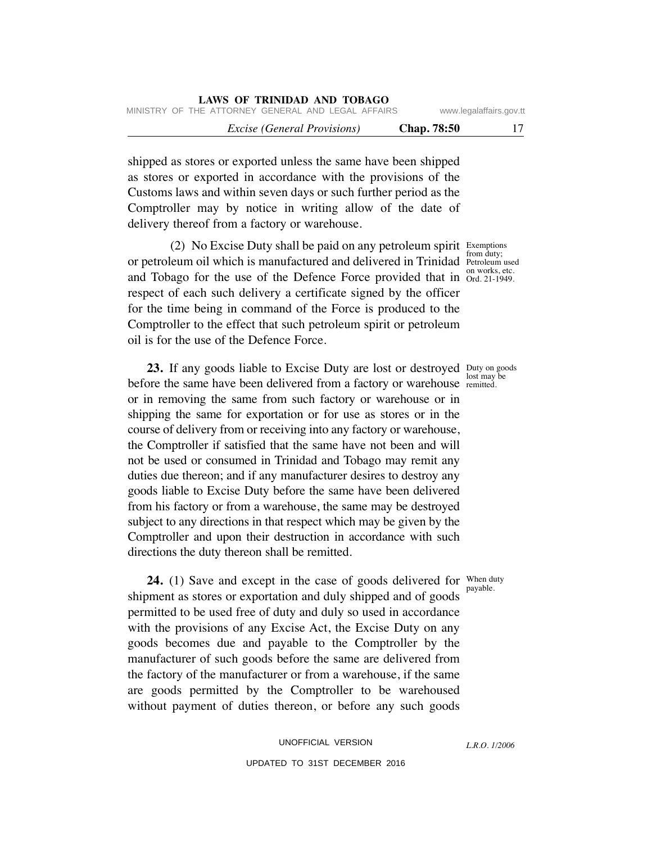| LAWS OF TRINIDAD AND TOBAGO                              |                         |    |
|----------------------------------------------------------|-------------------------|----|
| MINISTRY OF THE ATTORNEY GENERAL AND LEGAL AFFAIRS       | www.legalaffairs.gov.tt |    |
| <b>Chap.</b> 78:50<br><i>Excise (General Provisions)</i> |                         | 17 |

shipped as stores or exported unless the same have been shipped as stores or exported in accordance with the provisions of the Customs laws and within seven days or such further period as the Comptroller may by notice in writing allow of the date of delivery thereof from a factory or warehouse.

(2) No Excise Duty shall be paid on any petroleum spirit Exemptions or petroleum oil which is manufactured and delivered in Trinidad Petroleum used and Tobago for the use of the Defence Force provided that in  $Ord$  21-1949. respect of each such delivery a certificate signed by the officer for the time being in command of the Force is produced to the Comptroller to the effect that such petroleum spirit or petroleum oil is for the use of the Defence Force.

**23.** If any goods liable to Excise Duty are lost or destroyed Duty on goods before the same have been delivered from a factory or warehouse remitted. or in removing the same from such factory or warehouse or in shipping the same for exportation or for use as stores or in the course of delivery from or receiving into any factory or warehouse, the Comptroller if satisfied that the same have not been and will not be used or consumed in Trinidad and Tobago may remit any duties due thereon; and if any manufacturer desires to destroy any goods liable to Excise Duty before the same have been delivered from his factory or from a warehouse, the same may be destroyed subject to any directions in that respect which may be given by the Comptroller and upon their destruction in accordance with such directions the duty thereon shall be remitted.

**24.** (1) Save and except in the case of goods delivered for When duty shipment as stores or exportation and duly shipped and of goods permitted to be used free of duty and duly so used in accordance with the provisions of any Excise Act, the Excise Duty on any goods becomes due and payable to the Comptroller by the manufacturer of such goods before the same are delivered from the factory of the manufacturer or from a warehouse, if the same are goods permitted by the Comptroller to be warehoused without payment of duties thereon, or before any such goods

> UNOFFICIAL VERSION UPDATED TO 31ST DECEMBER 2016

from duty; on works, etc.

lost may be

payable.

*L.R.O. 1/2006*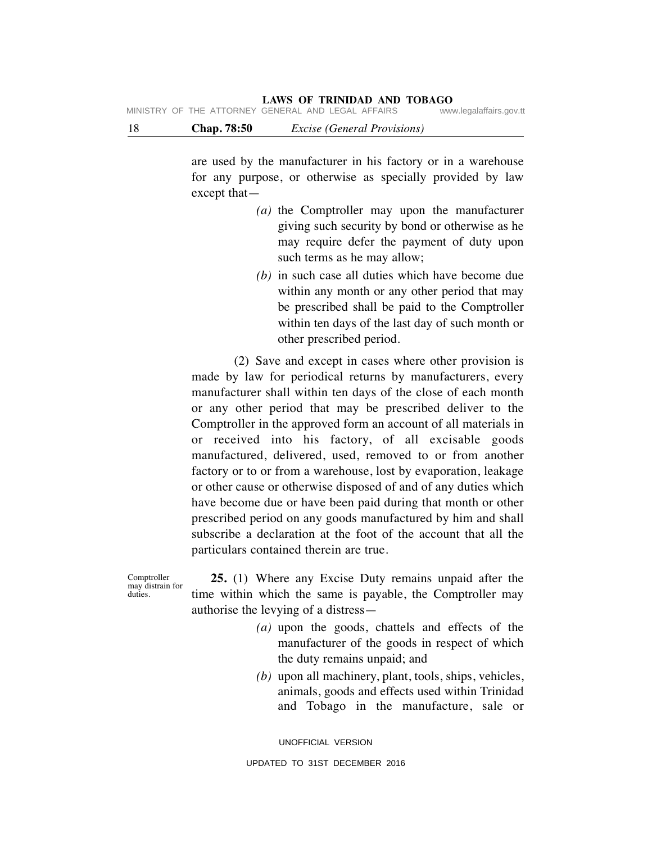# **LAWS OF TRINIDAD AND TOBAGO**<br>GENERAL AND LEGAL AFFAIRS www.legalaffairs.gov.tt

18 **Chap. 78:50** *Excise (General Provisions)*

are used by the manufacturer in his factory or in a warehouse for any purpose, or otherwise as specially provided by law except that—

- *(a)* the Comptroller may upon the manufacturer giving such security by bond or otherwise as he may require defer the payment of duty upon such terms as he may allow;
- *(b)* in such case all duties which have become due within any month or any other period that may be prescribed shall be paid to the Comptroller within ten days of the last day of such month or other prescribed period.

 (2) Save and except in cases where other provision is made by law for periodical returns by manufacturers, every manufacturer shall within ten days of the close of each month or any other period that may be prescribed deliver to the Comptroller in the approved form an account of all materials in or received into his factory, of all excisable goods manufactured, delivered, used, removed to or from another factory or to or from a warehouse, lost by evaporation, leakage or other cause or otherwise disposed of and of any duties which have become due or have been paid during that month or other prescribed period on any goods manufactured by him and shall subscribe a declaration at the foot of the account that all the particulars contained therein are true.

Comptroller may distrain for duties.

 **25.** (1) Where any Excise Duty remains unpaid after the time within which the same is payable, the Comptroller may authorise the levying of a distress—

- *(a)* upon the goods, chattels and effects of the manufacturer of the goods in respect of which the duty remains unpaid; and
- *(b)* upon all machinery, plant, tools, ships, vehicles, animals, goods and effects used within Trinidad and Tobago in the manufacture, sale or

UNOFFICIAL VERSION UPDATED TO 31ST DECEMBER 2016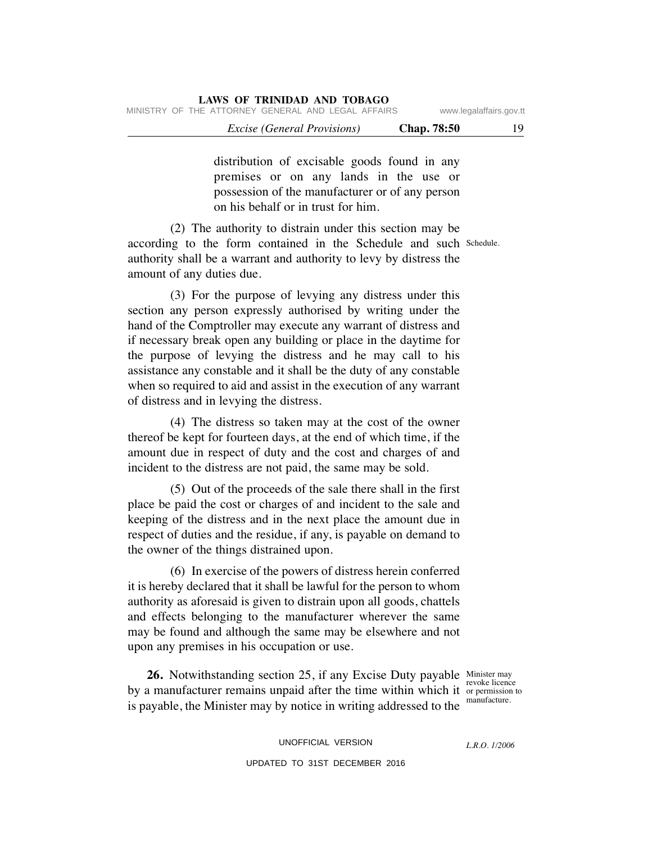|                                                    | LAWS OF INIMIDAD AND TODAUO        |                          |
|----------------------------------------------------|------------------------------------|--------------------------|
| MINISTRY OF THE ATTORNEY GENERAL AND LEGAL AFFAIRS |                                    | www.legalaffairs.gov.tt  |
|                                                    | <i>Excise (General Provisions)</i> | <b>Chap.</b> 78:50<br>19 |

distribution of excisable goods found in any premises or on any lands in the use or possession of the manufacturer or of any person on his behalf or in trust for him.

according to the form contained in the Schedule and such Schedule. (2) The authority to distrain under this section may be authority shall be a warrant and authority to levy by distress the amount of any duties due.

 (3) For the purpose of levying any distress under this section any person expressly authorised by writing under the hand of the Comptroller may execute any warrant of distress and if necessary break open any building or place in the daytime for the purpose of levying the distress and he may call to his assistance any constable and it shall be the duty of any constable when so required to aid and assist in the execution of any warrant of distress and in levying the distress.

 (4) The distress so taken may at the cost of the owner thereof be kept for fourteen days, at the end of which time, if the amount due in respect of duty and the cost and charges of and incident to the distress are not paid, the same may be sold.

 (5) Out of the proceeds of the sale there shall in the first place be paid the cost or charges of and incident to the sale and keeping of the distress and in the next place the amount due in respect of duties and the residue, if any, is payable on demand to the owner of the things distrained upon.

 (6) In exercise of the powers of distress herein conferred it is hereby declared that it shall be lawful for the person to whom authority as aforesaid is given to distrain upon all goods, chattels and effects belonging to the manufacturer wherever the same may be found and although the same may be elsewhere and not upon any premises in his occupation or use.

**26.** Notwithstanding section 25, if any Excise Duty payable Minister may by a manufacturer remains unpaid after the time within which it or permission to is payable, the Minister may by notice in writing addressed to the

revoke licence manufacture.

UNOFFICIAL VERSION UPDATED TO 31ST DECEMBER 2016

*L.R.O. 1/2006*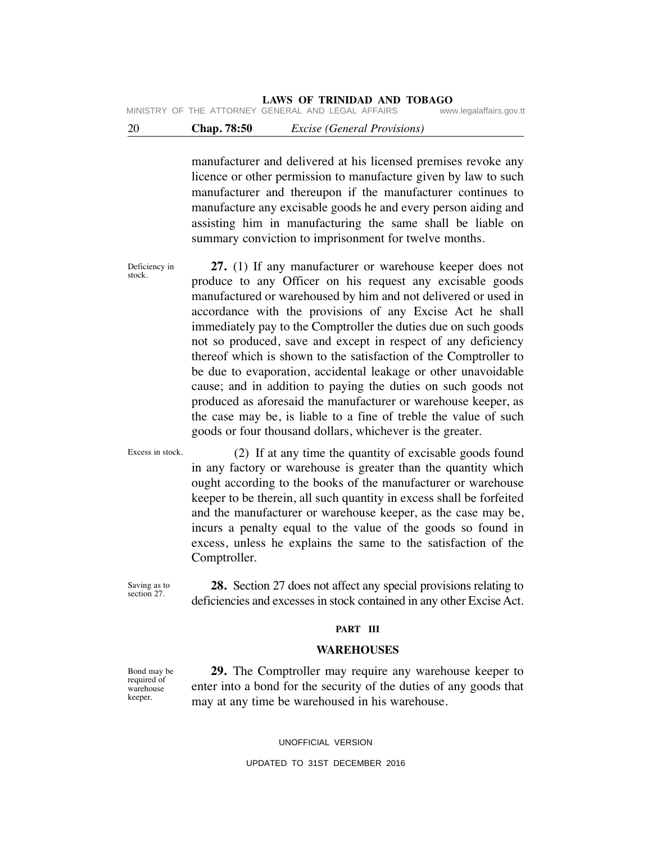# **LAWS OF TRINIDAD AND TOBAGO**<br>GENERAL AND LEGAL AFFAIRS www.legalaffairs.gov.tt

MINISTRY OF THE ATTORNEY GENERAL AND LEGAL AFFAIRS

# 20 **Chap. 78:50** *Excise (General Provisions)*

manufacturer and delivered at his licensed premises revoke any licence or other permission to manufacture given by law to such manufacturer and thereupon if the manufacturer continues to manufacture any excisable goods he and every person aiding and assisting him in manufacturing the same shall be liable on summary conviction to imprisonment for twelve months.

Deficiency in stock.  **27.** (1) If any manufacturer or warehouse keeper does not produce to any Officer on his request any excisable goods manufactured or warehoused by him and not delivered or used in accordance with the provisions of any Excise Act he shall immediately pay to the Comptroller the duties due on such goods not so produced, save and except in respect of any deficiency thereof which is shown to the satisfaction of the Comptroller to be due to evaporation, accidental leakage or other unavoidable cause; and in addition to paying the duties on such goods not produced as aforesaid the manufacturer or warehouse keeper, as the case may be, is liable to a fine of treble the value of such goods or four thousand dollars, whichever is the greater.

Excess in stock. (2) If at any time the quantity of excisable goods found in any factory or warehouse is greater than the quantity which ought according to the books of the manufacturer or warehouse keeper to be therein, all such quantity in excess shall be forfeited and the manufacturer or warehouse keeper, as the case may be, incurs a penalty equal to the value of the goods so found in excess, unless he explains the same to the satisfaction of the Comptroller.

Saving as to section 27.

 **28.** Section 27 does not affect any special provisions relating to deficiencies and excesses in stock contained in any other Excise Act.

### **PART III**

### **WAREHOUSES**

 **29.** The Comptroller may require any warehouse keeper to enter into a bond for the security of the duties of any goods that may at any time be warehoused in his warehouse.

UNOFFICIAL VERSION

Bond may be required of warehouse keeper.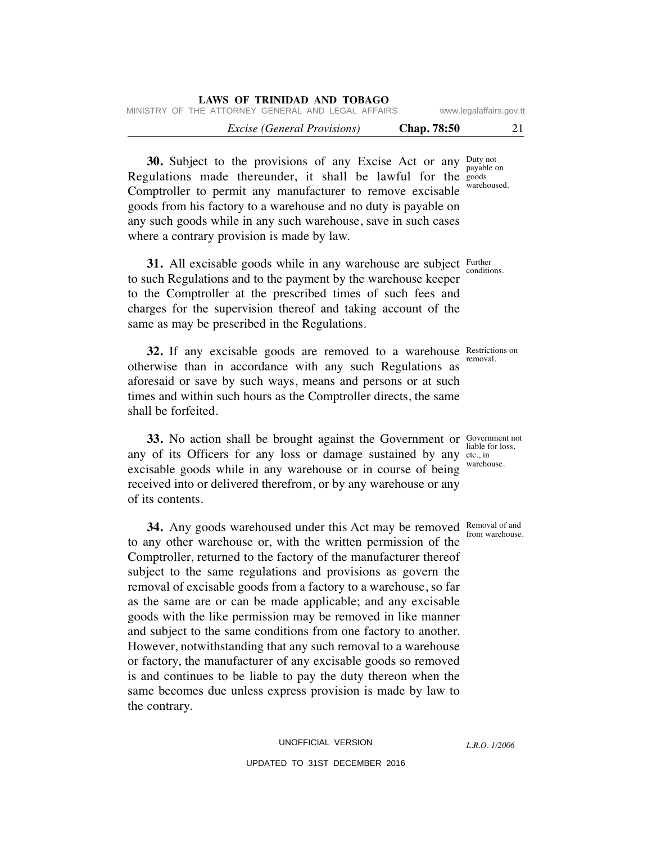| LAWS OF TRINIDAD AND TOBAGO                        |                    |                         |
|----------------------------------------------------|--------------------|-------------------------|
| MINISTRY OF THE ATTORNEY GENERAL AND LEGAL AFFAIRS |                    | www.legalaffairs.gov.tt |
| <i>Excise (General Provisions)</i>                 | <b>Chap.</b> 78:50 | 21                      |

**30.** Subject to the provisions of any Excise Act or any Duty not payable on Regulations made thereunder, it shall be lawful for the  $\frac{1}{2}$ warehoused. Comptroller to permit any manufacturer to remove excisable goods from his factory to a warehouse and no duty is payable on any such goods while in any such warehouse, save in such cases where a contrary provision is made by law.

**31.** All excisable goods while in any warehouse are subject Further conditions. to such Regulations and to the payment by the warehouse keeper to the Comptroller at the prescribed times of such fees and charges for the supervision thereof and taking account of the same as may be prescribed in the Regulations.

**32.** If any excisable goods are removed to a warehouse Restriction otherwise than in accordance with any such Regulations as aforesaid or save by such ways, means and persons or at such times and within such hours as the Comptroller directs, the same shall be forfeited.

**33.** No action shall be brought against the Government or Government not liable for loss, any of its Officers for any loss or damage sustained by any  $\frac{1}{\text{etc.}}, \frac{1}{\text{in}}$ excisable goods while in any warehouse or in course of being received into or delivered therefrom, or by any warehouse or any of its contents.

**34.** Any goods warehoused under this Act may be removed Removal of and to any other warehouse or, with the written permission of the Comptroller, returned to the factory of the manufacturer thereof subject to the same regulations and provisions as govern the removal of excisable goods from a factory to a warehouse, so far as the same are or can be made applicable; and any excisable goods with the like permission may be removed in like manner and subject to the same conditions from one factory to another. However, notwithstanding that any such removal to a warehouse or factory, the manufacturer of any excisable goods so removed is and continues to be liable to pay the duty thereon when the same becomes due unless express provision is made by law to the contrary.

*L.R.O. 1/2006*

from warehouse.

warehouse.

Restrictions on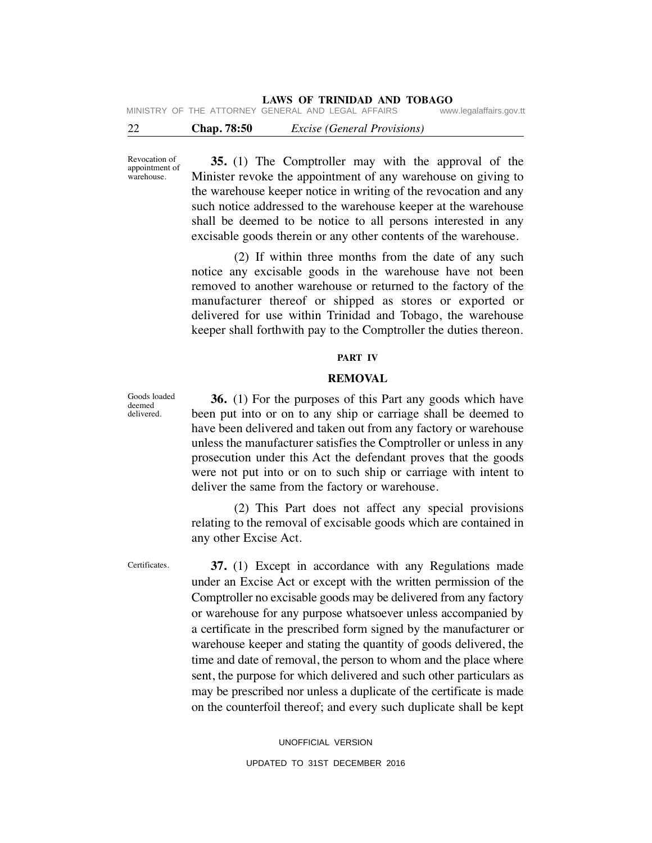| 22 | <b>Chap.</b> 78:50 | <i>Excise (General Provisions)</i>                 |                         |
|----|--------------------|----------------------------------------------------|-------------------------|
|    |                    | MINISTRY OF THE ATTORNEY GENERAL AND LEGAL AFFAIRS | www.legalaffairs.gov.tt |

Revocation of appointment of warehouse.

 **35.** (1) The Comptroller may with the approval of the Minister revoke the appointment of any warehouse on giving to the warehouse keeper notice in writing of the revocation and any such notice addressed to the warehouse keeper at the warehouse shall be deemed to be notice to all persons interested in any excisable goods therein or any other contents of the warehouse.

 (2) If within three months from the date of any such notice any excisable goods in the warehouse have not been removed to another warehouse or returned to the factory of the manufacturer thereof or shipped as stores or exported or delivered for use within Trinidad and Tobago, the warehouse keeper shall forthwith pay to the Comptroller the duties thereon.

## **PART IV**

#### **REMOVAL**

 **36.** (1) For the purposes of this Part any goods which have been put into or on to any ship or carriage shall be deemed to have been delivered and taken out from any factory or warehouse unless the manufacturer satisfies the Comptroller or unless in any prosecution under this Act the defendant proves that the goods were not put into or on to such ship or carriage with intent to deliver the same from the factory or warehouse.

 (2) This Part does not affect any special provisions relating to the removal of excisable goods which are contained in any other Excise Act.

Certificates.

 **37.** (1) Except in accordance with any Regulations made under an Excise Act or except with the written permission of the Comptroller no excisable goods may be delivered from any factory or warehouse for any purpose whatsoever unless accompanied by a certificate in the prescribed form signed by the manufacturer or warehouse keeper and stating the quantity of goods delivered, the time and date of removal, the person to whom and the place where sent, the purpose for which delivered and such other particulars as may be prescribed nor unless a duplicate of the certificate is made on the counterfoil thereof; and every such duplicate shall be kept

> UNOFFICIAL VERSION UPDATED TO 31ST DECEMBER 2016

Goods loaded deemed delivered.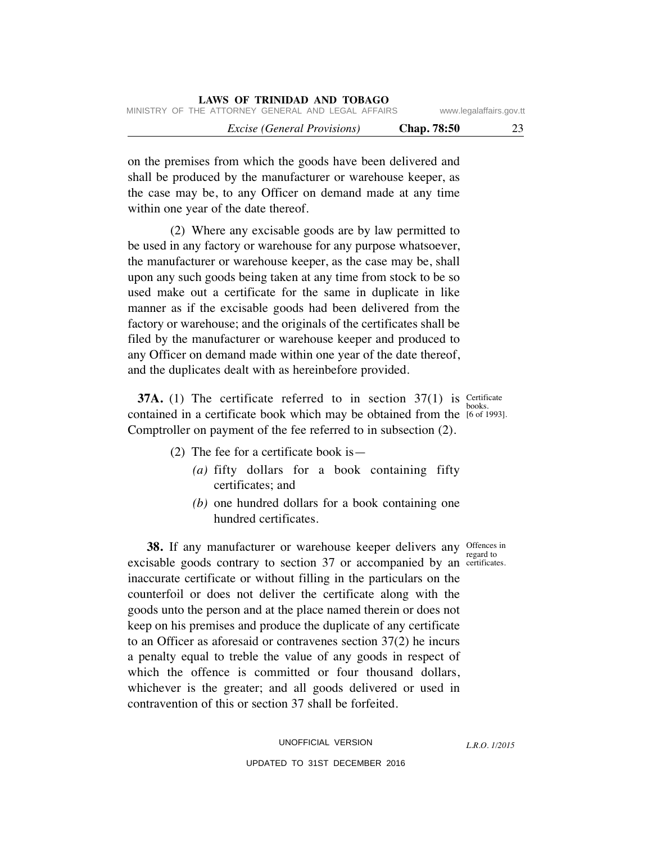on the premises from which the goods have been delivered and shall be produced by the manufacturer or warehouse keeper, as the case may be, to any Officer on demand made at any time within one year of the date thereof.

 (2) Where any excisable goods are by law permitted to be used in any factory or warehouse for any purpose whatsoever, the manufacturer or warehouse keeper, as the case may be, shall upon any such goods being taken at any time from stock to be so used make out a certificate for the same in duplicate in like manner as if the excisable goods had been delivered from the factory or warehouse; and the originals of the certificates shall be filed by the manufacturer or warehouse keeper and produced to any Officer on demand made within one year of the date thereof, and the duplicates dealt with as hereinbefore provided.

**37A.** (1) The certificate referred to in section  $37(1)$  is Certificate books. contained in a certificate book which may be obtained from the  $[6 \text{ of } 1993]$ . Comptroller on payment of the fee referred to in subsection (2).

- (2) The fee for a certificate book is—
	- *(a)* fifty dollars for a book containing fifty certificates; and
	- *(b)* one hundred dollars for a book containing one hundred certificates.

regard to

*L.R.O. 1/2015*

**38.** If any manufacturer or warehouse keeper delivers any offences in excisable goods contrary to section 37 or accompanied by an certificates. inaccurate certificate or without filling in the particulars on the counterfoil or does not deliver the certificate along with the goods unto the person and at the place named therein or does not keep on his premises and produce the duplicate of any certificate to an Officer as aforesaid or contravenes section 37(2) he incurs a penalty equal to treble the value of any goods in respect of which the offence is committed or four thousand dollars, whichever is the greater; and all goods delivered or used in contravention of this or section 37 shall be forfeited.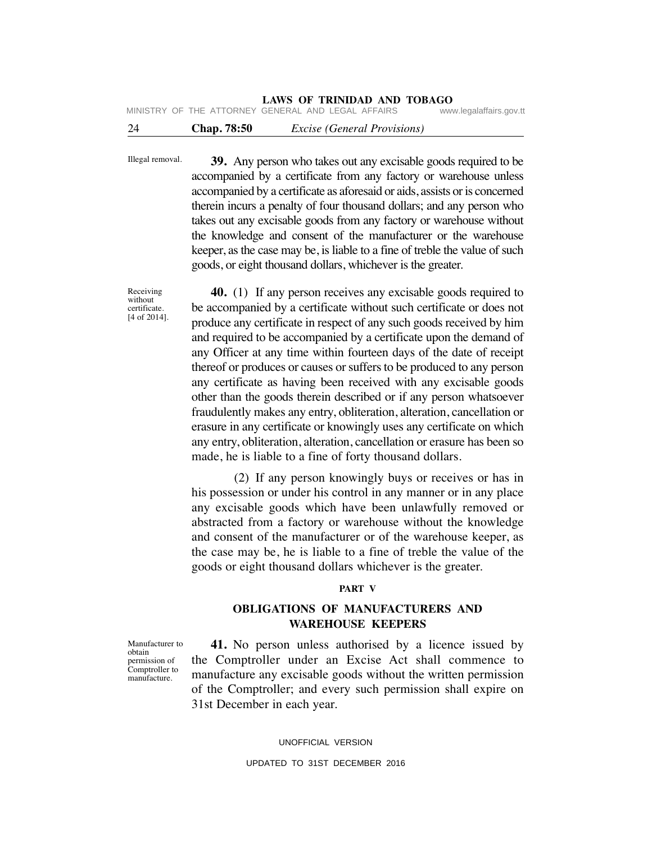MINISTRY OF THE ATTORNEY GENERAL AND LEGAL AFFAIRS

# 24 **Chap. 78:50** *Excise (General Provisions)*

Illegal removal.  **39.** Any person who takes out any excisable goods required to be accompanied by a certificate from any factory or warehouse unless accompanied by a certificate as aforesaid or aids, assists or is concerned therein incurs a penalty of four thousand dollars; and any person who takes out any excisable goods from any factory or warehouse without the knowledge and consent of the manufacturer or the warehouse keeper, as the case may be, is liable to a fine of treble the value of such goods, or eight thousand dollars, whichever is the greater.

> **40.** (1) If any person receives any excisable goods required to be accompanied by a certificate without such certificate or does not produce any certificate in respect of any such goods received by him and required to be accompanied by a certificate upon the demand of any Officer at any time within fourteen days of the date of receipt thereof or produces or causes or suffers to be produced to any person any certificate as having been received with any excisable goods other than the goods therein described or if any person whatsoever fraudulently makes any entry, obliteration, alteration, cancellation or erasure in any certificate or knowingly uses any certificate on which any entry, obliteration, alteration, cancellation or erasure has been so made, he is liable to a fine of forty thousand dollars.

> (2) If any person knowingly buys or receives or has in his possession or under his control in any manner or in any place any excisable goods which have been unlawfully removed or abstracted from a factory or warehouse without the knowledge and consent of the manufacturer or of the warehouse keeper, as the case may be, he is liable to a fine of treble the value of the goods or eight thousand dollars whichever is the greater.

### **PART V**

# **OBLIGATIONS OF MANUFACTURERS AND WAREHOUSE KEEPERS**

 **41.** No person unless authorised by a licence issued by the Comptroller under an Excise Act shall commence to manufacture any excisable goods without the written permission of the Comptroller; and every such permission shall expire on 31st December in each year.

UNOFFICIAL VERSION

Manufacturer to obtain permission of Comptroller to manufacture.

Receiving without certificate. [4 of 2014].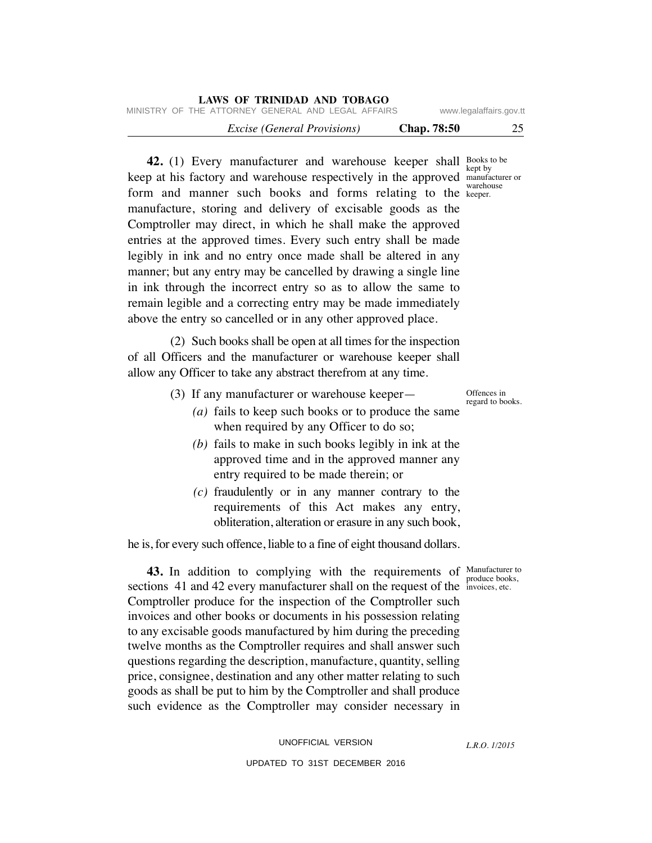| LAWS OF TRINIDAD AND TOBAGO                        |                          |
|----------------------------------------------------|--------------------------|
| MINISTRY OF THE ATTORNEY GENERAL AND LEGAL AFFAIRS | www.legalaffairs.gov.tt  |
| <i>Excise (General Provisions)</i>                 | 25<br><b>Chap.</b> 78:50 |

**42.** (1) Every manufacturer and warehouse keeper shall Books to be keep at his factory and warehouse respectively in the approved manufacturer or form and manner such books and forms relating to the keeper. manufacture, storing and delivery of excisable goods as the Comptroller may direct, in which he shall make the approved entries at the approved times. Every such entry shall be made legibly in ink and no entry once made shall be altered in any manner; but any entry may be cancelled by drawing a single line in ink through the incorrect entry so as to allow the same to remain legible and a correcting entry may be made immediately above the entry so cancelled or in any other approved place.

 (2) Such books shall be open at all times for the inspection of all Officers and the manufacturer or warehouse keeper shall allow any Officer to take any abstract therefrom at any time.

- (3) If any manufacturer or warehouse keeper—
	- *(a)* fails to keep such books or to produce the same when required by any Officer to do so;
	- *(b)* fails to make in such books legibly in ink at the approved time and in the approved manner any entry required to be made therein; or
	- *(c)* fraudulently or in any manner contrary to the requirements of this Act makes any entry, obliteration, alteration or erasure in any such book,

he is, for every such offence, liable to a fine of eight thousand dollars.

produce books,

*L.R.O. 1/2015*

**43.** In addition to complying with the requirements of Manufacturer to sections 41 and 42 every manufacturer shall on the request of the invoices, etc. Comptroller produce for the inspection of the Comptroller such invoices and other books or documents in his possession relating to any excisable goods manufactured by him during the preceding twelve months as the Comptroller requires and shall answer such questions regarding the description, manufacture, quantity, selling price, consignee, destination and any other matter relating to such goods as shall be put to him by the Comptroller and shall produce such evidence as the Comptroller may consider necessary in

kept by warehouse

Offences in regard to books.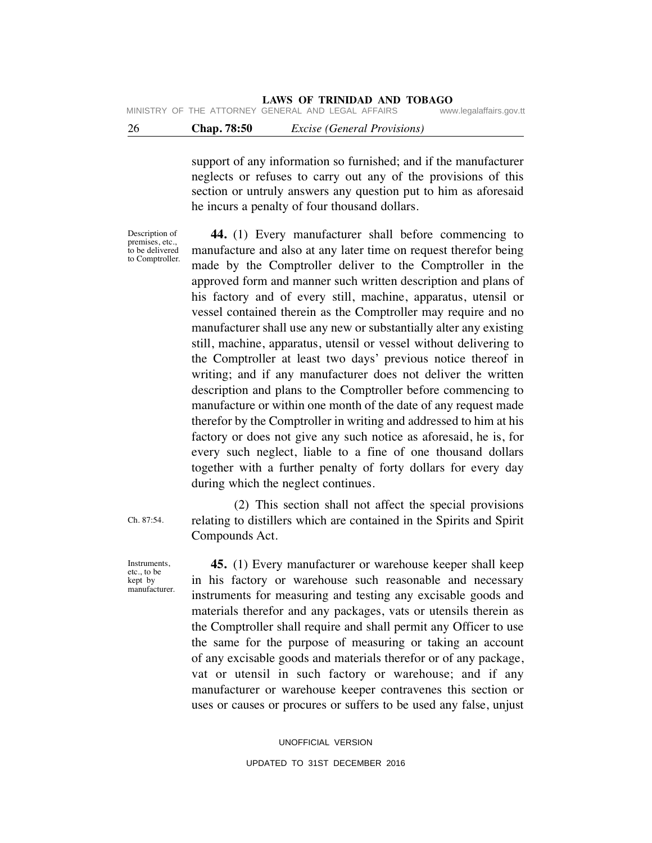support of any information so furnished; and if the manufacturer neglects or refuses to carry out any of the provisions of this section or untruly answers any question put to him as aforesaid he incurs a penalty of four thousand dollars.

Description of premises, etc., to be delivered to Comptroller.

 **44.** (1) Every manufacturer shall before commencing to manufacture and also at any later time on request therefor being made by the Comptroller deliver to the Comptroller in the approved form and manner such written description and plans of his factory and of every still, machine, apparatus, utensil or vessel contained therein as the Comptroller may require and no manufacturer shall use any new or substantially alter any existing still, machine, apparatus, utensil or vessel without delivering to the Comptroller at least two days' previous notice thereof in writing; and if any manufacturer does not deliver the written description and plans to the Comptroller before commencing to manufacture or within one month of the date of any request made therefor by the Comptroller in writing and addressed to him at his factory or does not give any such notice as aforesaid, he is, for every such neglect, liable to a fine of one thousand dollars together with a further penalty of forty dollars for every day during which the neglect continues.

Ch. 87:54.

 (2) This section shall not affect the special provisions relating to distillers which are contained in the Spirits and Spirit Compounds Act.

**Instruments** etc., to be kept by manufacturer.

 **45.** (1) Every manufacturer or warehouse keeper shall keep in his factory or warehouse such reasonable and necessary instruments for measuring and testing any excisable goods and materials therefor and any packages, vats or utensils therein as the Comptroller shall require and shall permit any Officer to use the same for the purpose of measuring or taking an account of any excisable goods and materials therefor or of any package, vat or utensil in such factory or warehouse; and if any manufacturer or warehouse keeper contravenes this section or uses or causes or procures or suffers to be used any false, unjust

> UNOFFICIAL VERSION UPDATED TO 31ST DECEMBER 2016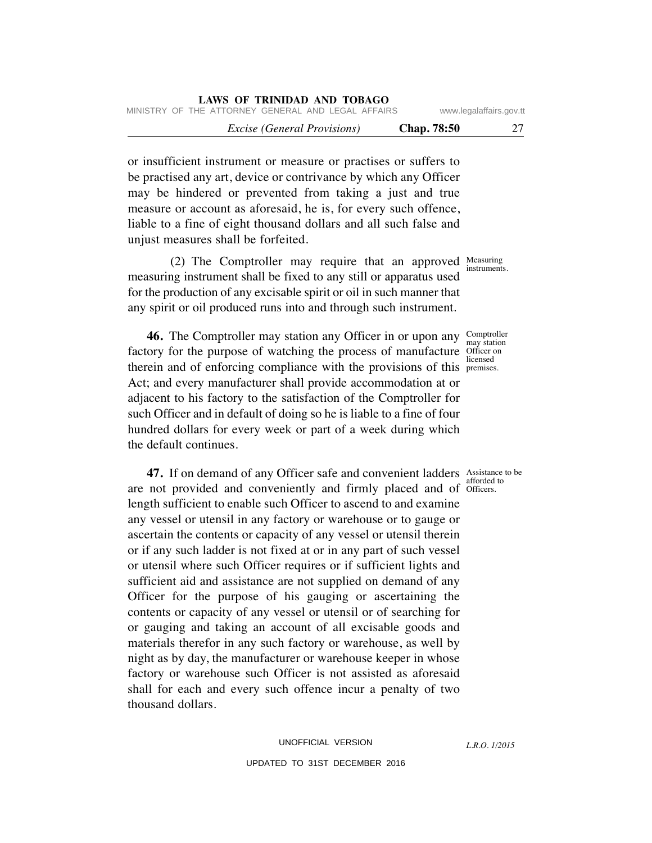|                         |                    | LAWS OF IRINIDAD AND TOBAGO                        |  |  |
|-------------------------|--------------------|----------------------------------------------------|--|--|
| www.legalaffairs.gov.tt |                    | MINISTRY OF THE ATTORNEY GENERAL AND LEGAL AFFAIRS |  |  |
| 27                      | <b>Chap.</b> 78:50 | <i>Excise (General Provisions)</i>                 |  |  |

or insufficient instrument or measure or practises or suffers to be practised any art, device or contrivance by which any Officer may be hindered or prevented from taking a just and true measure or account as aforesaid, he is, for every such offence, liable to a fine of eight thousand dollars and all such false and unjust measures shall be forfeited.

**LAWS OF TRINIDAD AND TOBAGO**

(2) The Comptroller may require that an approved  $\frac{\text{Measuring}}{\text{interment}}$ measuring instrument shall be fixed to any still or apparatus used for the production of any excisable spirit or oil in such manner that any spirit or oil produced runs into and through such instrument.

factory for the purpose of watching the process of manufacture Officer on therein and of enforcing compliance with the provisions of this premises.  **46.** The Comptroller may station any Officer in or upon any Act; and every manufacturer shall provide accommodation at or adjacent to his factory to the satisfaction of the Comptroller for such Officer and in default of doing so he is liable to a fine of four hundred dollars for every week or part of a week during which the default continues.

**47.** If on demand of any Officer safe and convenient ladders Assistance to be are not provided and conveniently and firmly placed and of officers. length sufficient to enable such Officer to ascend to and examine any vessel or utensil in any factory or warehouse or to gauge or ascertain the contents or capacity of any vessel or utensil therein or if any such ladder is not fixed at or in any part of such vessel or utensil where such Officer requires or if sufficient lights and sufficient aid and assistance are not supplied on demand of any Officer for the purpose of his gauging or ascertaining the contents or capacity of any vessel or utensil or of searching for or gauging and taking an account of all excisable goods and materials therefor in any such factory or warehouse, as well by night as by day, the manufacturer or warehouse keeper in whose factory or warehouse such Officer is not assisted as aforesaid shall for each and every such offence incur a penalty of two thousand dollars.

instruments.

Comptroller may station licensed

afforded to

*L.R.O. 1/2015*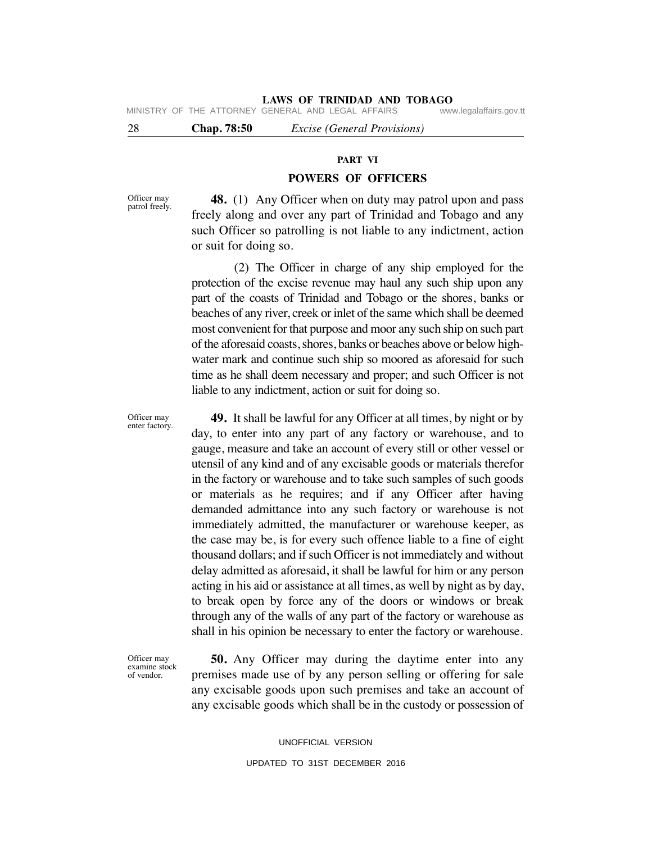# **LAWS OF TRINIDAD AND TOBAGO**<br>GENERAL AND LEGAL AFFAIRS www.legalaffairs.gov.tt

MINISTRY OF THE ATTORNEY GENERAL AND LEGAL AFFAIRS

28 **Chap. 78:50** *Excise (General Provisions)*

### **PART VI**

### **POWERS OF OFFICERS**

Officer may patrol freely.

Officer may enter factory.

 **48.** (1) Any Officer when on duty may patrol upon and pass freely along and over any part of Trinidad and Tobago and any such Officer so patrolling is not liable to any indictment, action or suit for doing so.

 (2) The Officer in charge of any ship employed for the protection of the excise revenue may haul any such ship upon any part of the coasts of Trinidad and Tobago or the shores, banks or beaches of any river, creek or inlet of the same which shall be deemed most convenient for that purpose and moor any such ship on such part of the aforesaid coasts, shores, banks or beaches above or below highwater mark and continue such ship so moored as aforesaid for such time as he shall deem necessary and proper; and such Officer is not liable to any indictment, action or suit for doing so.

 **49.** It shall be lawful for any Officer at all times, by night or by day, to enter into any part of any factory or warehouse, and to gauge, measure and take an account of every still or other vessel or utensil of any kind and of any excisable goods or materials therefor in the factory or warehouse and to take such samples of such goods or materials as he requires; and if any Officer after having demanded admittance into any such factory or warehouse is not immediately admitted, the manufacturer or warehouse keeper, as the case may be, is for every such offence liable to a fine of eight thousand dollars; and if such Officer is not immediately and without delay admitted as aforesaid, it shall be lawful for him or any person acting in his aid or assistance at all times, as well by night as by day, to break open by force any of the doors or windows or break through any of the walls of any part of the factory or warehouse as shall in his opinion be necessary to enter the factory or warehouse.

Officer may examine stock of vendor.

 **50.** Any Officer may during the daytime enter into any premises made use of by any person selling or offering for sale any excisable goods upon such premises and take an account of any excisable goods which shall be in the custody or possession of

> UNOFFICIAL VERSION UPDATED TO 31ST DECEMBER 2016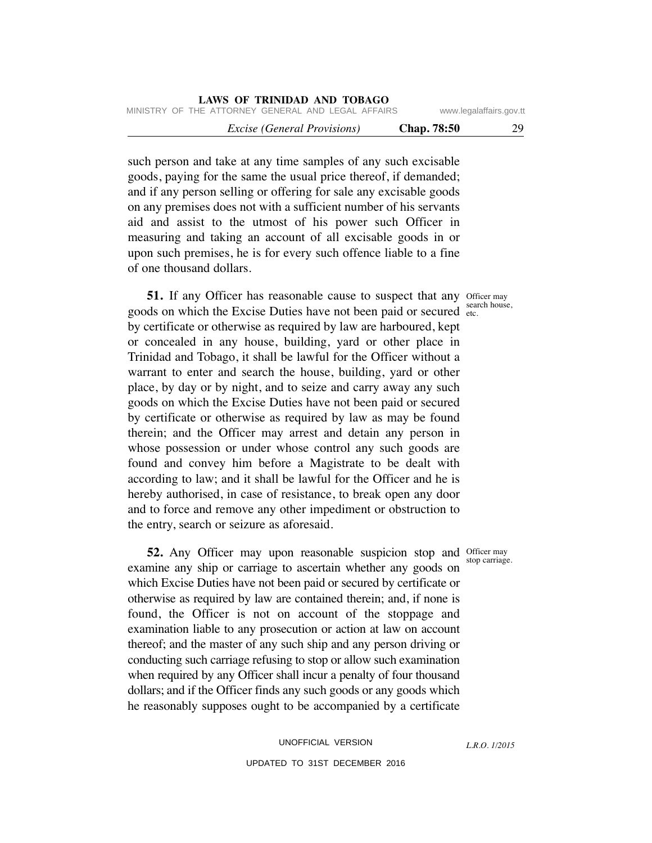| <b>LAWS OF TRINIDAD AND TOBAGO</b>                 |                    |                         |  |  |  |  |  |
|----------------------------------------------------|--------------------|-------------------------|--|--|--|--|--|
| MINISTRY OF THE ATTORNEY GENERAL AND LEGAL AFFAIRS |                    | www.legalaffairs.gov.tt |  |  |  |  |  |
| <i>Excise (General Provisions)</i>                 | <b>Chap.</b> 78:50 | 29                      |  |  |  |  |  |

such person and take at any time samples of any such excisable goods, paying for the same the usual price thereof, if demanded; and if any person selling or offering for sale any excisable goods on any premises does not with a sufficient number of his servants aid and assist to the utmost of his power such Officer in measuring and taking an account of all excisable goods in or upon such premises, he is for every such offence liable to a fine of one thousand dollars.

**51.** If any Officer has reasonable cause to suspect that any Officer may goods on which the Excise Duties have not been paid or secured  $\frac{3.648}{\text{etc.}}$ by certificate or otherwise as required by law are harboured, kept or concealed in any house, building, yard or other place in Trinidad and Tobago, it shall be lawful for the Officer without a warrant to enter and search the house, building, yard or other place, by day or by night, and to seize and carry away any such goods on which the Excise Duties have not been paid or secured by certificate or otherwise as required by law as may be found therein; and the Officer may arrest and detain any person in whose possession or under whose control any such goods are found and convey him before a Magistrate to be dealt with according to law; and it shall be lawful for the Officer and he is hereby authorised, in case of resistance, to break open any door and to force and remove any other impediment or obstruction to the entry, search or seizure as aforesaid.

**52.** Any Officer may upon reasonable suspicion stop and Officer may examine any ship or carriage to ascertain whether any goods on which Excise Duties have not been paid or secured by certificate or otherwise as required by law are contained therein; and, if none is found, the Officer is not on account of the stoppage and examination liable to any prosecution or action at law on account thereof; and the master of any such ship and any person driving or conducting such carriage refusing to stop or allow such examination when required by any Officer shall incur a penalty of four thousand dollars; and if the Officer finds any such goods or any goods which he reasonably supposes ought to be accompanied by a certificate

> UNOFFICIAL VERSION UPDATED TO 31ST DECEMBER 2016

search house,

stop carriage.

*L.R.O. 1/2015*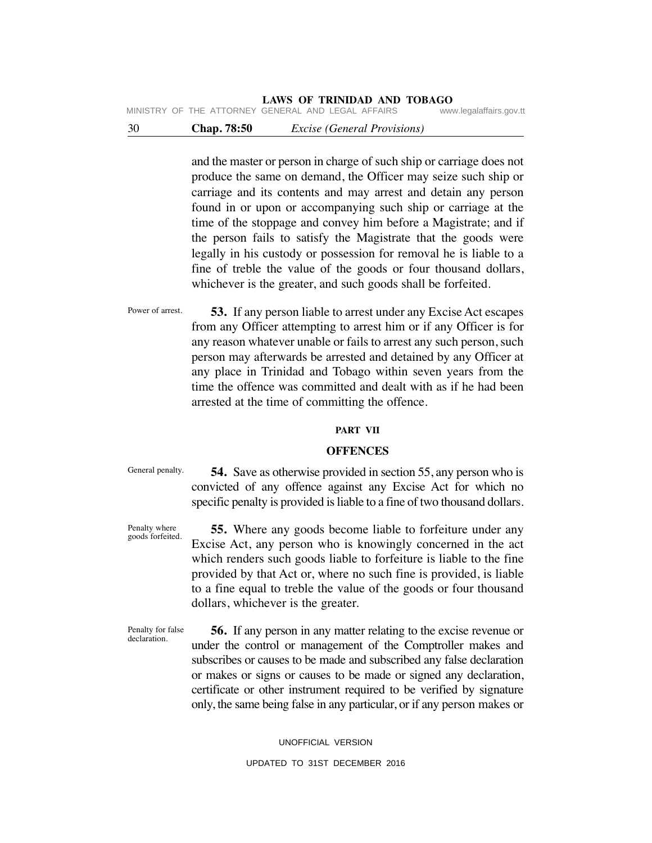MINISTRY OF THE ATTORNEY GENERAL AND LEGAL AFFAIRS

30 **Chap. 78:50** *Excise (General Provisions)*

and the master or person in charge of such ship or carriage does not produce the same on demand, the Officer may seize such ship or carriage and its contents and may arrest and detain any person found in or upon or accompanying such ship or carriage at the time of the stoppage and convey him before a Magistrate; and if the person fails to satisfy the Magistrate that the goods were legally in his custody or possession for removal he is liable to a fine of treble the value of the goods or four thousand dollars, whichever is the greater, and such goods shall be forfeited.

Power of arrest.  **53.** If any person liable to arrest under any Excise Act escapes from any Officer attempting to arrest him or if any Officer is for any reason whatever unable or fails to arrest any such person, such person may afterwards be arrested and detained by any Officer at any place in Trinidad and Tobago within seven years from the time the offence was committed and dealt with as if he had been arrested at the time of committing the offence.

### **PART VII**

### **OFFENCES**

General penalty.

 **54.** Save as otherwise provided in section 55, any person who is convicted of any offence against any Excise Act for which no specific penalty is provided is liable to a fine of two thousand dollars.

Penalty where goods forfeited.

 **55.** Where any goods become liable to forfeiture under any Excise Act, any person who is knowingly concerned in the act which renders such goods liable to forfeiture is liable to the fine provided by that Act or, where no such fine is provided, is liable to a fine equal to treble the value of the goods or four thousand dollars, whichever is the greater.

Penalty for false declaration.

 **56.** If any person in any matter relating to the excise revenue or under the control or management of the Comptroller makes and subscribes or causes to be made and subscribed any false declaration or makes or signs or causes to be made or signed any declaration, certificate or other instrument required to be verified by signature only, the same being false in any particular, or if any person makes or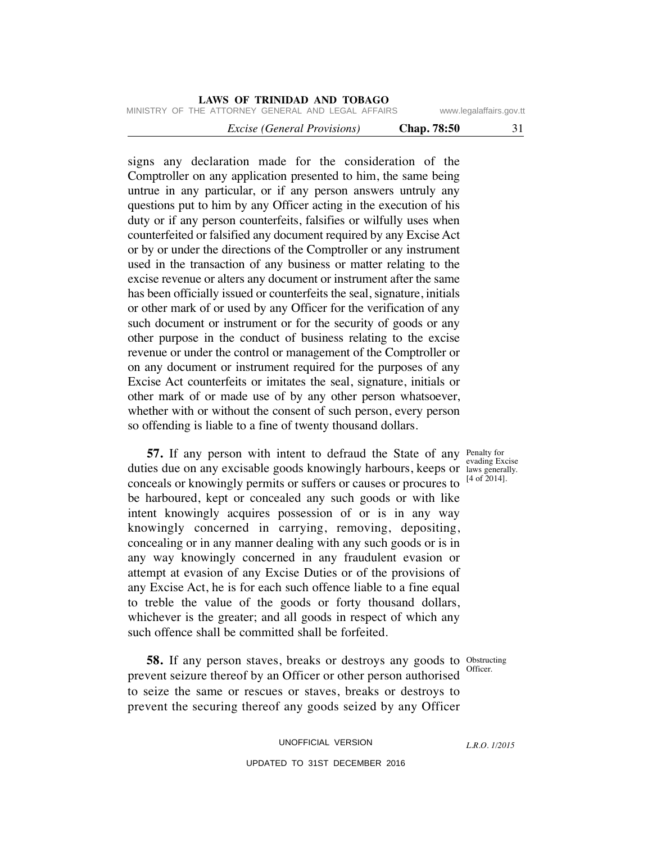|  |                                                    | <i>Excise (General Provisions)</i> |  |  | Chap. 78:50 |                         |  |
|--|----------------------------------------------------|------------------------------------|--|--|-------------|-------------------------|--|
|  | MINISTRY OF THE ATTORNEY GENERAL AND LEGAL AFFAIRS |                                    |  |  |             | www.legalaffairs.gov.tt |  |

signs any declaration made for the consideration of the Comptroller on any application presented to him, the same being untrue in any particular, or if any person answers untruly any questions put to him by any Officer acting in the execution of his duty or if any person counterfeits, falsifies or wilfully uses when counterfeited or falsified any document required by any Excise Act or by or under the directions of the Comptroller or any instrument used in the transaction of any business or matter relating to the excise revenue or alters any document or instrument after the same has been officially issued or counterfeits the seal, signature, initials or other mark of or used by any Officer for the verification of any such document or instrument or for the security of goods or any other purpose in the conduct of business relating to the excise revenue or under the control or management of the Comptroller or on any document or instrument required for the purposes of any Excise Act counterfeits or imitates the seal, signature, initials or other mark of or made use of by any other person whatsoever, whether with or without the consent of such person, every person so offending is liable to a fine of twenty thousand dollars.

**57.** If any person with intent to defraud the State of any Penalty for duties due on any excisable goods knowingly harbours, keeps or laws generally. conceals or knowingly permits or suffers or causes or procures to be harboured, kept or concealed any such goods or with like intent knowingly acquires possession of or is in any way knowingly concerned in carrying, removing, depositing, concealing or in any manner dealing with any such goods or is in any way knowingly concerned in any fraudulent evasion or attempt at evasion of any Excise Duties or of the provisions of any Excise Act, he is for each such offence liable to a fine equal to treble the value of the goods or forty thousand dollars, whichever is the greater; and all goods in respect of which any such offence shall be committed shall be forfeited.

**58.** If any person staves, breaks or destroys any goods to Obstructing Officer. prevent seizure thereof by an Officer or other person authorised to seize the same or rescues or staves, breaks or destroys to prevent the securing thereof any goods seized by any Officer

> UNOFFICIAL VERSION UPDATED TO 31ST DECEMBER 2016

evading Excise [4 of 2014].

*L.R.O. 1/2015*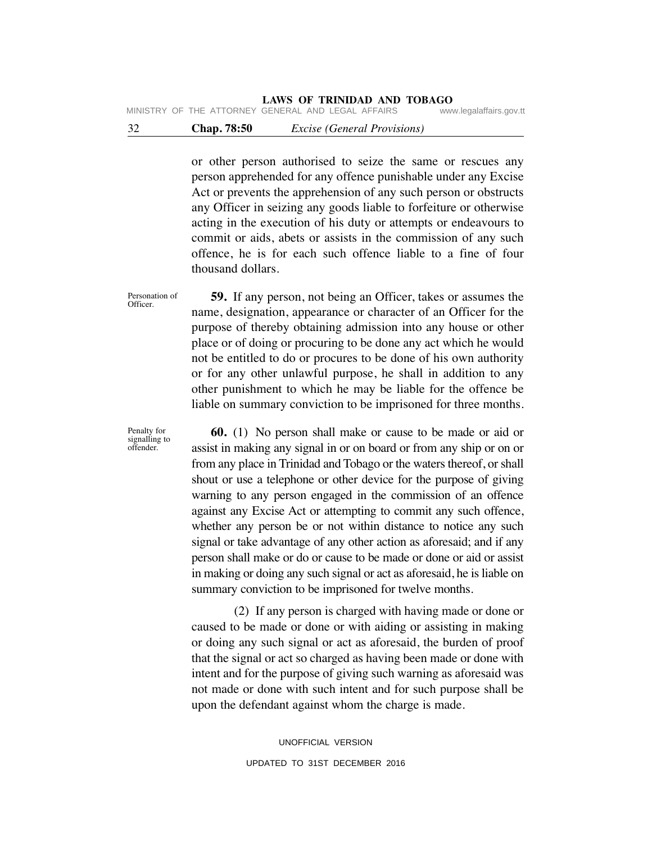# **LAWS OF TRINIDAD AND TOBAGO**<br>GENERAL AND LEGAL AFFAIRS www.legalaffairs.gov.tt

MINISTRY OF THE ATTORNEY GENERAL AND LEGAL AFFAIRS

# 32 **Chap. 78:50** *Excise (General Provisions)*

or other person authorised to seize the same or rescues any person apprehended for any offence punishable under any Excise Act or prevents the apprehension of any such person or obstructs any Officer in seizing any goods liable to forfeiture or otherwise acting in the execution of his duty or attempts or endeavours to commit or aids, abets or assists in the commission of any such offence, he is for each such offence liable to a fine of four thousand dollars.

Personation of Officer.

 **59.** If any person, not being an Officer, takes or assumes the name, designation, appearance or character of an Officer for the purpose of thereby obtaining admission into any house or other place or of doing or procuring to be done any act which he would not be entitled to do or procures to be done of his own authority or for any other unlawful purpose, he shall in addition to any other punishment to which he may be liable for the offence be liable on summary conviction to be imprisoned for three months.

 **60.** (1) No person shall make or cause to be made or aid or assist in making any signal in or on board or from any ship or on or from any place in Trinidad and Tobago or the waters thereof, or shall shout or use a telephone or other device for the purpose of giving warning to any person engaged in the commission of an offence against any Excise Act or attempting to commit any such offence, whether any person be or not within distance to notice any such signal or take advantage of any other action as aforesaid; and if any person shall make or do or cause to be made or done or aid or assist in making or doing any such signal or act as aforesaid, he is liable on summary conviction to be imprisoned for twelve months.

 (2) If any person is charged with having made or done or caused to be made or done or with aiding or assisting in making or doing any such signal or act as aforesaid, the burden of proof that the signal or act so charged as having been made or done with intent and for the purpose of giving such warning as aforesaid was not made or done with such intent and for such purpose shall be upon the defendant against whom the charge is made.

> UNOFFICIAL VERSION UPDATED TO 31ST DECEMBER 2016

Penalty for signalling to offender.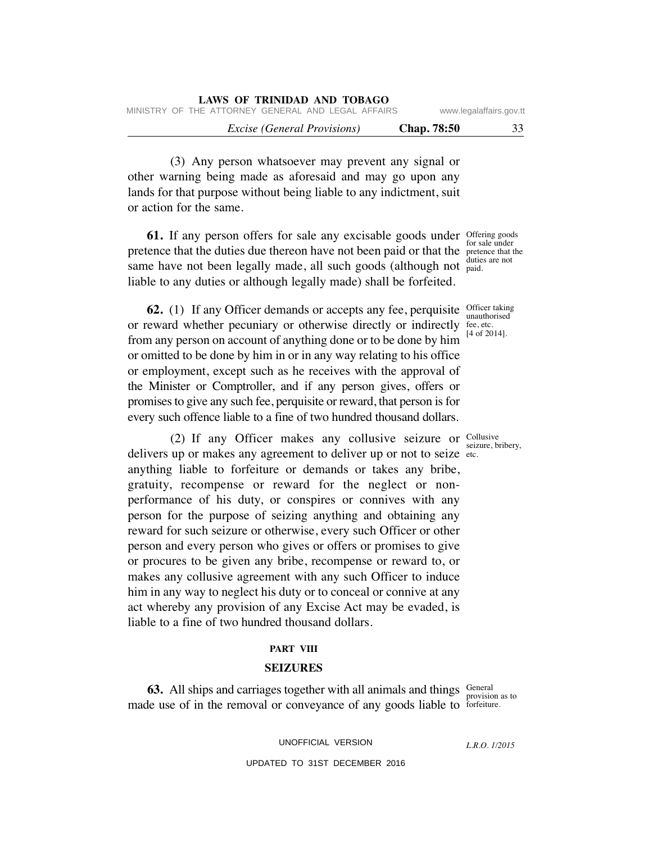| LAWS OF TRINIDAD AND TOBAGO                        |                         |    |  |  |  |  |  |
|----------------------------------------------------|-------------------------|----|--|--|--|--|--|
| MINISTRY OF THE ATTORNEY GENERAL AND LEGAL AFFAIRS | www.legalaffairs.gov.tt |    |  |  |  |  |  |
| <i>Excise</i> ( <i>General Provisions</i> )        | <b>Chap.</b> 78:50      | 33 |  |  |  |  |  |

 (3) Any person whatsoever may prevent any signal or other warning being made as aforesaid and may go upon any lands for that purpose without being liable to any indictment, suit or action for the same.

**61.** If any person offers for sale any excisable goods under offering goods pretence that the duties due thereon have not been paid or that the pretence that the same have not been legally made, all such goods (although not paid. liable to any duties or although legally made) shall be forfeited.

**62.** (1) If any Officer demands or accepts any fee, perquisite *Officer taking* or reward whether pecuniary or otherwise directly or indirectly from any person on account of anything done or to be done by him or omitted to be done by him in or in any way relating to his office or employment, except such as he receives with the approval of the Minister or Comptroller, and if any person gives, offers or promises to give any such fee, perquisite or reward, that person is for every such offence liable to a fine of two hundred thousand dollars.

(2) If any Officer makes any collusive seizure or  $\frac{\text{Collusive}}{\text{seimes}}$ delivers up or makes any agreement to deliver up or not to seize etc. anything liable to forfeiture or demands or takes any bribe, gratuity, recompense or reward for the neglect or nonperformance of his duty, or conspires or connives with any person for the purpose of seizing anything and obtaining any reward for such seizure or otherwise, every such Officer or other person and every person who gives or offers or promises to give or procures to be given any bribe, recompense or reward to, or makes any collusive agreement with any such Officer to induce him in any way to neglect his duty or to conceal or connive at any act whereby any provision of any Excise Act may be evaded, is liable to a fine of two hundred thousand dollars.

### **PART VIII**

### **SEIZURES**

**63.** All ships and carriages together with all animals and things Seneral provision as to made use of in the removal or conveyance of any goods liable to forfeiture.

UNOFFICIAL VERSION

*L.R.O. 1/2015*

for sale under duties are not

unauthorised fee, etc. [4 of 2014].

seizure, bribery,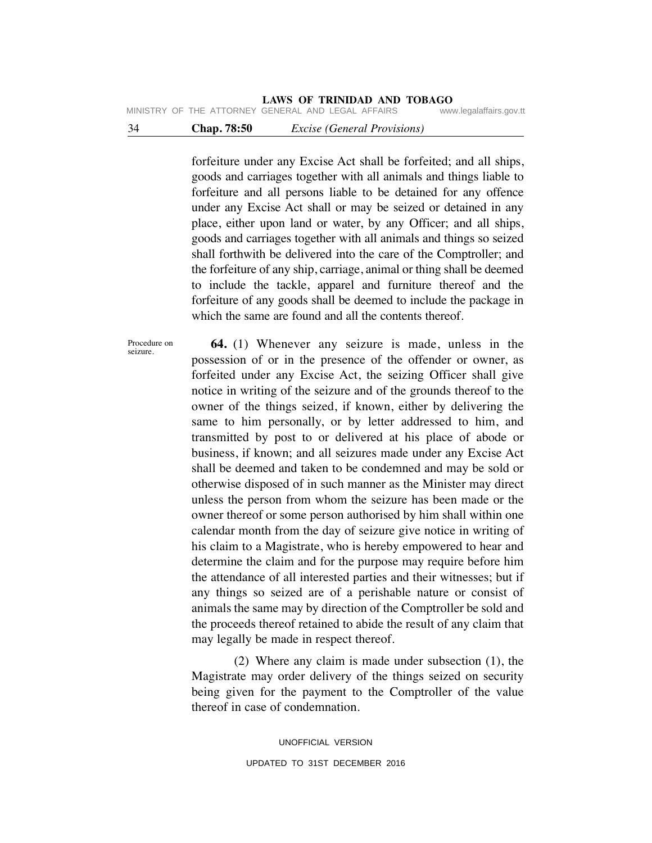MINISTRY OF THE ATTORNEY GENERAL AND LEGAL AFFAIRS

# 34 **Chap. 78:50** *Excise (General Provisions)*

forfeiture under any Excise Act shall be forfeited; and all ships, goods and carriages together with all animals and things liable to forfeiture and all persons liable to be detained for any offence under any Excise Act shall or may be seized or detained in any place, either upon land or water, by any Officer; and all ships, goods and carriages together with all animals and things so seized shall forthwith be delivered into the care of the Comptroller; and the forfeiture of any ship, carriage, animal or thing shall be deemed to include the tackle, apparel and furniture thereof and the forfeiture of any goods shall be deemed to include the package in which the same are found and all the contents thereof.

Procedure on seizure.

 **64.** (1) Whenever any seizure is made, unless in the possession of or in the presence of the offender or owner, as forfeited under any Excise Act, the seizing Officer shall give notice in writing of the seizure and of the grounds thereof to the owner of the things seized, if known, either by delivering the same to him personally, or by letter addressed to him, and transmitted by post to or delivered at his place of abode or business, if known; and all seizures made under any Excise Act shall be deemed and taken to be condemned and may be sold or otherwise disposed of in such manner as the Minister may direct unless the person from whom the seizure has been made or the owner thereof or some person authorised by him shall within one calendar month from the day of seizure give notice in writing of his claim to a Magistrate, who is hereby empowered to hear and determine the claim and for the purpose may require before him the attendance of all interested parties and their witnesses; but if any things so seized are of a perishable nature or consist of animals the same may by direction of the Comptroller be sold and the proceeds thereof retained to abide the result of any claim that may legally be made in respect thereof.

 (2) Where any claim is made under subsection (1), the Magistrate may order delivery of the things seized on security being given for the payment to the Comptroller of the value thereof in case of condemnation.

> UNOFFICIAL VERSION UPDATED TO 31ST DECEMBER 2016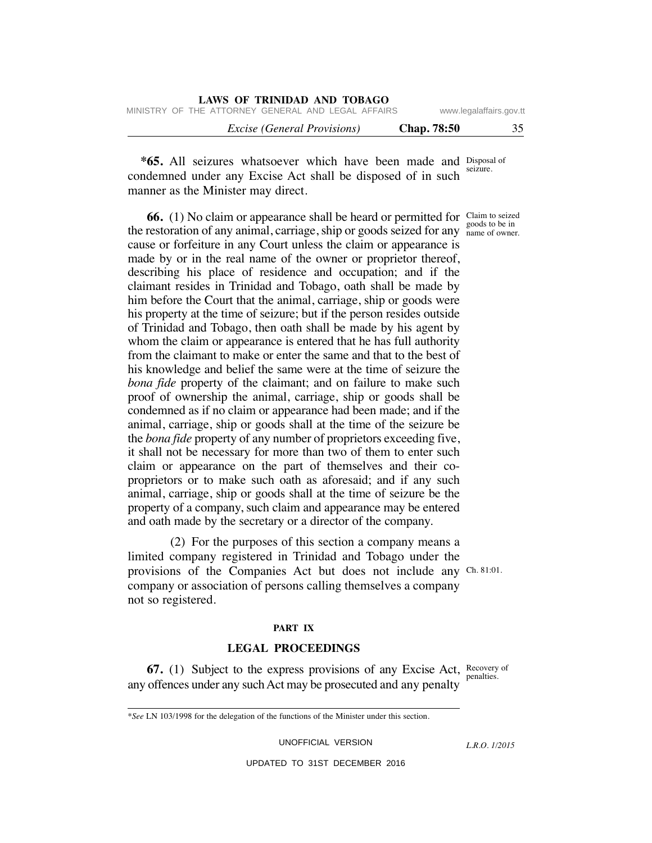| LAWS OF TRINIDAD AND TOBAGO                        |                    |                         |
|----------------------------------------------------|--------------------|-------------------------|
| MINISTRY OF THE ATTORNEY GENERAL AND LEGAL AFFAIRS |                    | www.legalaffairs.gov.tt |
| <i>Excise</i> ( <i>General Provisions</i> )        | <b>Chap.</b> 78:50 | 35                      |

**\*65.** All seizures whatsoever which have been made and Disposal of seizure. condemned under any Excise Act shall be disposed of in such manner as the Minister may direct.

**66.** (1) No claim or appearance shall be heard or permitted for Claim to seized the restoration of any animal, carriage, ship or goods seized for any name of owner. cause or forfeiture in any Court unless the claim or appearance is made by or in the real name of the owner or proprietor thereof, describing his place of residence and occupation; and if the claimant resides in Trinidad and Tobago, oath shall be made by him before the Court that the animal, carriage, ship or goods were his property at the time of seizure; but if the person resides outside of Trinidad and Tobago, then oath shall be made by his agent by whom the claim or appearance is entered that he has full authority from the claimant to make or enter the same and that to the best of his knowledge and belief the same were at the time of seizure the *bona fide* property of the claimant; and on failure to make such proof of ownership the animal, carriage, ship or goods shall be condemned as if no claim or appearance had been made; and if the animal, carriage, ship or goods shall at the time of the seizure be the *bona fide* property of any number of proprietors exceeding five, it shall not be necessary for more than two of them to enter such claim or appearance on the part of themselves and their coproprietors or to make such oath as aforesaid; and if any such animal, carriage, ship or goods shall at the time of seizure be the property of a company, such claim and appearance may be entered and oath made by the secretary or a director of the company.

provisions of the Companies Act but does not include any Ch. 81:01. (2) For the purposes of this section a company means a limited company registered in Trinidad and Tobago under the company or association of persons calling themselves a company not so registered.

### **PART IX**

### **LEGAL PROCEEDINGS**

**67.** (1) Subject to the express provisions of any Excise Act, Recovery of any offences under any such Act may be prosecuted and any penalty

\**See* LN 103/1998 for the delegation of the functions of the Minister under this section.

UNOFFICIAL VERSION

*L.R.O. 1/2015*

UPDATED TO 31ST DECEMBER 2016

goods to be in

penalties.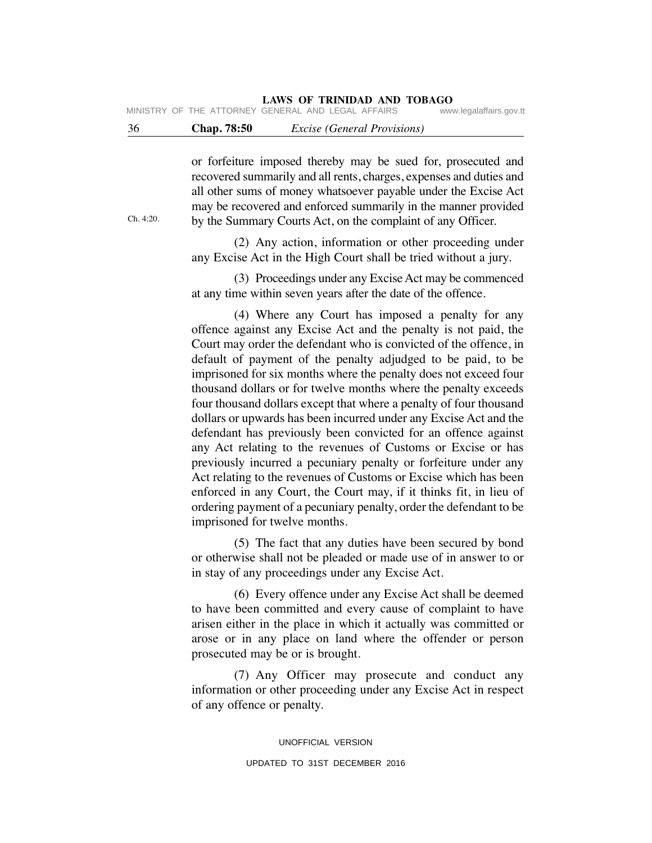# **LAWS OF TRINIDAD AND TOBAGO**<br>GENERAL AND LEGAL AFFAIRS www.legalaffairs.gov.tt

MINISTRY OF THE ATTORNEY GENERAL AND LEGAL AFFAIRS

## 36 **Chap. 78:50** *Excise (General Provisions)*

or forfeiture imposed thereby may be sued for, prosecuted and recovered summarily and all rents, charges, expenses and duties and all other sums of money whatsoever payable under the Excise Act may be recovered and enforced summarily in the manner provided by the Summary Courts Act, on the complaint of any Officer.

 (2) Any action, information or other proceeding under any Excise Act in the High Court shall be tried without a jury.

 (3) Proceedings under any Excise Act may be commenced at any time within seven years after the date of the offence.

 (4) Where any Court has imposed a penalty for any offence against any Excise Act and the penalty is not paid, the Court may order the defendant who is convicted of the offence, in default of payment of the penalty adjudged to be paid, to be imprisoned for six months where the penalty does not exceed four thousand dollars or for twelve months where the penalty exceeds four thousand dollars except that where a penalty of four thousand dollars or upwards has been incurred under any Excise Act and the defendant has previously been convicted for an offence against any Act relating to the revenues of Customs or Excise or has previously incurred a pecuniary penalty or forfeiture under any Act relating to the revenues of Customs or Excise which has been enforced in any Court, the Court may, if it thinks fit, in lieu of ordering payment of a pecuniary penalty, order the defendant to be imprisoned for twelve months.

 (5) The fact that any duties have been secured by bond or otherwise shall not be pleaded or made use of in answer to or in stay of any proceedings under any Excise Act.

 (6) Every offence under any Excise Act shall be deemed to have been committed and every cause of complaint to have arisen either in the place in which it actually was committed or arose or in any place on land where the offender or person prosecuted may be or is brought.

 (7) Any Officer may prosecute and conduct any information or other proceeding under any Excise Act in respect of any offence or penalty.

> UNOFFICIAL VERSION UPDATED TO 31ST DECEMBER 2016

Ch. 4:20.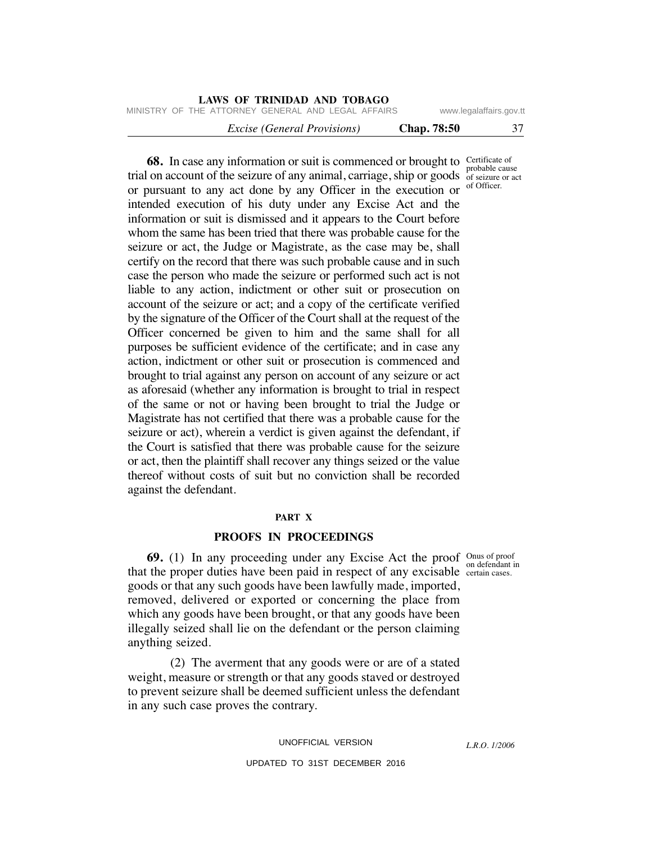| LAWS OF TRINIDAD AND TOBAGO                              |  |                         |  |  |  |  |  |
|----------------------------------------------------------|--|-------------------------|--|--|--|--|--|
| MINISTRY OF THE ATTORNEY GENERAL AND LEGAL AFFAIRS       |  | www.legalaffairs.gov.tt |  |  |  |  |  |
| <b>Chap.</b> 78:50<br><i>Excise (General Provisions)</i> |  | 37                      |  |  |  |  |  |

**68.** In case any information or suit is commenced or brought to certificate of trial on account of the seizure of any animal, carriage, ship or goods  $\frac{1}{100}$  of seizure or act or pursuant to any act done by any Officer in the execution or <sup>of Officer.</sup> intended execution of his duty under any Excise Act and the information or suit is dismissed and it appears to the Court before whom the same has been tried that there was probable cause for the seizure or act, the Judge or Magistrate, as the case may be, shall certify on the record that there was such probable cause and in such case the person who made the seizure or performed such act is not liable to any action, indictment or other suit or prosecution on account of the seizure or act; and a copy of the certificate verified by the signature of the Officer of the Court shall at the request of the Officer concerned be given to him and the same shall for all purposes be sufficient evidence of the certificate; and in case any action, indictment or other suit or prosecution is commenced and brought to trial against any person on account of any seizure or act as aforesaid (whether any information is brought to trial in respect of the same or not or having been brought to trial the Judge or Magistrate has not certified that there was a probable cause for the seizure or act), wherein a verdict is given against the defendant, if the Court is satisfied that there was probable cause for the seizure or act, then the plaintiff shall recover any things seized or the value thereof without costs of suit but no conviction shall be recorded against the defendant.

### **PART X**

### **PROOFS IN PROCEEDINGS**

**69.** (1) In any proceeding under any Excise Act the proof onus of proof that the proper duties have been paid in respect of any excisable certain cases. goods or that any such goods have been lawfully made, imported, removed, delivered or exported or concerning the place from which any goods have been brought, or that any goods have been illegally seized shall lie on the defendant or the person claiming anything seized.

 (2) The averment that any goods were or are of a stated weight, measure or strength or that any goods staved or destroyed to prevent seizure shall be deemed sufficient unless the defendant in any such case proves the contrary.

UNOFFICIAL VERSION

*L.R.O. 1/2006*

UPDATED TO 31ST DECEMBER 2016

on defendant in

probable cause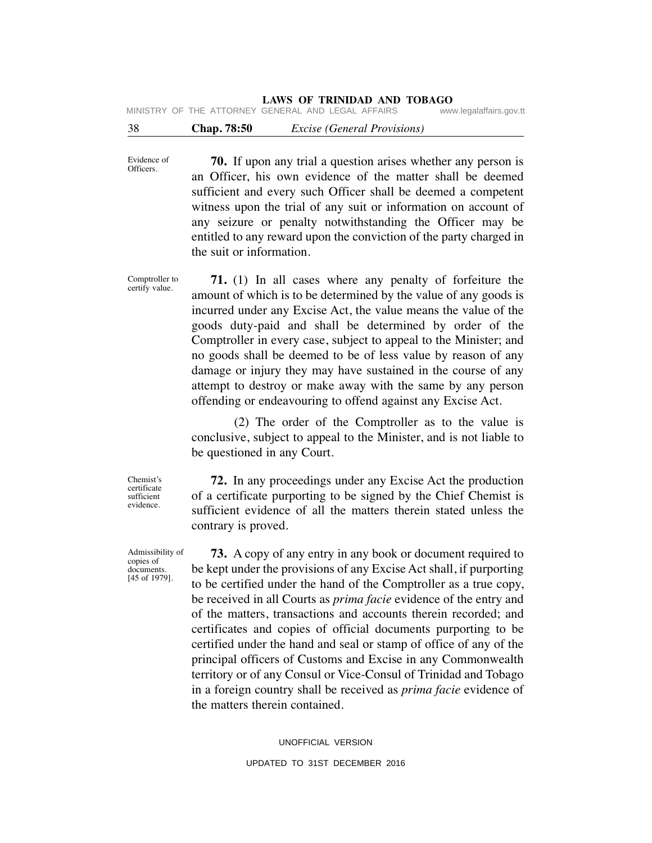# **LAWS OF TRINIDAD AND TOBAGO**<br>GENERAL AND LEGAL AFFAIRS www.legalaffairs.gov.tt

38 **Chap. 78:50** *Excise (General Provisions)* MINISTRY OF THE ATTORNEY GENERAL AND LEGAL AFFAIRS

Evidence of Officers.  **70.** If upon any trial a question arises whether any person is an Officer, his own evidence of the matter shall be deemed sufficient and every such Officer shall be deemed a competent witness upon the trial of any suit or information on account of any seizure or penalty notwithstanding the Officer may be entitled to any reward upon the conviction of the party charged in the suit or information.

Comptroller to certify value.

 **71.** (1) In all cases where any penalty of forfeiture the amount of which is to be determined by the value of any goods is incurred under any Excise Act, the value means the value of the goods duty-paid and shall be determined by order of the Comptroller in every case, subject to appeal to the Minister; and no goods shall be deemed to be of less value by reason of any damage or injury they may have sustained in the course of any attempt to destroy or make away with the same by any person offending or endeavouring to offend against any Excise Act.

 (2) The order of the Comptroller as to the value is conclusive, subject to appeal to the Minister, and is not liable to be questioned in any Court.

Chemist's certificate sufficient evidence.

 **72.** In any proceedings under any Excise Act the production of a certificate purporting to be signed by the Chief Chemist is sufficient evidence of all the matters therein stated unless the contrary is proved.

 **73.** A copy of any entry in any book or document required to be kept under the provisions of any Excise Act shall, if purporting to be certified under the hand of the Comptroller as a true copy, be received in all Courts as *prima facie* evidence of the entry and of the matters, transactions and accounts therein recorded; and certificates and copies of official documents purporting to be certified under the hand and seal or stamp of office of any of the principal officers of Customs and Excise in any Commonwealth territory or of any Consul or Vice-Consul of Trinidad and Tobago in a foreign country shall be received as *prima facie* evidence of the matters therein contained.

> UNOFFICIAL VERSION UPDATED TO 31ST DECEMBER 2016

Admissibility of copies of documents.

[45 of 1979].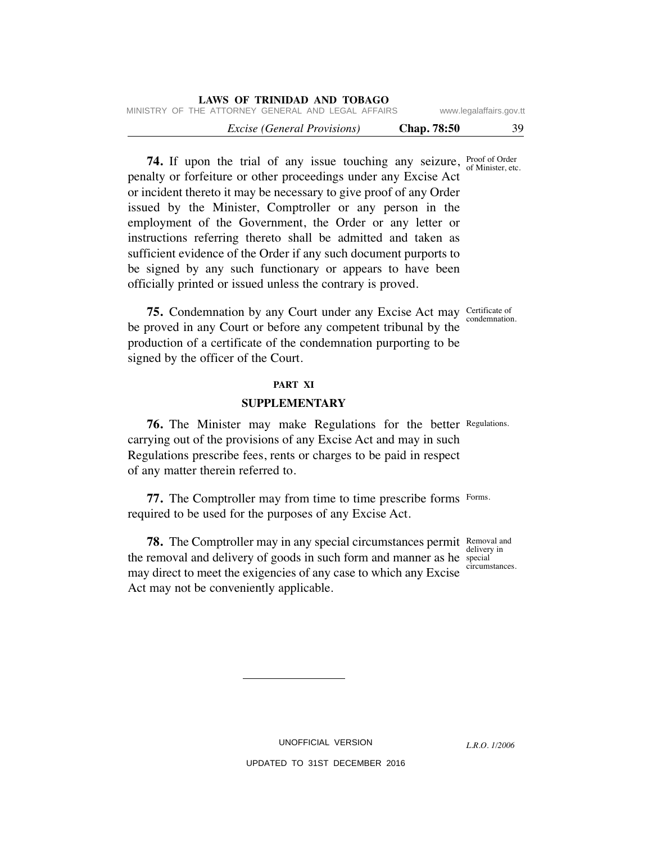| LAWS OF TRINIDAD AND TOBAGO                        |                         |    |  |  |  |  |  |
|----------------------------------------------------|-------------------------|----|--|--|--|--|--|
| MINISTRY OF THE ATTORNEY GENERAL AND LEGAL AFFAIRS | www.legalaffairs.gov.tt |    |  |  |  |  |  |
| <i>Excise (General Provisions)</i>                 | <b>Chap.</b> 78:50      | 39 |  |  |  |  |  |

**74.** If upon the trial of any issue touching any seizure, **Proof of Order** of Minister, etc. penalty or forfeiture or other proceedings under any Excise Act or incident thereto it may be necessary to give proof of any Order issued by the Minister, Comptroller or any person in the employment of the Government, the Order or any letter or instructions referring thereto shall be admitted and taken as sufficient evidence of the Order if any such document purports to be signed by any such functionary or appears to have been officially printed or issued unless the contrary is proved.

**75.** Condemnation by any Court under any Excise Act may Certificate of condemnation. be proved in any Court or before any competent tribunal by the production of a certificate of the condemnation purporting to be signed by the officer of the Court.

### **PART XI**

## **SUPPLEMENTARY**

**76.** The Minister may make Regulations for the better Regulations. carrying out of the provisions of any Excise Act and may in such Regulations prescribe fees, rents or charges to be paid in respect of any matter therein referred to.

77. The Comptroller may from time to time prescribe forms Forms. required to be used for the purposes of any Excise Act.

**78.** The Comptroller may in any special circumstances permit Removal and the removal and delivery of goods in such form and manner as he special may direct to meet the exigencies of any case to which any Excise Act may not be conveniently applicable.

delivery in circumstances.

UNOFFICIAL VERSION UPDATED TO 31ST DECEMBER 2016

*L.R.O. 1/2006*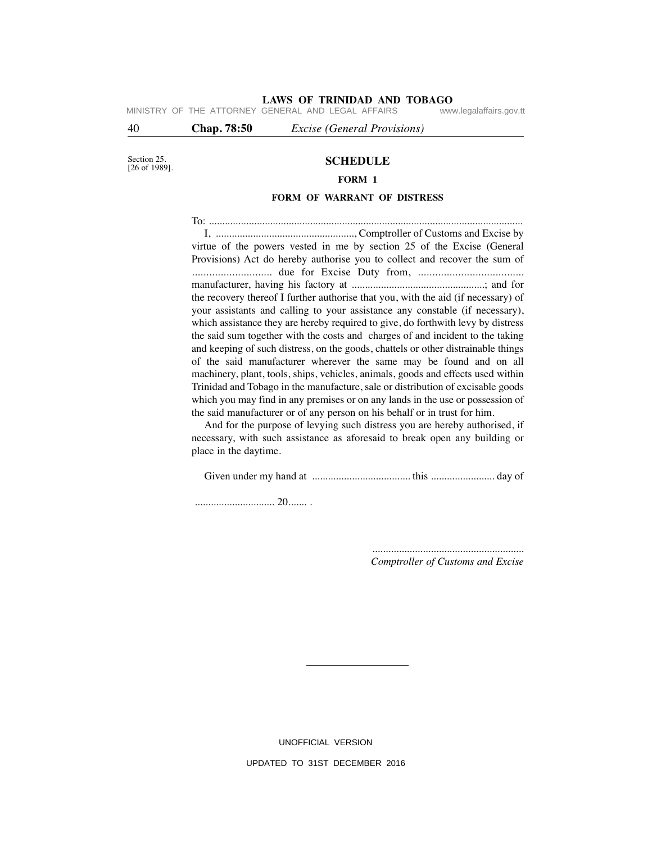# **LAWS OF TRINIDAD AND TOBAGO**<br>GENERAL AND LEGAL AFFAIRS www.legalaffairs.gov.tt

MINISTRY OF THE ATTORNEY GENERAL AND LEGAL AFFAIRS

40 **Chap. 78:50** *Excise (General Provisions)*

Section 25. [26 of 1989].

## **SCHEDULE**

### **FORM 1**

#### **FORM OF WARRANT OF DISTRESS**

To: ...................................................................................................................... I, ...................................................., Comptroller of Customs and Excise by virtue of the powers vested in me by section 25 of the Excise (General Provisions) Act do hereby authorise you to collect and recover the sum of ............................ due for Excise Duty from, ..................................... manufacturer, having his factory at ..................................................; and for the recovery thereof I further authorise that you, with the aid (if necessary) of your assistants and calling to your assistance any constable (if necessary), which assistance they are hereby required to give, do forthwith levy by distress the said sum together with the costs and charges of and incident to the taking and keeping of such distress, on the goods, chattels or other distrainable things of the said manufacturer wherever the same may be found and on all machinery, plant, tools, ships, vehicles, animals, goods and effects used within Trinidad and Tobago in the manufacture, sale or distribution of excisable goods which you may find in any premises or on any lands in the use or possession of the said manufacturer or of any person on his behalf or in trust for him.

 And for the purpose of levying such distress you are hereby authorised, if necessary, with such assistance as aforesaid to break open any building or place in the daytime.

Given under my hand at ..................................... this ........................ day of

.............................. 20....... .

......................................................... *Comptroller of Customs and Excise*

UNOFFICIAL VERSION UPDATED TO 31ST DECEMBER 2016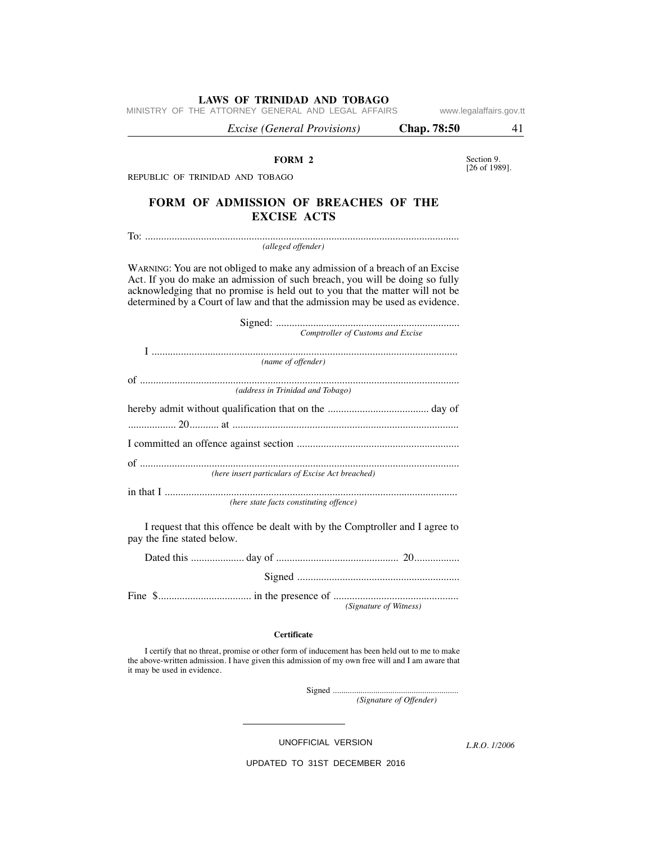MINISTRY OF THE ATTORNEY GENERAL AND LEGAL AFFAIRS www.legalaffairs.gov.tt

 *Excise (General Provisions)* **Chap. 78:50** 41 Section 9. [26 of 1989]. **FORM 2** REPUBLIC OF TRINIDAD AND TOBAGO **FORM OF ADMISSION OF BREACHES OF THE EXCISE ACTS** To: ...................................................................................................................... *(alleged offender)* WARNING: You are not obliged to make any admission of a breach of an Excise Act. If you do make an admission of such breach, you will be doing so fully acknowledging that no promise is held out to you that the matter will not be determined by a Court of law and that the admission may be used as evidence. Signed: ..................................................................... *Comptroller of Customs and Excise* I ................................................................................................................... *(name of offender)* of ........................................................................................................................ *(address in Trinidad and Tobago)* hereby admit without qualification that on the ...................................... day of .................. 20........... at ..................................................................................... I committed an offence against section ............................................................. of ........................................................................................................................ *(here insert particulars of Excise Act breached)* in that I .............................................................................................................. *(here state facts constituting offence)* I request that this offence be dealt with by the Comptroller and I agree to pay the fine stated below. Dated this .................... day of .............................................. 20................. Signed ............................................................. Fine \$................................... in the presence of ...............................................  *(Signature of Witness)*

#### **Certificate**

 I certify that no threat, promise or other form of inducement has been held out to me to make the above-written admission. I have given this admission of my own free will and I am aware that it may be used in evidence.

Signed ...........................................................

 *(Signature of Offender)*

UNOFFICIAL VERSION

*L.R.O. 1/2006*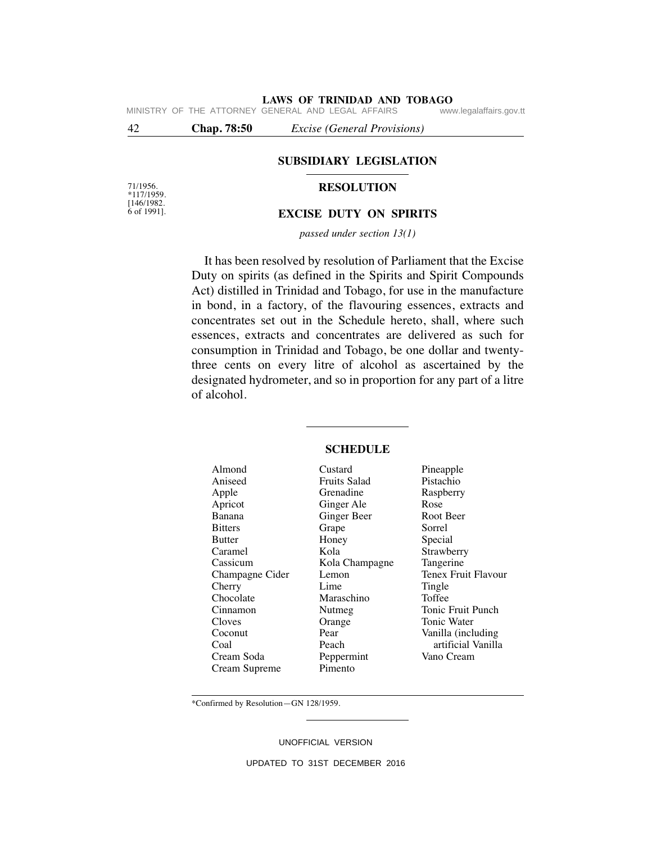**LAWS OF TRINIDAD AND TOBAGO**<br>GENERAL AND LEGAL AFFAIRS www.legalaffairs.gov.tt MINISTRY OF THE ATTORNEY GENERAL AND LEGAL AFFAIRS

42 **Chap. 78:50** *Excise (General Provisions)*

### **SUBSIDIARY LEGISLATION**

## **RESOLUTION**

71/1956.  $*117/1959.$ [146/1982. 6 of 1991].

#### **EXCISE DUTY ON SPIRITS**

*passed under section 13(1)*

It has been resolved by resolution of Parliament that the Excise Duty on spirits (as defined in the Spirits and Spirit Compounds Act) distilled in Trinidad and Tobago, for use in the manufacture in bond, in a factory, of the flavouring essences, extracts and concentrates set out in the Schedule hereto, shall, where such essences, extracts and concentrates are delivered as such for consumption in Trinidad and Tobago, be one dollar and twentythree cents on every litre of alcohol as ascertained by the designated hydrometer, and so in proportion for any part of a litre of alcohol.

| Almond          | Custard             | Pineapple           |
|-----------------|---------------------|---------------------|
| Aniseed         | <b>Fruits Salad</b> | Pistachio           |
| Apple           | Grenadine           | Raspberry           |
| Apricot         | Ginger Ale          | Rose                |
| Banana          | Ginger Beer         | Root Beer           |
| <b>Bitters</b>  | Grape               | Sorrel              |
| <b>Butter</b>   | Honey               | Special             |
| Caramel         | Kola                | Strawberry          |
| Cassicum        | Kola Champagne      | Tangerine           |
| Champagne Cider | Lemon               | Tenex Fruit Flavour |
| Cherry          | Lime                | Tingle              |
| Chocolate       | Maraschino          | Toffee              |
| Cinnamon        | Nutmeg              | Tonic Fruit Punch   |
| Cloves          | Orange              | Tonic Water         |
| Coconut         | Pear                | Vanilla (including  |
| Coal            | Peach               | artificial Vanilla  |
| Cream Soda      | Peppermint          | Vano Cream          |
| Cream Supreme   | Pimento             |                     |
|                 |                     |                     |

### **SCHEDULE**

\*Confirmed by Resolution—GN 128/1959.

UNOFFICIAL VERSION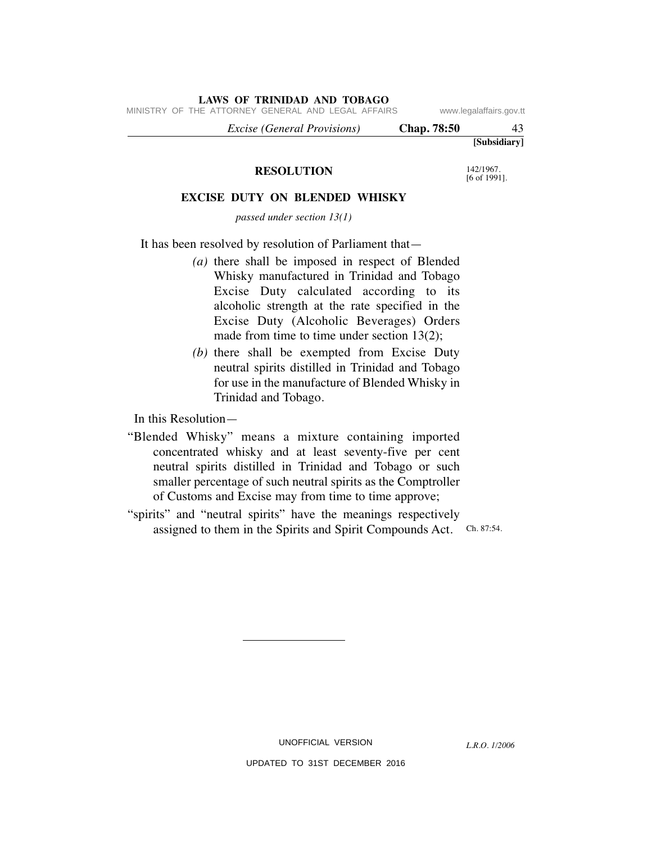|  | MINISTRY OF THE ATTORNEY GENERAL AND LEGAL AFFAIRS |                                    |  |                    | www.legalaffairs.gov.tt |
|--|----------------------------------------------------|------------------------------------|--|--------------------|-------------------------|
|  |                                                    | <i>Excise (General Provisions)</i> |  | <b>Chap.</b> 78:50 | 43                      |
|  |                                                    |                                    |  |                    | [Subsidiary]            |

### **RESOLUTION**

**LAWS OF TRINIDAD AND TOBAGO**

[6 of 1991].

142/1967.

## **EXCISE DUTY ON BLENDED WHISKY**

*passed under section 13(1)*

It has been resolved by resolution of Parliament that—

- *(a)* there shall be imposed in respect of Blended Whisky manufactured in Trinidad and Tobago Excise Duty calculated according to its alcoholic strength at the rate specified in the Excise Duty (Alcoholic Beverages) Orders made from time to time under section 13(2);
- *(b)* there shall be exempted from Excise Duty neutral spirits distilled in Trinidad and Tobago for use in the manufacture of Blended Whisky in Trinidad and Tobago.

In this Resolution—

"Blended Whisky" means a mixture containing imported concentrated whisky and at least seventy-five per cent neutral spirits distilled in Trinidad and Tobago or such smaller percentage of such neutral spirits as the Comptroller of Customs and Excise may from time to time approve;

assigned to them in the Spirits and Spirit Compounds Act. Ch. 87:54. "spirits" and "neutral spirits" have the meanings respectively

UNOFFICIAL VERSION

*L.R.O. 1/2006*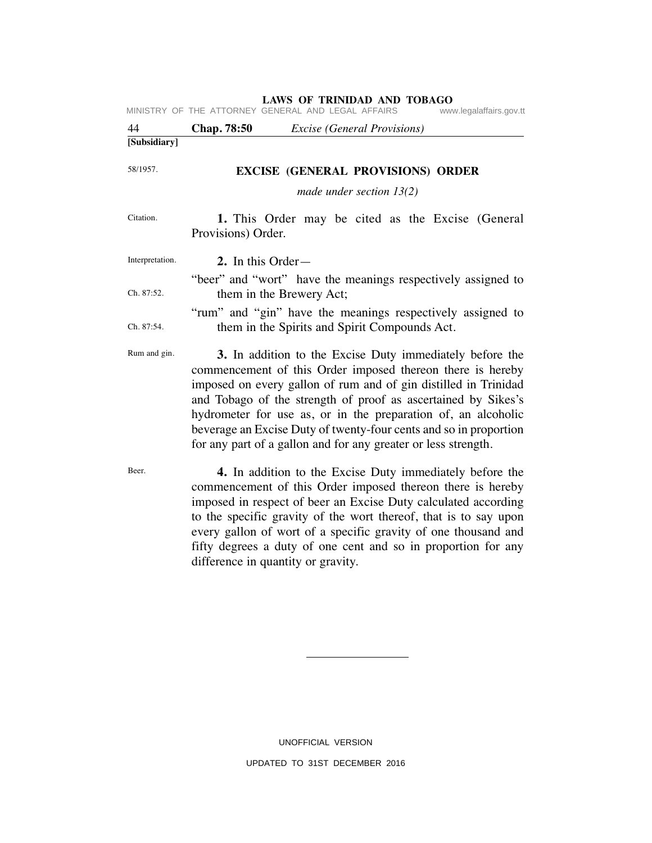|                 |                      | MINISTRY OF THE ATTORNEY GENERAL AND LEGAL AFFAIRS                                                                                                                                                                                                                                                                                                                                                                                                                 | www.legalaffairs.gov.tt |
|-----------------|----------------------|--------------------------------------------------------------------------------------------------------------------------------------------------------------------------------------------------------------------------------------------------------------------------------------------------------------------------------------------------------------------------------------------------------------------------------------------------------------------|-------------------------|
| 44              | Chap. 78:50          | <i>Excise</i> (General Provisions)                                                                                                                                                                                                                                                                                                                                                                                                                                 |                         |
| [Subsidiary]    |                      |                                                                                                                                                                                                                                                                                                                                                                                                                                                                    |                         |
| 58/1957.        |                      | <b>EXCISE (GENERAL PROVISIONS) ORDER</b>                                                                                                                                                                                                                                                                                                                                                                                                                           |                         |
|                 |                      | made under section $13(2)$                                                                                                                                                                                                                                                                                                                                                                                                                                         |                         |
| Citation.       | Provisions) Order.   | 1. This Order may be cited as the Excise (General                                                                                                                                                                                                                                                                                                                                                                                                                  |                         |
| Interpretation. | 2. In this Order $-$ |                                                                                                                                                                                                                                                                                                                                                                                                                                                                    |                         |
| Ch. 87:52.      |                      | "beer" and "wort" have the meanings respectively assigned to<br>them in the Brewery Act;                                                                                                                                                                                                                                                                                                                                                                           |                         |
| Ch. 87:54.      |                      | "rum" and "gin" have the meanings respectively assigned to<br>them in the Spirits and Spirit Compounds Act.                                                                                                                                                                                                                                                                                                                                                        |                         |
| Rum and gin.    |                      | 3. In addition to the Excise Duty immediately before the<br>commencement of this Order imposed thereon there is hereby<br>imposed on every gallon of rum and of gin distilled in Trinidad<br>and Tobago of the strength of proof as ascertained by Sikes's<br>hydrometer for use as, or in the preparation of, an alcoholic<br>beverage an Excise Duty of twenty-four cents and so in proportion<br>for any part of a gallon and for any greater or less strength. |                         |
| Beer.           |                      | 4. In addition to the Excise Duty immediately before the                                                                                                                                                                                                                                                                                                                                                                                                           |                         |

commencement of this Order imposed thereon there is hereby imposed in respect of beer an Excise Duty calculated according to the specific gravity of the wort thereof, that is to say upon every gallon of wort of a specific gravity of one thousand and fifty degrees a duty of one cent and so in proportion for any difference in quantity or gravity.

> UNOFFICIAL VERSION UPDATED TO 31ST DECEMBER 2016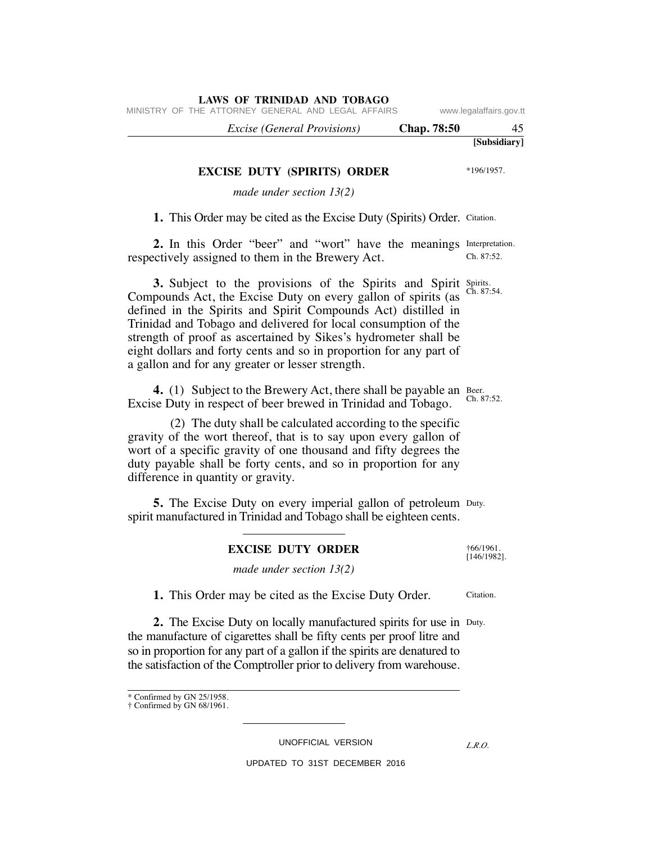|  |  |  |  | 1. This Order may be cited as the Excise Duty (Spirits) Order. Citation. |  |
|--|--|--|--|--------------------------------------------------------------------------|--|
|  |  |  |  |                                                                          |  |

**2.** In this Order "beer" and "wort" have the meanings Interpretation. Ch. 87:52. respectively assigned to them in the Brewery Act.

**3.** Subject to the provisions of the Spirits and Spirits spirits Compounds Act, the Excise Duty on every gallon of spirits (as defined in the Spirits and Spirit Compounds Act) distilled in Trinidad and Tobago and delivered for local consumption of the strength of proof as ascertained by Sikes's hydrometer shall be eight dollars and forty cents and so in proportion for any part of a gallon and for any greater or lesser strength.

**4.** (1) Subject to the Brewery Act, there shall be payable an Beer. Excise Duty in respect of beer brewed in Trinidad and Tobago.

 (2) The duty shall be calculated according to the specific gravity of the wort thereof, that is to say upon every gallon of wort of a specific gravity of one thousand and fifty degrees the duty payable shall be forty cents, and so in proportion for any difference in quantity or gravity.

**5.** The Excise Duty on every imperial gallon of petroleum Duty. spirit manufactured in Trinidad and Tobago shall be eighteen cents.

### **EXCISE DUTY ORDER**

*made under section 13(2)*

 **1.** This Order may be cited as the Excise Duty Order.

**2.** The Excise Duty on locally manufactured spirits for use in Duty. the manufacture of cigarettes shall be fifty cents per proof litre and so in proportion for any part of a gallon if the spirits are denatured to the satisfaction of the Comptroller prior to delivery from warehouse.

UNOFFICIAL VERSION

UPDATED TO 31ST DECEMBER 2016

**LAWS OF TRINIDAD AND TOBAGO**

**EXCISE DUTY (SPIRITS) ORDER** *made under section 13(2)*

MINISTRY OF THE ATTORNEY GENERAL AND LEGAL AFFAIRS www.legalaffairs.gov.tt

**[Subsidiary]**  *Excise (General Provisions)* **Chap. 78:50** 45

\*196/1957.

Ch. 87:54.

Ch. 87:52.

Citation.

†66/1961. [146/1982].

*L.R.O.* 

<sup>\*</sup> Confirmed by GN 25/1958. † Confirmed by GN 68/1961.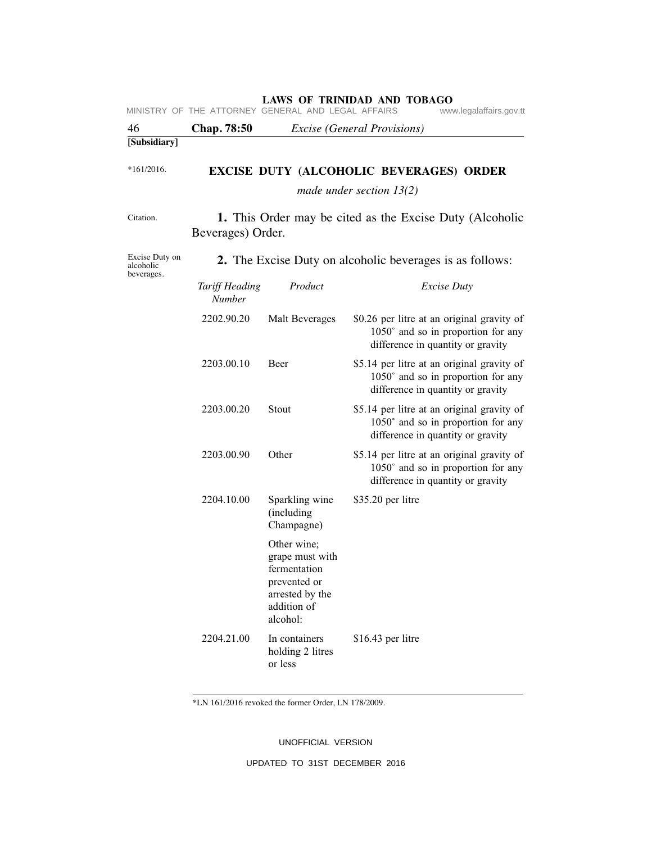| 46                                        | <b>Chap.</b> 78:50              |                                                                                                              | <i>Excise</i> ( <i>General Provisions</i> )                                                                             |
|-------------------------------------------|---------------------------------|--------------------------------------------------------------------------------------------------------------|-------------------------------------------------------------------------------------------------------------------------|
| [Subsidiary]                              |                                 |                                                                                                              |                                                                                                                         |
| $*161/2016.$                              |                                 |                                                                                                              | <b>EXCISE DUTY (ALCOHOLIC BEVERAGES) ORDER</b>                                                                          |
|                                           |                                 |                                                                                                              | made under section $13(2)$                                                                                              |
| Citation.                                 | Beverages) Order.               |                                                                                                              | 1. This Order may be cited as the Excise Duty (Alcoholic                                                                |
| Excise Duty on<br>alcoholic<br>beverages. |                                 |                                                                                                              | <b>2.</b> The Excise Duty on alcoholic beverages is as follows:                                                         |
|                                           | Tariff Heading<br><b>Number</b> | Product                                                                                                      | <b>Excise Duty</b>                                                                                                      |
|                                           | 2202.90.20                      | Malt Beverages                                                                                               | \$0.26 per litre at an original gravity of<br>$1050°$ and so in proportion for any<br>difference in quantity or gravity |
|                                           | 2203.00.10                      | Beer                                                                                                         | \$5.14 per litre at an original gravity of<br>$1050°$ and so in proportion for any<br>difference in quantity or gravity |
|                                           | 2203.00.20                      | Stout                                                                                                        | \$5.14 per litre at an original gravity of<br>$1050°$ and so in proportion for any<br>difference in quantity or gravity |
|                                           | 2203.00.90                      | Other                                                                                                        | \$5.14 per litre at an original gravity of<br>1050° and so in proportion for any<br>difference in quantity or gravity   |
|                                           | 2204.10.00                      | Sparkling wine<br>(including<br>Champagne)                                                                   | \$35.20 per litre                                                                                                       |
|                                           |                                 | Other wine;<br>grape must with<br>fermentation<br>prevented or<br>arrested by the<br>addition of<br>alcohol: |                                                                                                                         |
|                                           | 2204.21.00                      | In containers<br>holding 2 litres<br>or less                                                                 | \$16.43 per litre                                                                                                       |

\*LN 161/2016 revoked the former Order, LN 178/2009.

UNOFFICIAL VERSION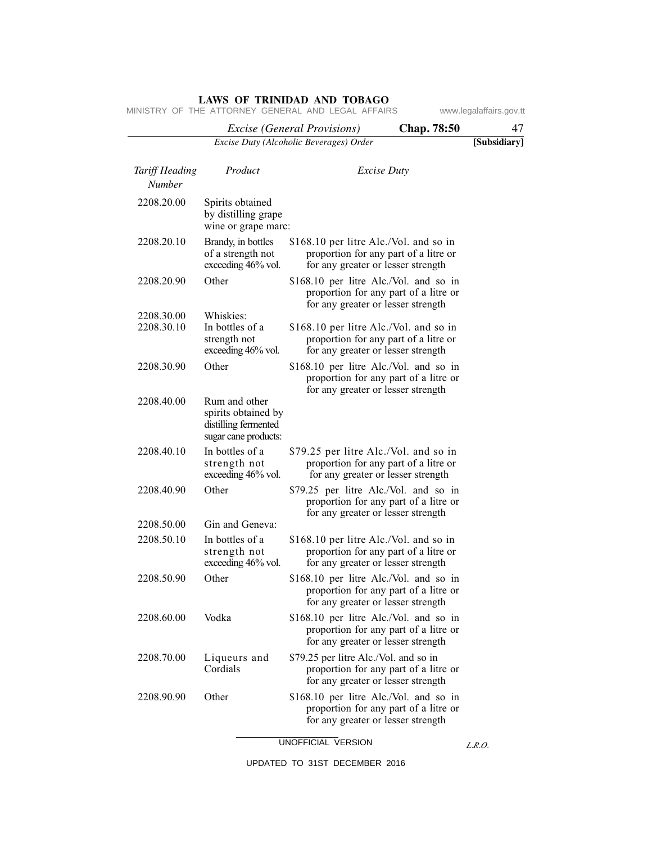|                                 |                                                                                      | <i>Excise</i> ( <i>General Provisions</i> )                                  | <b>Chap.</b> 78:50                                                          | 47           |
|---------------------------------|--------------------------------------------------------------------------------------|------------------------------------------------------------------------------|-----------------------------------------------------------------------------|--------------|
|                                 |                                                                                      | Excise Duty (Alcoholic Beverages) Order                                      |                                                                             | [Subsidiary] |
| Tariff Heading<br><b>Number</b> | Product                                                                              |                                                                              | <i>Excise Duty</i>                                                          |              |
| 2208.20.00                      | Spirits obtained<br>by distilling grape<br>wine or grape marc:                       |                                                                              |                                                                             |              |
| 2208.20.10                      | Brandy, in bottles<br>of a strength not<br>exceeding 46% vol.                        | \$168.10 per litre Alc./Vol. and so in<br>for any greater or lesser strength | proportion for any part of a litre or                                       |              |
| 2208.20.90                      | Other                                                                                | \$168.10 per litre Alc./Vol. and so in<br>for any greater or lesser strength | proportion for any part of a litre or                                       |              |
| 2208.30.00                      | Whiskies:                                                                            |                                                                              |                                                                             |              |
| 2208.30.10                      | In bottles of a<br>strength not<br>exceeding 46% vol.                                | \$168.10 per litre Alc./Vol. and so in<br>for any greater or lesser strength | proportion for any part of a litre or                                       |              |
| 2208.30.90                      | Other                                                                                | \$168.10 per litre Alc./Vol. and so in<br>for any greater or lesser strength | proportion for any part of a litre or                                       |              |
| 2208.40.00                      | Rum and other<br>spirits obtained by<br>distilling fermented<br>sugar cane products: |                                                                              |                                                                             |              |
| 2208.40.10                      | In bottles of a<br>strength not<br>exceeding 46% vol.                                | \$79.25 per litre Alc./Vol. and so in                                        | proportion for any part of a litre or<br>for any greater or lesser strength |              |
| 2208.40.90                      | Other                                                                                | \$79.25 per litre Alc./Vol. and so in<br>for any greater or lesser strength  | proportion for any part of a litre or                                       |              |
| 2208.50.00                      | Gin and Geneva:                                                                      |                                                                              |                                                                             |              |
| 2208.50.10                      | In bottles of a<br>strength not<br>exceeding 46% vol.                                | \$168.10 per litre Alc./Vol. and so in<br>for any greater or lesser strength | proportion for any part of a litre or                                       |              |
| 2208.50.90                      | Other                                                                                | \$168.10 per litre Alc./Vol. and so in<br>for any greater or lesser strength | proportion for any part of a litre or                                       |              |
| 2208.60.00                      | Vodka                                                                                | \$168.10 per litre Alc./Vol. and so in<br>for any greater or lesser strength | proportion for any part of a litre or                                       |              |
| 2208.70.00                      | Liqueurs and<br>Cordials                                                             | \$79.25 per litre Alc./Vol. and so in<br>for any greater or lesser strength  | proportion for any part of a litre or                                       |              |
| 2208.90.90                      | Other                                                                                | \$168.10 per litre Alc./Vol. and so in<br>for any greater or lesser strength | proportion for any part of a litre or                                       |              |

MINISTRY OF THE ATTORNEY GENERAL AND LEGAL AFFAIRS www.legalaffairs.gov.tt

UNOFFICIAL VERSION

*L.R.O.*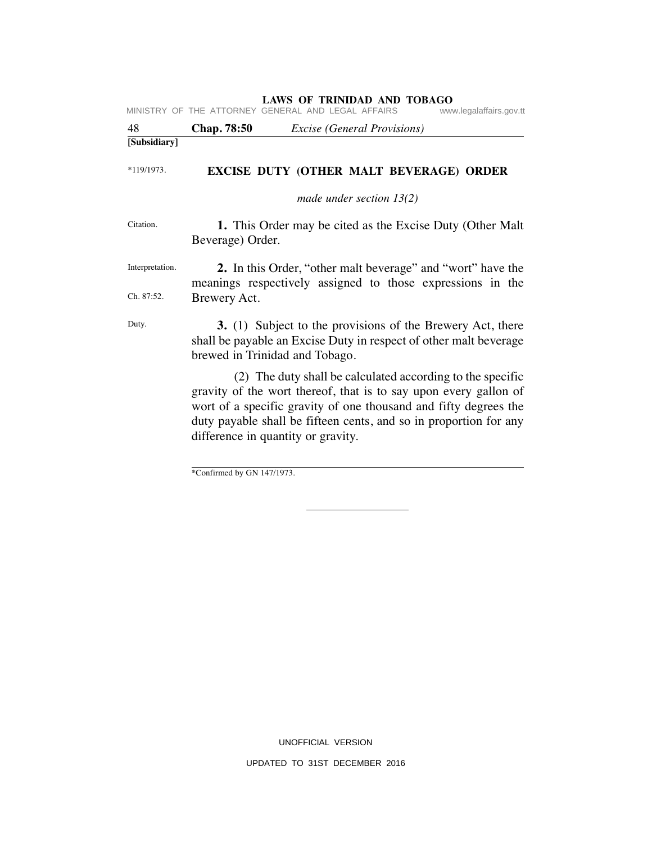| 48              | Chap. 78:50                                               | <i>Excise</i> (General Provisions)                                                                                                                                                                 |  |
|-----------------|-----------------------------------------------------------|----------------------------------------------------------------------------------------------------------------------------------------------------------------------------------------------------|--|
| [Subsidiary]    |                                                           |                                                                                                                                                                                                    |  |
| $*119/1973.$    |                                                           | EXCISE DUTY (OTHER MALT BEVERAGE) ORDER                                                                                                                                                            |  |
|                 |                                                           | made under section $13(2)$                                                                                                                                                                         |  |
| Citation.       | Beverage) Order.                                          | 1. This Order may be cited as the Excise Duty (Other Malt)                                                                                                                                         |  |
| Interpretation. |                                                           | 2. In this Order, "other malt beverage" and "wort" have the<br>meanings respectively assigned to those expressions in the                                                                          |  |
| Ch. 87:52.      | Brewery Act.                                              |                                                                                                                                                                                                    |  |
| Duty.           | brewed in Trinidad and Tobago.                            | 3. (1) Subject to the provisions of the Brewery Act, there<br>shall be payable an Excise Duty in respect of other malt beverage                                                                    |  |
|                 |                                                           | (2) The duty shall be calculated according to the specific<br>gravity of the wort thereof, that is to say upon every gallon of<br>wort of a specific gravity of one thousand and fifty degrees the |  |
|                 |                                                           | duty payable shall be fifteen cents, and so in proportion for any<br>difference in quantity or gravity.                                                                                            |  |
|                 | $*$ C = $\therefore$ C = $\therefore$ 1 L = CNI 1 47/1072 |                                                                                                                                                                                                    |  |

\*Confirmed by GN 147/1973.

UNOFFICIAL VERSION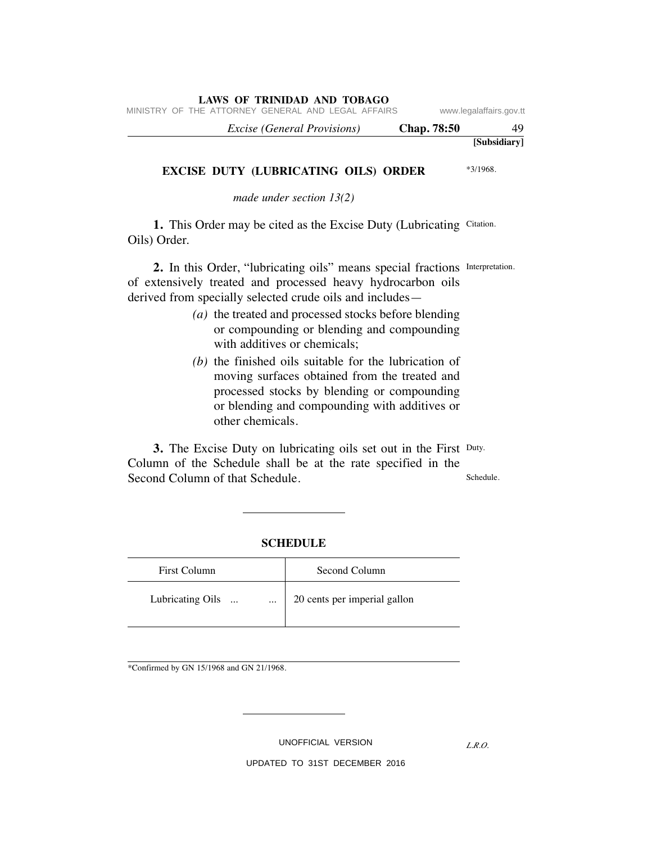MINISTRY OF THE ATTORNEY GENERAL AND LEGAL AFFAIRS www.legalaffairs.gov.tt

| 49           | <b>Chap.</b> 78:50 | <i>Excise (General Provisions)</i> |
|--------------|--------------------|------------------------------------|
| [Subsidiary] |                    |                                    |

### **EXCISE DUTY (LUBRICATING OILS) ORDER**

\*3/1968.

*made under section 13(2)*

1. This Order may be cited as the Excise Duty (Lubricating Citation. Oils) Order.

2. In this Order, "lubricating oils" means special fractions Interpretation. of extensively treated and processed heavy hydrocarbon oils derived from specially selected crude oils and includes—

- *(a)* the treated and processed stocks before blending or compounding or blending and compounding with additives or chemicals;
- *(b)* the finished oils suitable for the lubrication of moving surfaces obtained from the treated and processed stocks by blending or compounding or blending and compounding with additives or other chemicals.

**3.** The Excise Duty on lubricating oils set out in the First Duty. Schedule. Column of the Schedule shall be at the rate specified in the Second Column of that Schedule.

### **SCHEDULE**

| <b>First Column</b>                       | Second Column                |
|-------------------------------------------|------------------------------|
| Lubricating Oils<br>$\ddotsc$<br>$\cdots$ | 20 cents per imperial gallon |

\*Confirmed by GN 15/1968 and GN 21/1968.

UNOFFICIAL VERSION

*L.R.O.*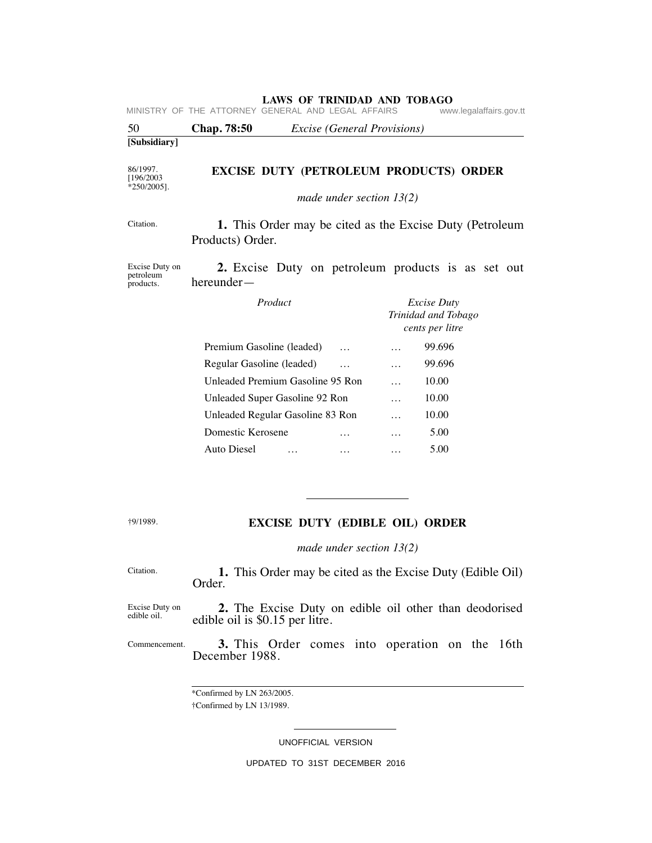| 50                                       | Chap. 78:50<br><i>Excise</i> ( <i>General Provisions</i> )                   |          |                                                              |
|------------------------------------------|------------------------------------------------------------------------------|----------|--------------------------------------------------------------|
| [Subsidiary]                             |                                                                              |          |                                                              |
| 86/1997.<br>[196/2003]<br>$*250/2005$ ]. | <b>EXCISE DUTY (PETROLEUM PRODUCTS) ORDER</b>                                |          |                                                              |
|                                          | made under section $13(2)$                                                   |          |                                                              |
| Citation.                                | 1. This Order may be cited as the Excise Duty (Petroleum<br>Products) Order. |          |                                                              |
| Excise Duty on<br>petroleum<br>products. | 2. Excise Duty on petroleum products is as set out<br>$hereunder-$           |          |                                                              |
|                                          | Product                                                                      |          | <i>Excise Duty</i><br>Trinidad and Tobago<br>cents per litre |
|                                          | Premium Gasoline (leaded)                                                    | $\cdots$ | 99.696                                                       |
|                                          | Regular Gasoline (leaded)<br>$\cdots$                                        | $\cdots$ | 99.696                                                       |
|                                          | Unleaded Premium Gasoline 95 Ron                                             | $\cdots$ | 10.00                                                        |
|                                          | Unleaded Super Gasoline 92 Ron                                               | $\cdots$ | 10.00                                                        |
|                                          | Unleaded Regular Gasoline 83 Ron                                             | $\cdots$ | 10.00                                                        |
|                                          | Domestic Kerosene<br>$\cdots$                                                | $\cdots$ | 5.00                                                         |
|                                          | <b>Auto Diesel</b><br>$\cdots$                                               | .        | 5.00                                                         |

†9/1989.

## **EXCISE DUTY (EDIBLE OIL) ORDER**

*made under section 13(2)*

| Citation. |        |  |  |  | 1. This Order may be cited as the Excise Duty (Edible Oil) |  |
|-----------|--------|--|--|--|------------------------------------------------------------|--|
|           | Order. |  |  |  |                                                            |  |

Excise Duty on edible oil.  **2.** The Excise Duty on edible oil other than deodorised edible oil is \$0.15 per litre.

Commencement.  **3.** This Order comes into operation on the 16th December 1988.

> \*Confirmed by LN 263/2005. †Confirmed by LN 13/1989.

> > UNOFFICIAL VERSION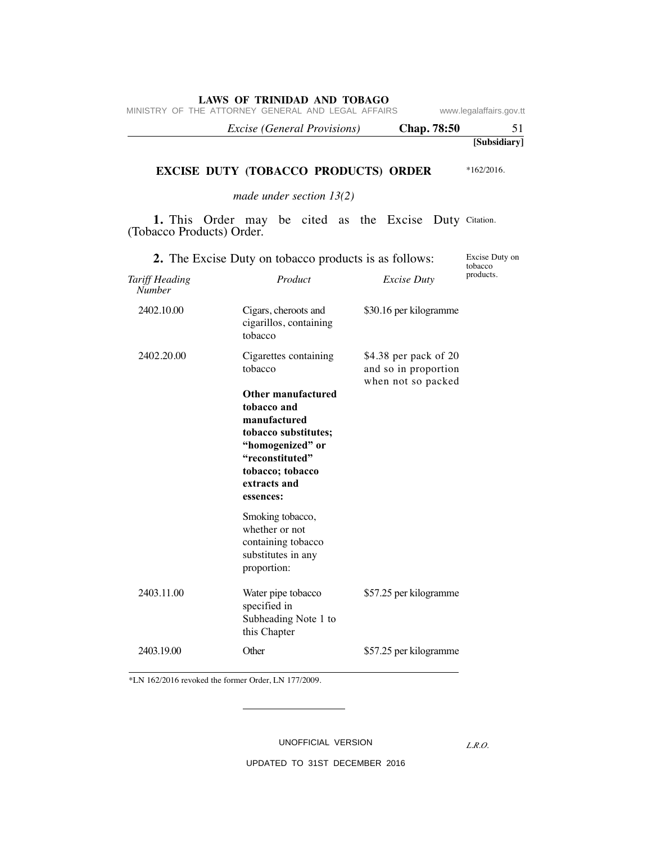|  |                                                    | <i>Excise (General Provisions)</i> |  |  | <b>Chap.</b> 78:50 |                         |
|--|----------------------------------------------------|------------------------------------|--|--|--------------------|-------------------------|
|  | MINISTRY OF THE ATTORNEY GENERAL AND LEGAL AFFAIRS |                                    |  |  |                    | www.legalaffairs.gov.tt |

## **EXCISE DUTY (TOBACCO PRODUCTS) ORDER**

*made under section 13(2)*

1. This Order may be cited as the Excise Duty Citation. (Tobacco Products) Order.

| 2. The Excise Duty on tobacco products is as follows: | Excise Duty on<br>tobacco                                                                                                                                                                             |                                                                     |           |
|-------------------------------------------------------|-------------------------------------------------------------------------------------------------------------------------------------------------------------------------------------------------------|---------------------------------------------------------------------|-----------|
| Tariff Heading<br><b>Number</b>                       | Product                                                                                                                                                                                               | <i>Excise Duty</i>                                                  | products. |
| 2402.10.00                                            | Cigars, cheroots and<br>cigarillos, containing<br>tobacco                                                                                                                                             | \$30.16 per kilogramme                                              |           |
| 2402.20.00                                            | Cigarettes containing<br>tobacco<br>Other manufactured<br>tobacco and<br>manufactured<br>tobacco substitutes;<br>"homogenized" or<br>"reconstituted"<br>tobacco; tobacco<br>extracts and<br>essences: | \$4.38 per pack of 20<br>and so in proportion<br>when not so packed |           |
|                                                       | Smoking tobacco,<br>whether or not<br>containing tobacco<br>substitutes in any<br>proportion:                                                                                                         |                                                                     |           |
| 2403.11.00                                            | Water pipe tobacco<br>specified in<br>Subheading Note 1 to<br>this Chapter                                                                                                                            | \$57.25 per kilogramme                                              |           |
| 2403.19.00                                            | Other                                                                                                                                                                                                 | \$57.25 per kilogramme                                              |           |

\*LN 162/2016 revoked the former Order, LN 177/2009.

UNOFFICIAL VERSION

*L.R.O.* 

**[Subsidiary]**

\*162/2016.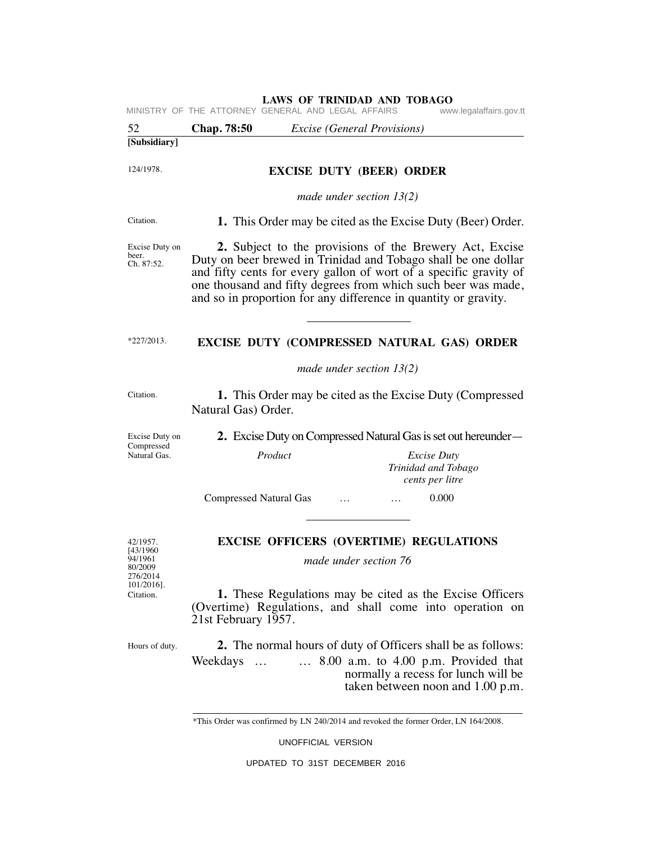|                                                        | MINISTRY OF THE ATTORNEY GENERAL AND LEGAL AFFAIRS                                                                                          |                                 |                                             |          | www.legalaffairs.gov.tt                                                                                                                                                                                                                                                                                                            |  |
|--------------------------------------------------------|---------------------------------------------------------------------------------------------------------------------------------------------|---------------------------------|---------------------------------------------|----------|------------------------------------------------------------------------------------------------------------------------------------------------------------------------------------------------------------------------------------------------------------------------------------------------------------------------------------|--|
| 52                                                     | <b>Chap.</b> 78:50                                                                                                                          |                                 | <i>Excise</i> ( <i>General Provisions</i> ) |          |                                                                                                                                                                                                                                                                                                                                    |  |
| [Subsidiary]                                           |                                                                                                                                             |                                 |                                             |          |                                                                                                                                                                                                                                                                                                                                    |  |
| 124/1978.                                              |                                                                                                                                             | <b>EXCISE DUTY (BEER) ORDER</b> |                                             |          |                                                                                                                                                                                                                                                                                                                                    |  |
|                                                        |                                                                                                                                             |                                 | made under section $13(2)$                  |          |                                                                                                                                                                                                                                                                                                                                    |  |
| Citation.                                              |                                                                                                                                             |                                 |                                             |          | 1. This Order may be cited as the Excise Duty (Beer) Order.                                                                                                                                                                                                                                                                        |  |
| Excise Duty on<br>beer.<br>Ch. 87:52.                  |                                                                                                                                             |                                 |                                             |          | 2. Subject to the provisions of the Brewery Act, Excise<br>Duty on beer brewed in Trinidad and Tobago shall be one dollar<br>and fifty cents for every gallon of wort of a specific gravity of<br>one thousand and fifty degrees from which such beer was made,<br>and so in proportion for any difference in quantity or gravity. |  |
| $*227/2013.$                                           |                                                                                                                                             |                                 |                                             |          | EXCISE DUTY (COMPRESSED NATURAL GAS) ORDER                                                                                                                                                                                                                                                                                         |  |
|                                                        |                                                                                                                                             |                                 | made under section $13(2)$                  |          |                                                                                                                                                                                                                                                                                                                                    |  |
| Citation.                                              | Natural Gas) Order.                                                                                                                         |                                 |                                             |          | <b>1.</b> This Order may be cited as the Excise Duty (Compressed                                                                                                                                                                                                                                                                   |  |
| Excise Duty on                                         | 2. Excise Duty on Compressed Natural Gas is set out hereunder—                                                                              |                                 |                                             |          |                                                                                                                                                                                                                                                                                                                                    |  |
| Compressed<br>Natural Gas.                             |                                                                                                                                             | Product                         |                                             |          | <i>Excise Duty</i><br>Trinidad and Tobago<br>cents per litre                                                                                                                                                                                                                                                                       |  |
|                                                        | <b>Compressed Natural Gas</b>                                                                                                               |                                 |                                             | $\cdots$ | 0.000                                                                                                                                                                                                                                                                                                                              |  |
| 42/1957.<br>[43/1960<br>94/1961<br>80/2009<br>276/2014 | <b>EXCISE OFFICERS (OVERTIME) REGULATIONS</b><br>made under section 76                                                                      |                                 |                                             |          |                                                                                                                                                                                                                                                                                                                                    |  |
| 101/2016].<br>Citation.                                | 1. These Regulations may be cited as the Excise Officers<br>(Overtime) Regulations, and shall come into operation on<br>21st February 1957. |                                 |                                             |          |                                                                                                                                                                                                                                                                                                                                    |  |
| Hours of duty.                                         | Weekdays                                                                                                                                    |                                 |                                             |          | 2. The normal hours of duty of Officers shall be as follows:<br>$\ldots$ 8.00 a.m. to 4.00 p.m. Provided that<br>normally a recess for lunch will be<br>taken between noon and 1.00 p.m.                                                                                                                                           |  |
|                                                        | *This Order was confirmed by LN 240/2014 and revoked the former Order, LN 164/2008.                                                         |                                 |                                             |          |                                                                                                                                                                                                                                                                                                                                    |  |

UNOFFICIAL VERSION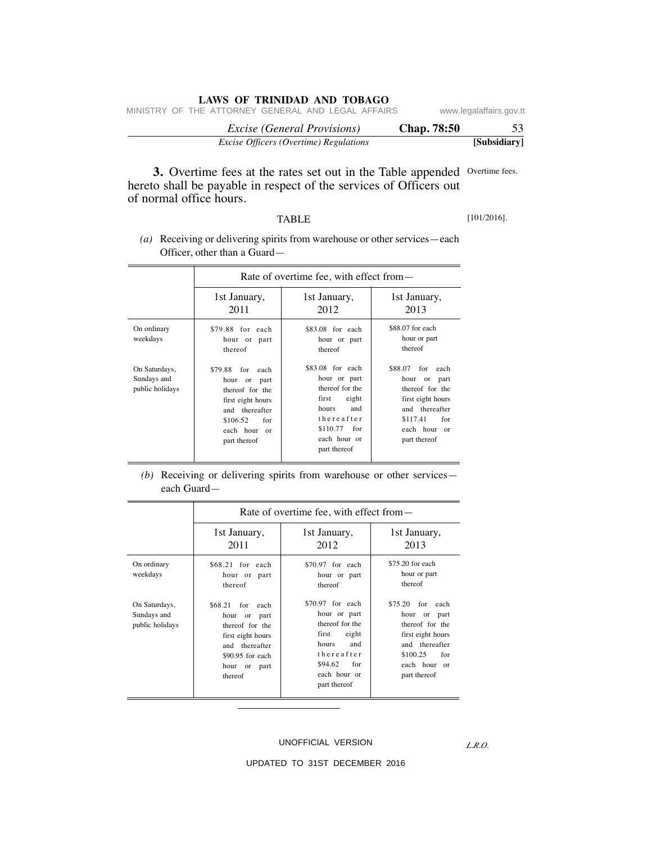|  | LAWS OF TRINIDAD AND TOBAGO |  |  |  |
|--|-----------------------------|--|--|--|
|--|-----------------------------|--|--|--|

| Excise Officers (Overtime) Regulations             | [Subsidiary]            |
|----------------------------------------------------|-------------------------|
| <i>Excise</i> (General Provisions)                 | <b>Chap.</b> 78:50      |
| MINISTRY OF THE ATTORNEY GENERAL AND LEGAL AFFAIRS | www.legalaffairs.gov.tt |

**3.** Overtime fees at the rates set out in the Table appended Overtime fees. hereto shall be payable in respect of the services of Officers out of normal office hours.

### TABLE

[101/2016].

 *(a)* Receiving or delivering spirits from warehouse or other services—each Officer, other than a Guard—

|                                                 | Rate of overtime fee, with effect from—                                                                                                                   |                                                                                                                                                        |                                                                                                                                                                      |  |  |
|-------------------------------------------------|-----------------------------------------------------------------------------------------------------------------------------------------------------------|--------------------------------------------------------------------------------------------------------------------------------------------------------|----------------------------------------------------------------------------------------------------------------------------------------------------------------------|--|--|
|                                                 | 1st January,<br>2011                                                                                                                                      | 1st January,<br>2012                                                                                                                                   | 1st January,<br>2013                                                                                                                                                 |  |  |
| On ordinary<br>weekdays                         | \$79.88 for each<br>hour or part<br>thereof                                                                                                               | \$83.08 for each<br>hour or part<br>thereof                                                                                                            | \$88,07 for each<br>hour or part<br>thereof                                                                                                                          |  |  |
| On Saturdays,<br>Sundays and<br>public holidays | \$79.88<br>for<br>each<br>hour<br>or<br>part<br>thereof for the<br>first eight hours<br>and thereafter<br>\$106.52<br>for<br>each hour or<br>part thereof | \$83.08 for each<br>hour or part<br>thereof for the<br>eight<br>first<br>hours<br>and<br>thereafter<br>\$110.77<br>for<br>each hour or<br>part thereof | \$88.07<br>for<br>each<br>hour<br><sub>or</sub><br>part<br>thereof for the<br>first eight hours<br>and thereafter<br>\$117.41<br>for<br>each hour or<br>part thereof |  |  |

 *(b)* Receiving or delivering spirits from warehouse or other services each Guard—

|                                                 | Rate of overtime fee, with effect from—                                                                                                                |                                                                                                                                                        |                                                                                                                                                     |  |  |
|-------------------------------------------------|--------------------------------------------------------------------------------------------------------------------------------------------------------|--------------------------------------------------------------------------------------------------------------------------------------------------------|-----------------------------------------------------------------------------------------------------------------------------------------------------|--|--|
|                                                 | 1st January,<br>2011                                                                                                                                   | 1st January,<br>2012                                                                                                                                   | 1st January,<br>2013                                                                                                                                |  |  |
| On ordinary<br>weekdays                         | \$68.21 for each<br>hour or part<br>thereof                                                                                                            | \$70.97 for each<br>hour or part<br>thereof                                                                                                            | \$75.20 for each<br>hour or part<br>thereof                                                                                                         |  |  |
| On Saturdays,<br>Sundays and<br>public holidays | \$68.21<br>for each<br>hour<br>or part<br>thereof for the<br>first eight hours<br>thereafter<br>and<br>$$90.95$ for each<br>hour or<br>part<br>thereof | $$70.97$ for each<br>hour or part<br>thereof for the<br>eight<br>first<br>and<br>hours<br>thereafter<br>\$94.62<br>for<br>each hour or<br>part thereof | \$75.20<br>for each<br>hour<br>or part<br>thereof for the<br>first eight hours<br>and thereafter<br>\$100.25<br>for<br>each hour or<br>part thereof |  |  |

### UNOFFICIAL VERSION

UPDATED TO 31ST DECEMBER 2016

*L.R.O.*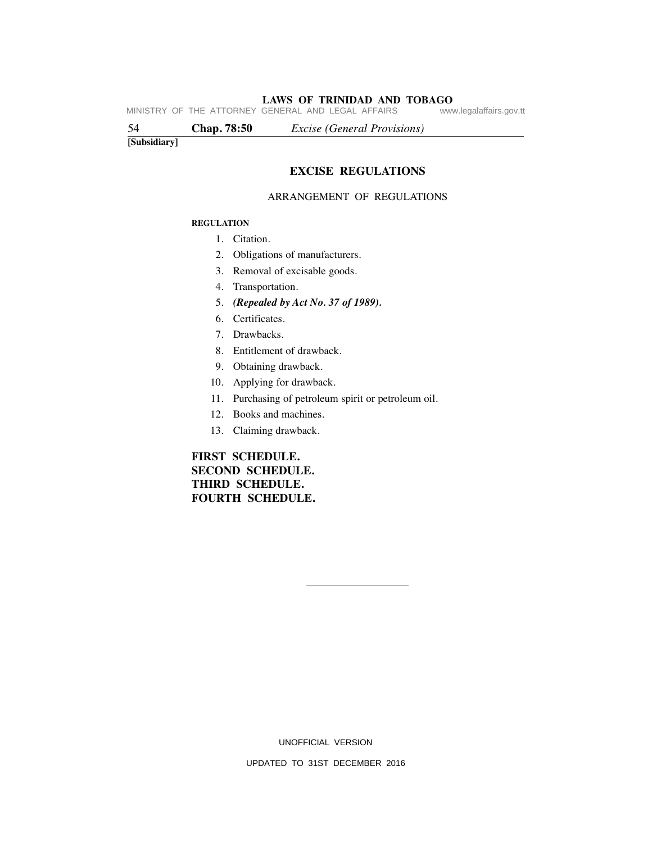**LAWS OF TRINIDAD AND TOBAGO**<br>GENERAL AND LEGAL AFFAIRS www.legalaffairs.gov.tt MINISTRY OF THE ATTORNEY GENERAL AND LEGAL AFFAIRS

54 **Chap. 78:50** *Excise (General Provisions)*

**[Subsidiary]**

# **EXCISE REGULATIONS**

### ARRANGEMENT OF REGULATIONS

### **REGULATION**

- 1. Citation.
- 2. Obligations of manufacturers.
- 3. Removal of excisable goods.
- 4. Transportation.
- 5. *(Repealed by Act No. 37 of 1989).*
- 6. Certificates.
- 7. Drawbacks.
- 8. Entitlement of drawback.
- 9. Obtaining drawback.
- 10. Applying for drawback.
- 11. Purchasing of petroleum spirit or petroleum oil.
- 12. Books and machines.
- 13. Claiming drawback.

# **FIRST SCHEDULE. SECOND SCHEDULE. THIRD SCHEDULE. FOURTH SCHEDULE.**

UNOFFICIAL VERSION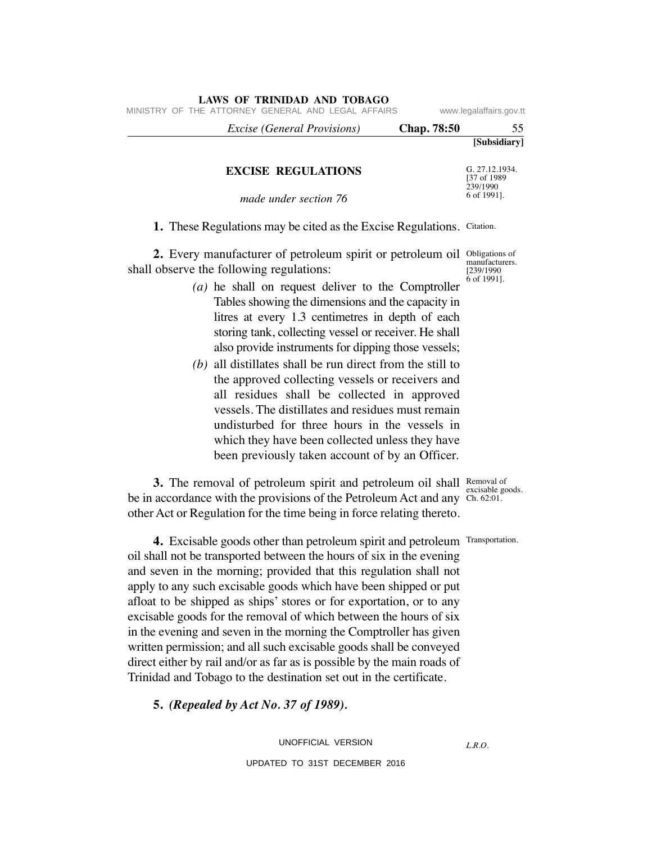|              | <b>Chap.</b> 78:50 | <i>Excise (General Provisions)</i> |  |  |
|--------------|--------------------|------------------------------------|--|--|
| [Subsidiary] |                    |                                    |  |  |
|              |                    |                                    |  |  |

### **EXCISE REGULATIONS**

**LAWS OF TRINIDAD AND TOBAGO**

G. 27.12.1934. [37 of 1989 239/1990 6 of 1991].

*made under section 76*

1. These Regulations may be cited as the Excise Regulations. Citation.

**2.** Every manufacturer of petroleum spirit or petroleum oil Obligations of shall observe the following regulations:

- *(a)* he shall on request deliver to the Comptroller Tables showing the dimensions and the capacity in litres at every 1.3 centimetres in depth of each storing tank, collecting vessel or receiver. He shall also provide instruments for dipping those vessels;
- *(b)* all distillates shall be run direct from the still to the approved collecting vessels or receivers and all residues shall be collected in approved vessels. The distillates and residues must remain undisturbed for three hours in the vessels in which they have been collected unless they have been previously taken account of by an Officer.

**3.** The removal of petroleum spirit and petroleum oil shall Removal of be in accordance with the provisions of the Petroleum Act and any Ch. 62:01. other Act or Regulation for the time being in force relating thereto.

excisable goods.

**4.** Excisable goods other than petroleum spirit and petroleum Transportation. oil shall not be transported between the hours of six in the evening and seven in the morning; provided that this regulation shall not apply to any such excisable goods which have been shipped or put afloat to be shipped as ships' stores or for exportation, or to any excisable goods for the removal of which between the hours of six in the evening and seven in the morning the Comptroller has given written permission; and all such excisable goods shall be conveyed direct either by rail and/or as far as is possible by the main roads of Trinidad and Tobago to the destination set out in the certificate.

 **5.** *(Repealed by Act No. 37 of 1989).*

UNOFFICIAL VERSION

UPDATED TO 31ST DECEMBER 2016

*L.R.O.* 

manufacturers. [239/1990 6 of 1991].

MINISTRY OF THE ATTORNEY GENERAL AND LEGAL AFFAIRS www.legalaffairs.gov.tt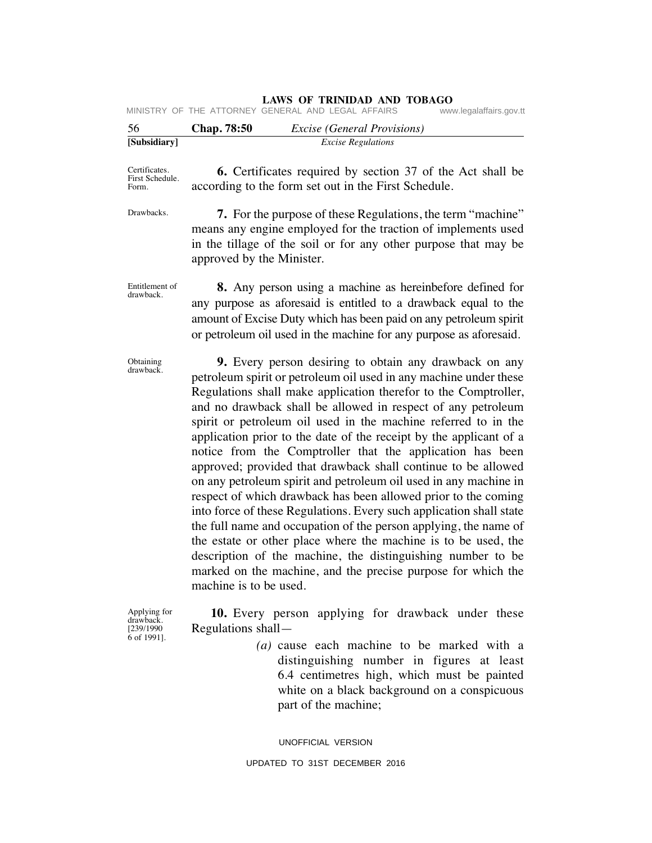|  |  | <b>LAWS OF TRINIDAD AND TOBAGO</b> |  |  |
|--|--|------------------------------------|--|--|
|--|--|------------------------------------|--|--|

| 56 | Chan 78:50 | <i>Excise (General Provisions)</i>                 |                         |
|----|------------|----------------------------------------------------|-------------------------|
|    |            | MINISTRY OF THE ATTORNEY GENERAL AND LEGAL AFFAIRS | www.legalaffairs.gov.tt |

| 56                                        | Chap. 78:50<br><b>Excise</b> (General Provisions)                                                                                                                                                                                                                                                                                                                                                                                                                                                                                                                                                                                                                                                                                                                                                                                                                                                                                                                                                                      |
|-------------------------------------------|------------------------------------------------------------------------------------------------------------------------------------------------------------------------------------------------------------------------------------------------------------------------------------------------------------------------------------------------------------------------------------------------------------------------------------------------------------------------------------------------------------------------------------------------------------------------------------------------------------------------------------------------------------------------------------------------------------------------------------------------------------------------------------------------------------------------------------------------------------------------------------------------------------------------------------------------------------------------------------------------------------------------|
| [Subsidiary]                              | <b>Excise Regulations</b>                                                                                                                                                                                                                                                                                                                                                                                                                                                                                                                                                                                                                                                                                                                                                                                                                                                                                                                                                                                              |
| Certificates.<br>First Schedule.<br>Form. | <b>6.</b> Certificates required by section 37 of the Act shall be<br>according to the form set out in the First Schedule.                                                                                                                                                                                                                                                                                                                                                                                                                                                                                                                                                                                                                                                                                                                                                                                                                                                                                              |
| Drawbacks.                                | <b>7.</b> For the purpose of these Regulations, the term "machine"<br>means any engine employed for the traction of implements used<br>in the tillage of the soil or for any other purpose that may be<br>approved by the Minister.                                                                                                                                                                                                                                                                                                                                                                                                                                                                                                                                                                                                                                                                                                                                                                                    |
| Entitlement of<br>drawback.               | 8. Any person using a machine as hereinbefore defined for<br>any purpose as aforesaid is entitled to a drawback equal to the<br>amount of Excise Duty which has been paid on any petroleum spirit<br>or petroleum oil used in the machine for any purpose as aforesaid.                                                                                                                                                                                                                                                                                                                                                                                                                                                                                                                                                                                                                                                                                                                                                |
| Obtaining<br>drawback.                    | 9. Every person desiring to obtain any drawback on any<br>petroleum spirit or petroleum oil used in any machine under these<br>Regulations shall make application therefor to the Comptroller,<br>and no drawback shall be allowed in respect of any petroleum<br>spirit or petroleum oil used in the machine referred to in the<br>application prior to the date of the receipt by the applicant of a<br>notice from the Comptroller that the application has been<br>approved; provided that drawback shall continue to be allowed<br>on any petroleum spirit and petroleum oil used in any machine in<br>respect of which drawback has been allowed prior to the coming<br>into force of these Regulations. Every such application shall state<br>the full name and occupation of the person applying, the name of<br>the estate or other place where the machine is to be used, the<br>description of the machine, the distinguishing number to be<br>marked on the machine, and the precise purpose for which the |

Applying for drawback. [239/1990 6 of 1991].

machine is to be used.

 **10.** Every person applying for drawback under these Regulations shall—

> *(a)* cause each machine to be marked with a distinguishing number in figures at least 6.4 centimetres high, which must be painted white on a black background on a conspicuous part of the machine;

UNOFFICIAL VERSION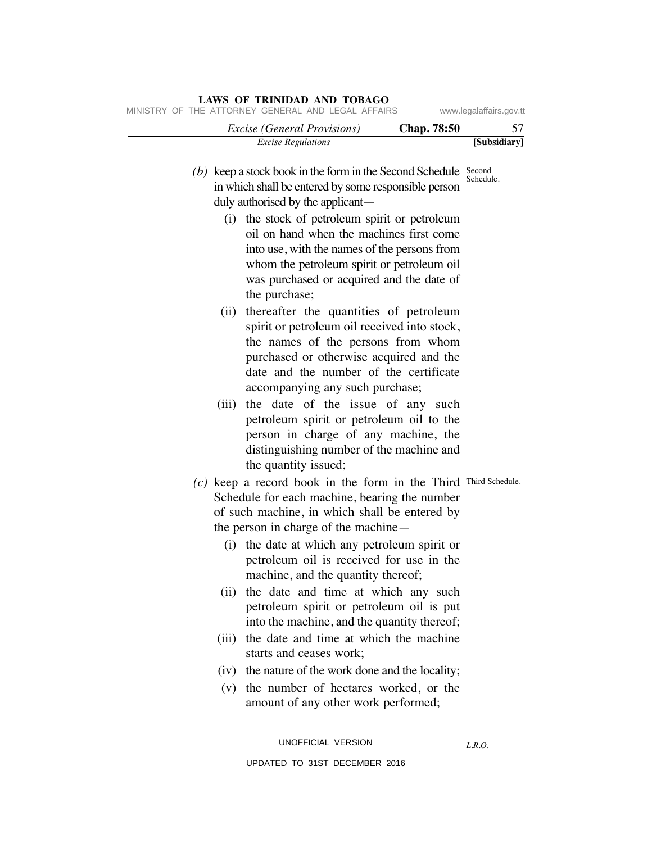# *Excise Regulations* **[Subsidiary]**  *Excise (General Provisions)* **Chap. 78:50** 57 *L.R.O.*  (b) keep a stock book in the form in the Second Schedule  $\frac{Second}{Schend}$ Schedule.  $\sigma(c)$  keep a record book in the form in the Third Third Schedule. in which shall be entered by some responsible person duly authorised by the applicant— (i) the stock of petroleum spirit or petroleum oil on hand when the machines first come into use, with the names of the persons from whom the petroleum spirit or petroleum oil was purchased or acquired and the date of the purchase; (ii) thereafter the quantities of petroleum spirit or petroleum oil received into stock, the names of the persons from whom purchased or otherwise acquired and the date and the number of the certificate accompanying any such purchase; (iii) the date of the issue of any such petroleum spirit or petroleum oil to the person in charge of any machine, the distinguishing number of the machine and the quantity issued; Schedule for each machine, bearing the number of such machine, in which shall be entered by the person in charge of the machine— (i) the date at which any petroleum spirit or petroleum oil is received for use in the machine, and the quantity thereof; (ii) the date and time at which any such petroleum spirit or petroleum oil is put into the machine, and the quantity thereof; (iii) the date and time at which the machine starts and ceases work; (iv) the nature of the work done and the locality; (v) the number of hectares worked, or the amount of any other work performed; MINISTRY OF THE ATTORNEY GENERAL AND LEGAL AFFAIRS www.legalaffairs.gov.tt UNOFFICIAL VERSION

UPDATED TO 31ST DECEMBER 2016

**LAWS OF TRINIDAD AND TOBAGO**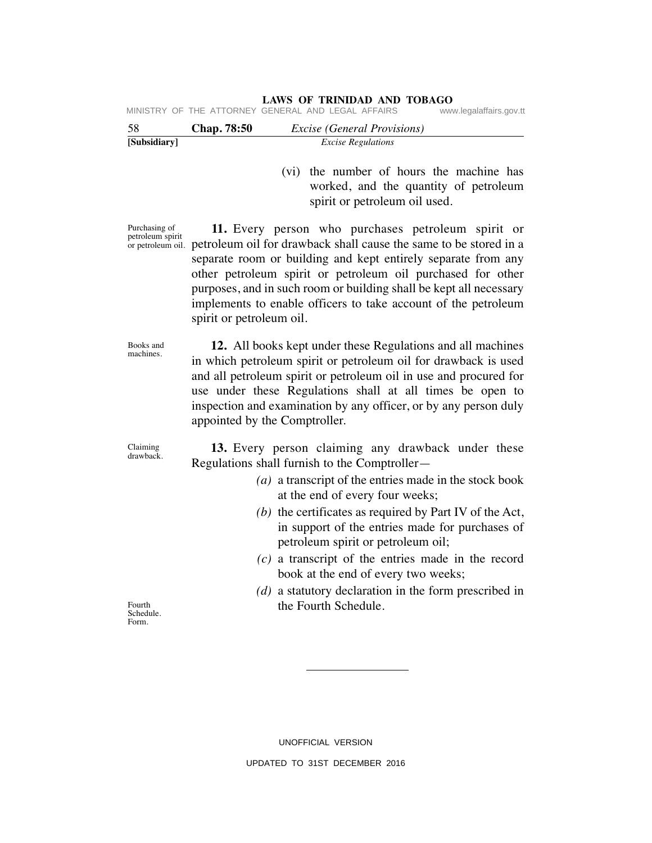#### **LAWS OF TRINIDAD AND TOBAGO** MINISTRY OF THE ATTORNEY GENERAL AND LEGAL AFFAIRS

| 58           | <b>Chap.</b> 78:50 | <i>Excise (General Provisions)</i> |  |
|--------------|--------------------|------------------------------------|--|
| [Subsidiary] |                    | <i>Excise Regulations</i>          |  |

 (vi) the number of hours the machine has worked, and the quantity of petroleum spirit or petroleum oil used.

Purchasing of petroleum spirit

or petroleum oil. petroleum oil for drawback shall cause the same to be stored in a  **11.** Every person who purchases petroleum spirit or separate room or building and kept entirely separate from any other petroleum spirit or petroleum oil purchased for other purposes, and in such room or building shall be kept all necessary implements to enable officers to take account of the petroleum spirit or petroleum oil.

> **12.** All books kept under these Regulations and all machines in which petroleum spirit or petroleum oil for drawback is used and all petroleum spirit or petroleum oil in use and procured for use under these Regulations shall at all times be open to inspection and examination by any officer, or by any person duly appointed by the Comptroller.

Claiming drawback.

Books and machines.

> **13.** Every person claiming any drawback under these Regulations shall furnish to the Comptroller—

- *(a)* a transcript of the entries made in the stock book at the end of every four weeks;
- *(b)* the certificates as required by Part IV of the Act, in support of the entries made for purchases of petroleum spirit or petroleum oil;
- *(c)* a transcript of the entries made in the record book at the end of every two weeks;
- *(d)* a statutory declaration in the form prescribed in the Fourth Schedule.

UNOFFICIAL VERSION UPDATED TO 31ST DECEMBER 2016

Fourth Schedule. Form.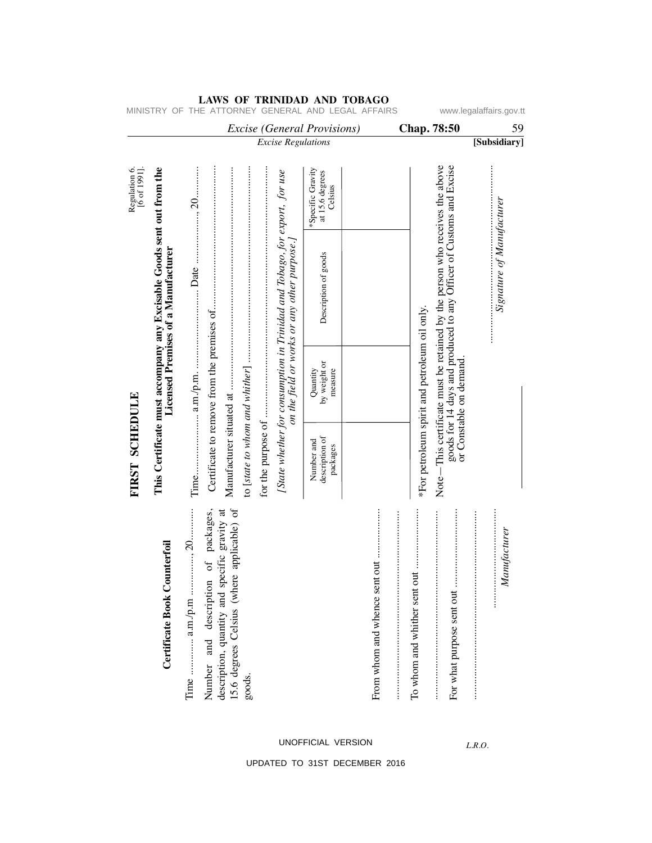|                                          |                                                                                                                     |                                                                                         |                                                      | <b>Excise</b> (General Provisions)                                                                                         |                                                 | Chap. 78:50                                                                                                                                   | w.iegalafialis.g<br>59     |
|------------------------------------------|---------------------------------------------------------------------------------------------------------------------|-----------------------------------------------------------------------------------------|------------------------------------------------------|----------------------------------------------------------------------------------------------------------------------------|-------------------------------------------------|-----------------------------------------------------------------------------------------------------------------------------------------------|----------------------------|
|                                          |                                                                                                                     |                                                                                         |                                                      | <b>Excise Regulations</b>                                                                                                  |                                                 |                                                                                                                                               | [Subsidiary]               |
| Regulation 6.<br>$[6 \text{ of } 1991].$ |                                                                                                                     |                                                                                         |                                                      |                                                                                                                            | *Specific Gravity<br>at 15.6 degrees<br>Celsius |                                                                                                                                               |                            |
|                                          | This Certificate must accompany any Excisable Goods sent out from the<br><b>Licensed Premises of a Manufacturer</b> |                                                                                         |                                                      | [State whether for consumption in Trinidad and Tobago, for export, for use<br>on the field or works or any other purpose.] | Description of goods                            | This certificate must be retained by the person who receives the above<br>goods for 14 days and produced to any Officer of Customs and Excise | Signature of Manufacturer  |
|                                          |                                                                                                                     |                                                                                         |                                                      |                                                                                                                            | by weight or<br>Quantity<br>measure             | *For petroleum spirit and petroleum oil only.<br>or Constable on demand.                                                                      |                            |
| FIRST SCHEDULE                           |                                                                                                                     |                                                                                         | Manufacturer situated at                             |                                                                                                                            | description of<br>Number and<br>packages        | $Note-$                                                                                                                                       |                            |
|                                          | Counterfoil<br>Certificate Book                                                                                     | Number and description of packages,<br>specific gravity at<br>description, quantity and | 15.6 degrees Celsius (where applicable) of<br>goods. |                                                                                                                            |                                                 | For what purpose sent out                                                                                                                     | Manufacturer<br>$\ddot{}}$ |

MINISTRY OF THE ATTORNEY GENERAL AND LEGAL AFFAIRS www.legalaffairs.gov.tt

UNOFFICIAL VERSION

*L.R.O.*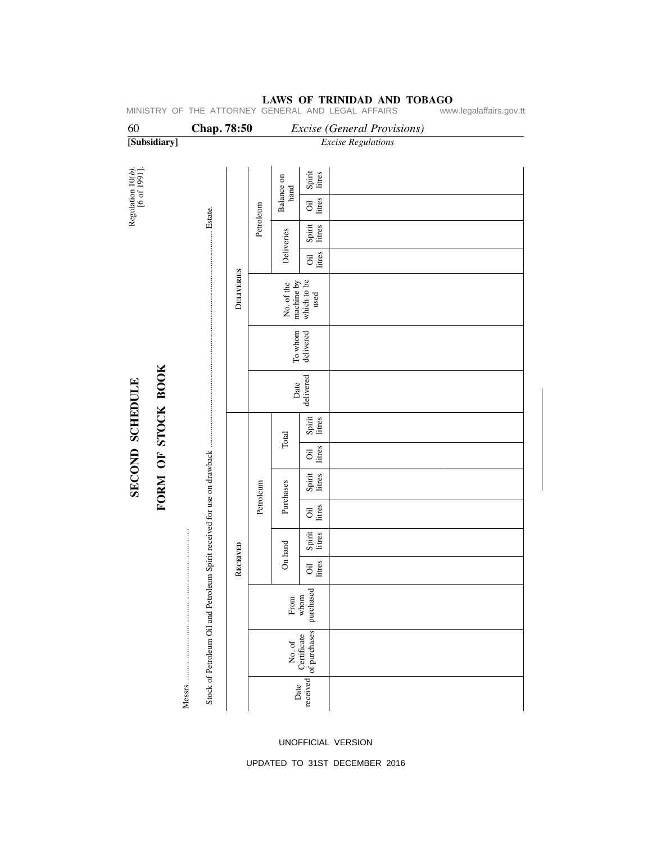### 60 **Chap. 78:50** *Excise (General Provisions)* **[Subsidiary]** *Excise Regulations*  Regulation  $10(b)$ .<br>[6 of 1991]. Regulation 10*(b).* [6 of 1991]. Balance on<br>hand Spirit litres Balance on Oil litres Petroleum Petroleum Estate. Stock of Petroleum Oil and Petroleum Spirit received for use on drawback ....................................................................................................... Estate. Spirit litres Deliveries Deliveries Oil litres DELIVERIES D**ELIVERIES** No. of the machine by which to be used To whom delivered FORM OF STOCK BOOK **FORM OF STOCK BOOK** SECOND SCHEDULE **SECOND SCHEDULE**  Date<br>delivered Spirit litres Total Oil litres Spirit litres Petroleum Purchases Petroleum Purchases Oil litres Messrs. ........................................................................ Spirit litres On hand RECEIVED R**ECEIVED** Oil litres purchased From whom  $\begin{array}{|l|} \hline \text{No. of} \\ \hline \text{Certificate} \\ \hline \text{of purchases} \end{array}$ of purchases Certificate Messrs.... Date<br>received

### **LAWS OF TRINIDAD AND TOBAGO**<br>GENERAL AND LEGAL AFFAIRS www.legalaffairs.gov.tt MINISTRY OF THE ATTORNEY GENERAL AND LEGAL AFFAIRS

UNOFFICIAL VERSION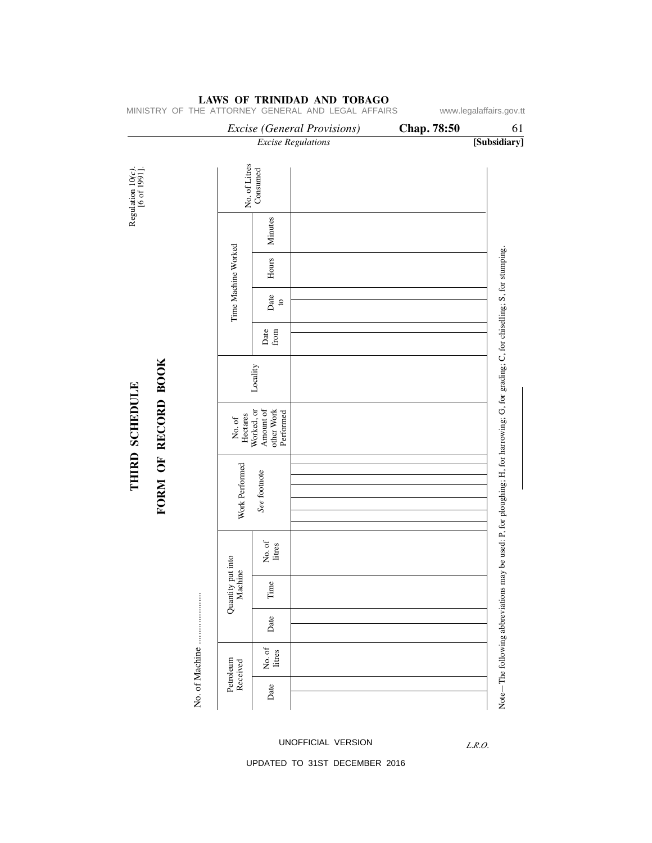# *Excise (General Provisions)* **Chap. 78:50** 61 *Excise Regulations* **[Subsidiary]** No. of Litres<br>Consumed Regulation 10(c).<br>[6 of 1991]. No. of Litres Regulation 10*(c).* [6 of 1991]. Consumed Minutes Time Machine Worked Time Machine Worked Note - The following abbreviations may be used: P, for ploughing; H, for harrowing; G, for grading; C, for chiselling; S, for stumping. Note—The following abbreviations may be used: P, for ploughing; H, for harrowing; G, for grading; C, for chiselling; S, for stumping. Hours Date to Date from FORM OF RECORD BOOK **FORM OF RECORD BOOK** Locality THIRD SCHEDULE **THIRD SCHEDULE** Worked, or other Work Amount of Performed No. of Hectares Work Performed Work Performed See footnote *See* footnote No. of litres Quantity put into<br>Machine Quantity put into Time No. of Machine ...................... No. of Date Petroleum<br>Received Petroleum Date UNOFFICIAL VERSION

### **LAWS OF TRINIDAD AND TOBAGO**

MINISTRY OF THE ATTORNEY GENERAL AND LEGAL AFFAIRS www.legalaffairs.gov.tt

*L.R.O.*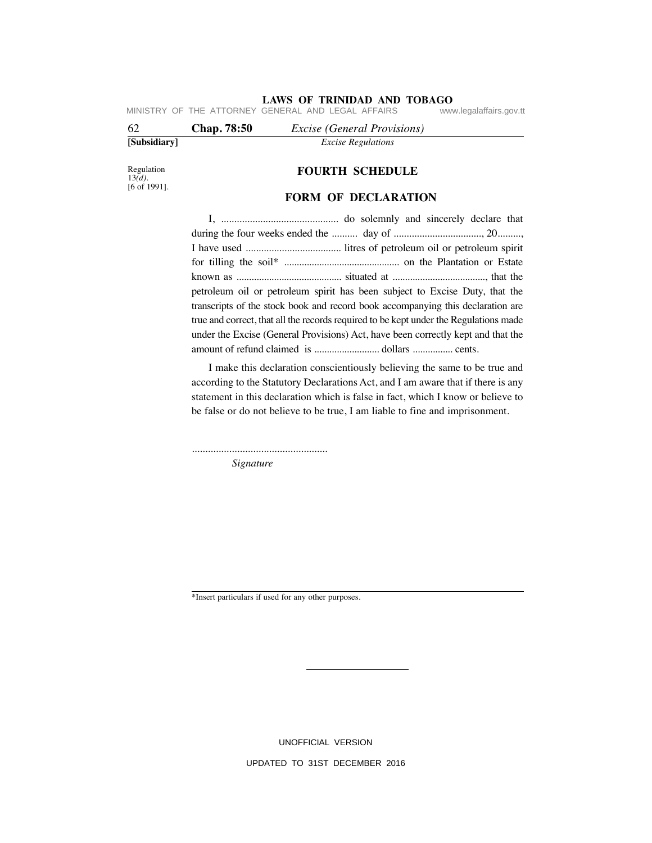**LAWS OF TRINIDAD AND TOBAGO**<br>GENERAL AND LEGAL AFFAIRS www.legalaffairs.gov.tt MINISTRY OF THE ATTORNEY GENERAL AND LEGAL AFFAIRS

| 62           | Chap. 78:50 | <i>Excise</i> ( <i>General Provisions</i> ) |  |
|--------------|-------------|---------------------------------------------|--|
| [Subsidiary] |             | <i>Excise Regulations</i>                   |  |

Regulation 13*(d).* [6 of 1991].

# **FOURTH SCHEDULE**

### **FORM OF DECLARATION**

 I, ............................................. do solemnly and sincerely declare that during the four weeks ended the .......... day of .................................., 20........., I have used ..................................... litres of petroleum oil or petroleum spirit for tilling the soil\* .............................................. on the Plantation or Estate known as .......................................... situated at ....................................., that the petroleum oil or petroleum spirit has been subject to Excise Duty, that the transcripts of the stock book and record book accompanying this declaration are true and correct, that all the records required to be kept under the Regulations made under the Excise (General Provisions) Act, have been correctly kept and that the amount of refund claimed is .......................... dollars ................ cents.

 I make this declaration conscientiously believing the same to be true and according to the Statutory Declarations Act, and I am aware that if there is any statement in this declaration which is false in fact, which I know or believe to be false or do not believe to be true, I am liable to fine and imprisonment.

...................................................

 *Signature*

\*Insert particulars if used for any other purposes.

UNOFFICIAL VERSION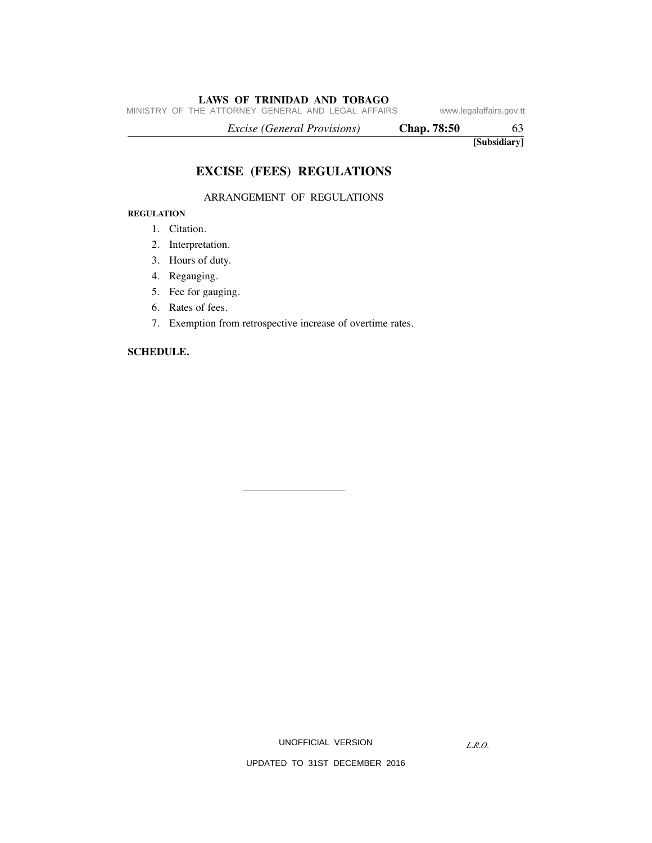MINISTRY OF THE ATTORNEY GENERAL AND LEGAL AFFAIRS www.legalaffairs.gov.tt

 *Excise (General Provisions)* **Chap. 78:50** 63

**[Subsidiary]**

# **EXCISE (FEES) REGULATIONS**

### ARRANGEMENT OF REGULATIONS

### **REGULATION**

- 1. Citation.
- 2. Interpretation.
- 3. Hours of duty.
- 4. Regauging.
- 5. Fee for gauging.
- 6. Rates of fees.
- 7. Exemption from retrospective increase of overtime rates.

### **SCHEDULE.**

UNOFFICIAL VERSION

*L.R.O.*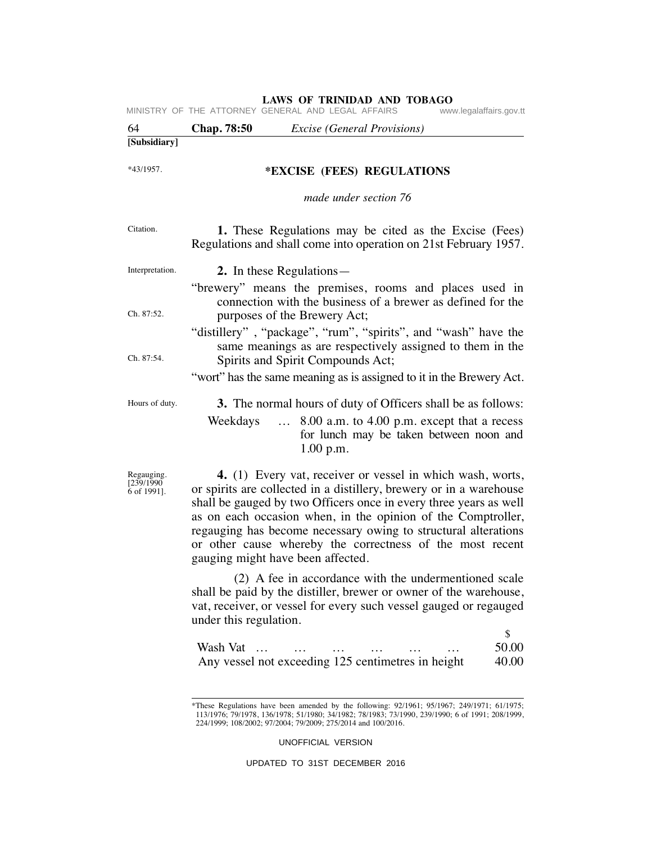| 64                                      | Chap. 78:50            | <b>Excise</b> (General Provisions)                                                                                                                                                                                                                                                                                                                                                                                                         |
|-----------------------------------------|------------------------|--------------------------------------------------------------------------------------------------------------------------------------------------------------------------------------------------------------------------------------------------------------------------------------------------------------------------------------------------------------------------------------------------------------------------------------------|
| [Subsidiary]                            |                        |                                                                                                                                                                                                                                                                                                                                                                                                                                            |
| *43/1957.                               |                        | *EXCISE (FEES) REGULATIONS                                                                                                                                                                                                                                                                                                                                                                                                                 |
|                                         |                        | made under section 76                                                                                                                                                                                                                                                                                                                                                                                                                      |
| Citation.                               |                        | 1. These Regulations may be cited as the Excise (Fees)<br>Regulations and shall come into operation on 21st February 1957.                                                                                                                                                                                                                                                                                                                 |
| Interpretation.                         |                        | 2. In these Regulations—                                                                                                                                                                                                                                                                                                                                                                                                                   |
| Ch. 87:52.                              |                        | "brewery" means the premises, rooms and places used in<br>connection with the business of a brewer as defined for the<br>purposes of the Brewery Act;                                                                                                                                                                                                                                                                                      |
|                                         |                        | "distillery", "package", "rum", "spirits", and "wash" have the<br>same meanings as are respectively assigned to them in the                                                                                                                                                                                                                                                                                                                |
| Ch. 87:54.                              |                        | Spirits and Spirit Compounds Act;<br>"wort" has the same meaning as is assigned to it in the Brewery Act.                                                                                                                                                                                                                                                                                                                                  |
| Hours of duty.                          | Weekdays               | 3. The normal hours of duty of Officers shall be as follows:<br>8.00 a.m. to 4.00 p.m. except that a recess<br>$\dddotsc$<br>for lunch may be taken between noon and<br>1.00 p.m.                                                                                                                                                                                                                                                          |
| Regauging.<br>[239/1990]<br>6 of 1991]. |                        | 4. (1) Every vat, receiver or vessel in which wash, worts,<br>or spirits are collected in a distillery, brewery or in a warehouse<br>shall be gauged by two Officers once in every three years as well<br>as on each occasion when, in the opinion of the Comptroller,<br>regauging has become necessary owing to structural alterations<br>or other cause whereby the correctness of the most recent<br>gauging might have been affected. |
|                                         | under this regulation. | (2) A fee in accordance with the undermentioned scale<br>shall be paid by the distiller, brewer or owner of the warehouse,<br>vat, receiver, or vessel for every such vessel gauged or regauged                                                                                                                                                                                                                                            |
|                                         | Wash Vat               | \$<br>50.00<br>Any vessel not exceeding 125 centimetres in height<br>40.00                                                                                                                                                                                                                                                                                                                                                                 |
|                                         |                        | *These Pequiptions have been amended by the following: 02/1061; 05/1067; 240/1071; 61/1075;                                                                                                                                                                                                                                                                                                                                                |

\*These Regulations have been amended by the following: 92/1961; 95/1967; 249/1971; 61/1975; 113/1976; 79/1978, 136/1978; 51/1980; 34/1982; 78/1983; 73/1990, 239/1990; 6 of 1991; 208/1999, 224/1999; 108/2002; 97/2004; 79/2009; 275/2014 and 100/2016.

UNOFFICIAL VERSION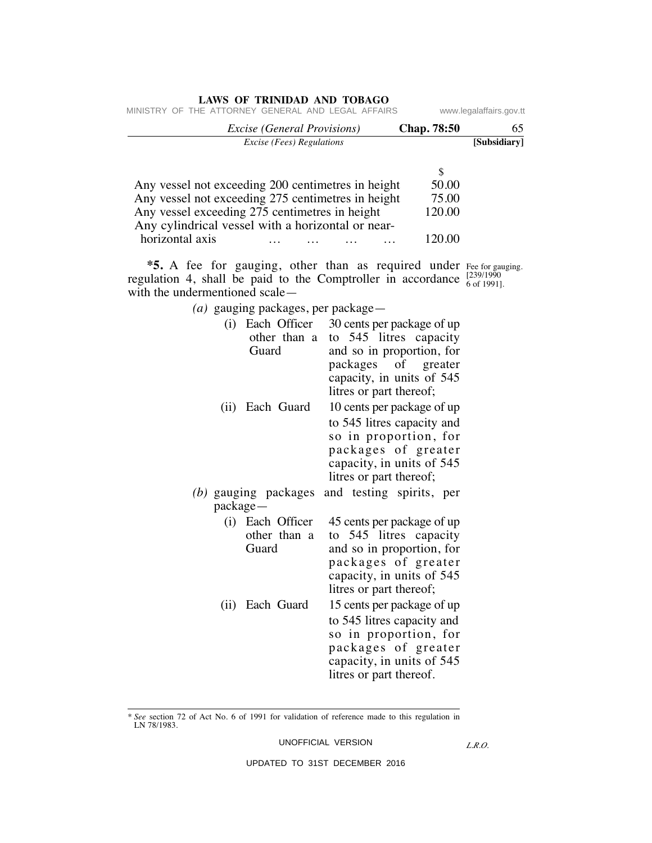| www.legalaffairs.gov.tt |             |  |                                    | THE ATTORNEY GENERAL AND LEGAL AFFAIRS             |                 |
|-------------------------|-------------|--|------------------------------------|----------------------------------------------------|-----------------|
| 65                      | Chap. 78:50 |  | <i>Excise (General Provisions)</i> |                                                    |                 |
| [Subsidiary]            |             |  | <i>Excise (Fees) Regulations</i>   |                                                    |                 |
|                         | S           |  |                                    |                                                    |                 |
|                         | 50.00       |  |                                    | Any vessel not exceeding 200 centimetres in height |                 |
|                         | 75.00       |  |                                    | Any vessel not exceeding 275 centimetres in height |                 |
|                         | 120.00      |  |                                    | Any vessel exceeding 275 centimetres in height     |                 |
|                         |             |  |                                    | Any cylindrical vessel with a horizontal or near-  |                 |
|                         | 120 OO      |  |                                    |                                                    | horizontal axis |

Fee for gauging. [239/1990 6 of 1991].  **\*5.** A fee for gauging, other than as required under regulation 4, shall be paid to the Comptroller in accordance with the undermentioned scale—

 *(a)* gauging packages, per package—

| (i)       | Each Officer<br>other than a<br>Guard     | 30 cents per package of up<br>to 545 litres capacity<br>and so in proportion, for<br>packages of greater<br>capacity, in units of 545<br>litres or part thereof; |
|-----------|-------------------------------------------|------------------------------------------------------------------------------------------------------------------------------------------------------------------|
|           | (ii) Each Guard                           | 10 cents per package of up<br>to 545 litres capacity and<br>so in proportion, for<br>packages of greater<br>capacity, in units of 545<br>litres or part thereof; |
| package — | (b) gauging packages                      | and testing spirits, per                                                                                                                                         |
|           | (i) Each Officer<br>other than a<br>Guard | 45 cents per package of up<br>to 545 litres capacity<br>and so in proportion, for<br>packages of greater<br>capacity, in units of 545<br>litres or part thereof; |
| (ii)      | Each Guard                                | 15 cents per package of up<br>to 545 litres capacity and<br>so in proportion, for<br>packages of greater<br>capacity, in units of 545<br>litres or part thereof. |

<sup>\*</sup> *See* section 72 of Act No. 6 of 1991 for validation of reference made to this regulation in LN 78/1983.

UNOFFICIAL VERSION

*L.R.O.*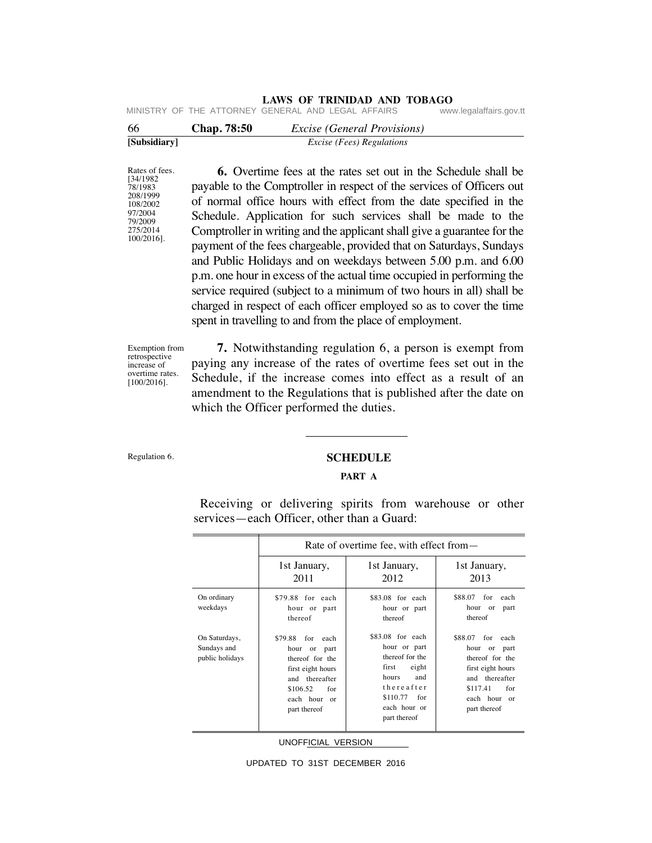# **LAWS OF TRINIDAD AND TOBAGO**<br>GENERAL AND LEGAL AFFAIRS www.legalaffairs.gov.tt

MINISTRY OF THE ATTORNEY GENERAL AND LEGAL AFFAIRS

| -66          | <b>Chap.</b> 78:50 | <i>Excise (General Provisions)</i> |  |
|--------------|--------------------|------------------------------------|--|
| [Subsidiary] |                    | <i>Excise (Fees) Regulations</i>   |  |

Rates of fees. [34/1982 78/1983 208/1999 108/2002 97/2004 79/2009 275/2014 100/2016].  **6.** Overtime fees at the rates set out in the Schedule shall be payable to the Comptroller in respect of the services of Officers out of normal office hours with effect from the date specified in the Schedule. Application for such services shall be made to the Comptroller in writing and the applicant shall give a guarantee for the payment of the fees chargeable, provided that on Saturdays, Sundays and Public Holidays and on weekdays between 5.00 p.m. and 6.00 p.m. one hour in excess of the actual time occupied in performing the service required (subject to a minimum of two hours in all) shall be charged in respect of each officer employed so as to cover the time spent in travelling to and from the place of employment.

Exemption from retrospective increase of overtime rates. [100/2016].

 **7.** Notwithstanding regulation 6, a person is exempt from paying any increase of the rates of overtime fees set out in the Schedule, if the increase comes into effect as a result of an amendment to the Regulations that is published after the date on which the Officer performed the duties.

Regulation 6.

### **SCHEDULE**

### **PART A**

Receiving or delivering spirits from warehouse or other services—each Officer, other than a Guard:

|                                                 | Rate of overtime fee, with effect from—                                                                                                                |                                                                                                                                                         |                                                                                                                                                           |  |
|-------------------------------------------------|--------------------------------------------------------------------------------------------------------------------------------------------------------|---------------------------------------------------------------------------------------------------------------------------------------------------------|-----------------------------------------------------------------------------------------------------------------------------------------------------------|--|
|                                                 | 1st January,<br>2011                                                                                                                                   | 1st January,<br>2012                                                                                                                                    | 1st January,<br>2013                                                                                                                                      |  |
| On ordinary<br>weekdays                         | \$79.88 for each<br>hour or part<br>thereof                                                                                                            | \$83.08 for each<br>hour or part<br>thereof                                                                                                             | \$88.07<br>for<br>each<br>hour<br>or<br>part<br>thereof                                                                                                   |  |
| On Saturdays,<br>Sundays and<br>public holidays | \$79.88<br>for<br>each<br>hour<br>or part<br>thereof for the<br>first eight hours<br>and thereafter<br>\$106.52<br>for<br>each hour or<br>part thereof | $$83.08$ for each<br>hour or part<br>thereof for the<br>eight<br>first<br>and<br>hours<br>thereafter<br>\$110.77<br>for<br>each hour or<br>part thereof | \$88.07<br>for<br>each<br>hour<br>or<br>part<br>thereof for the<br>first eight hours<br>and thereafter<br>\$117.41<br>for<br>each hour or<br>part thereof |  |

UNOFFICIAL VERSION